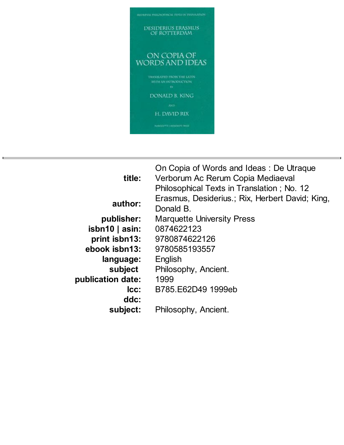

E

| title:            | On Copia of Words and Ideas: De Utraque<br>Verborum Ac Rerum Copia Mediaeval<br>Philosophical Texts in Translation; No. 12 |
|-------------------|----------------------------------------------------------------------------------------------------------------------------|
| author:           | Erasmus, Desiderius.; Rix, Herbert David; King,<br>Donald B.                                                               |
| publisher:        | <b>Marquette University Press</b>                                                                                          |
| isbn10   asin:    | 0874622123                                                                                                                 |
| print isbn13:     | 9780874622126                                                                                                              |
| ebook isbn13:     | 9780585193557                                                                                                              |
| language:         | English                                                                                                                    |
| subject           | Philosophy, Ancient.                                                                                                       |
| publication date: | 1999                                                                                                                       |
| $1$               | B785.E62D49 1999eb                                                                                                         |
| ddc:              |                                                                                                                            |
| subject:          | Philosophy, Ancient.                                                                                                       |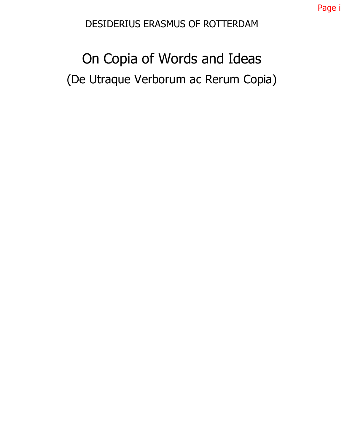#### DESIDERIUS ERASMUS OF ROTTERDAM

# On Copia of Words and Ideas (De Utraque Verborum ac Rerum Copia)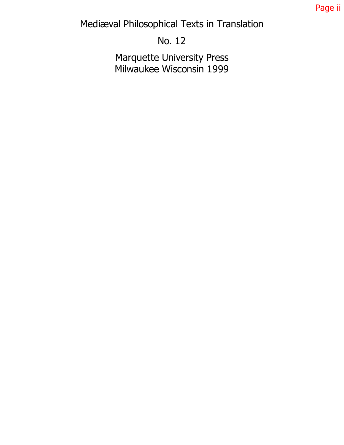Mediæval Philosophical Texts in Translation

No. 12

Marquette University Press Milwaukee Wisconsin 1999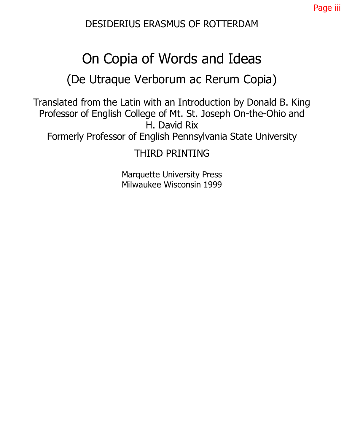Page iii

DESIDERIUS ERASMUS OF ROTTERDAM

# On Copia of Words and Ideas

(De Utraque Verborum ac Rerum Copia)

Translated from the Latin with an Introduction by Donald B. King Professor of English College of Mt. St. Joseph On-the-Ohio and H. David Rix Formerly Professor of English Pennsylvania State University THIRD PRINTING

> Marquette University Press Milwaukee Wisconsin 1999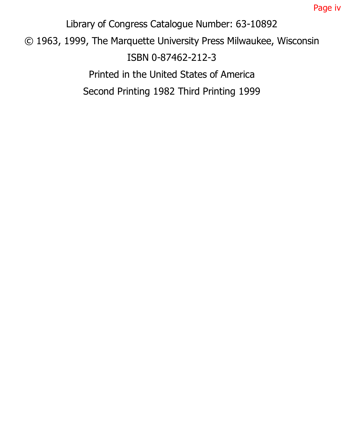Library of Congress Catalogue Number: 63-10892 © 1963, 1999, The Marquette University Press Milwaukee, Wisconsin ISBN 0-87462-212-3 Printed in the United States of America Second Printing 1982 Third Printing 1999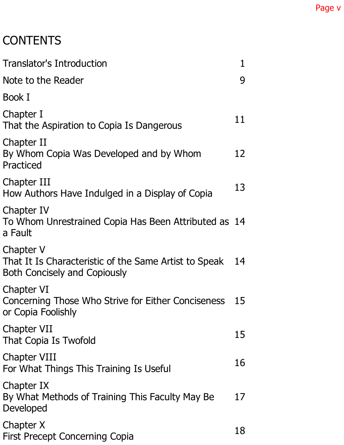# **CONTENTS**

| <b>Translator's Introduction</b>                                                                          | 1  |
|-----------------------------------------------------------------------------------------------------------|----|
| Note to the Reader                                                                                        | 9  |
| Book I                                                                                                    |    |
| Chapter I<br>That the Aspiration to Copia Is Dangerous                                                    | 11 |
| Chapter II<br>By Whom Copia Was Developed and by Whom<br>Practiced                                        | 12 |
| Chapter III<br>How Authors Have Indulged in a Display of Copia                                            | 13 |
| Chapter IV<br>To Whom Unrestrained Copia Has Been Attributed as 14<br>a Fault                             |    |
| Chapter V<br>That It Is Characteristic of the Same Artist to Speak<br><b>Both Concisely and Copiously</b> | 14 |
| Chapter VI<br>Concerning Those Who Strive for Either Conciseness<br>or Copia Foolishly                    | 15 |
| <b>Chapter VII</b><br>That Copia Is Twofold                                                               | 15 |
| Chapter VIII<br>For What Things This Training Is Useful                                                   | 16 |
| Chapter IX<br>By What Methods of Training This Faculty May Be<br>Developed                                | 17 |
| Chapter X<br><b>First Precept Concerning Copia</b>                                                        | 18 |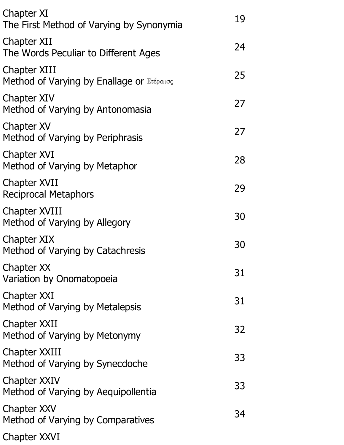| Chapter XI<br>The First Method of Varying by Synonymia     | 19 |
|------------------------------------------------------------|----|
| Chapter XII<br>The Words Peculiar to Different Ages        | 24 |
| Chapter XIII<br>Method of Varying by Enallage or Etépouse  | 25 |
| Chapter XIV<br>Method of Varying by Antonomasia            | 27 |
| Chapter XV<br>Method of Varying by Periphrasis             | 27 |
| Chapter XVI<br>Method of Varying by Metaphor               | 28 |
| Chapter XVII<br><b>Reciprocal Metaphors</b>                | 29 |
| <b>Chapter XVIII</b><br>Method of Varying by Allegory      | 30 |
| Chapter XIX<br>Method of Varying by Catachresis            | 30 |
| Chapter XX<br>Variation by Onomatopoeia                    | 31 |
| Chapter XXI<br>Method of Varying by Metalepsis             | 31 |
| Chapter XXII<br>Method of Varying by Metonymy              | 32 |
| Chapter XXIII<br>Method of Varying by Synecdoche           | 33 |
| <b>Chapter XXIV</b><br>Method of Varying by Aequipollentia | 33 |
| Chapter XXV<br>Method of Varying by Comparatives           | 34 |
| Chapter XXVI                                               |    |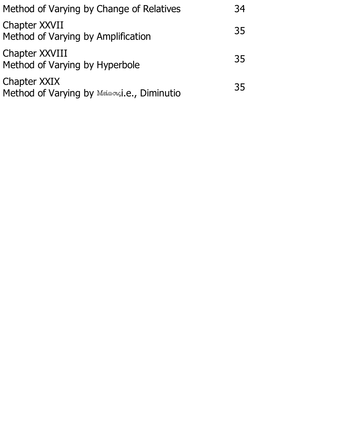| Method of Varying by Change of Relatives                    | 34 |
|-------------------------------------------------------------|----|
| Chapter XXVII<br>Method of Varying by Amplification         | 35 |
| Chapter XXVIII<br>Method of Varying by Hyperbole            | 35 |
| Chapter XXIX<br>Method of Varying by Msiaongi.e., Diminutio | 35 |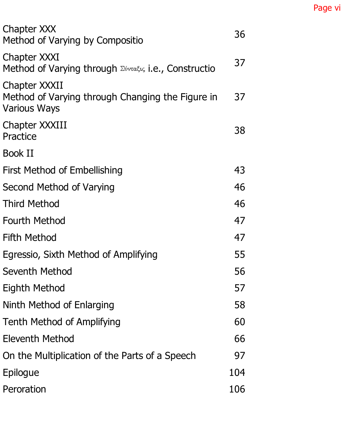| Chapter XXX<br>Method of Varying by Compositio                                                  | 36  |
|-------------------------------------------------------------------------------------------------|-----|
| <b>Chapter XXXI</b><br>Method of Varying through $\Sigma$ iveraging i.e., Constructio           | 37  |
| <b>Chapter XXXII</b><br>Method of Varying through Changing the Figure in<br><b>Various Ways</b> | 37  |
| Chapter XXXIII<br>Practice                                                                      | 38  |
| Book II                                                                                         |     |
| First Method of Embellishing                                                                    | 43  |
| Second Method of Varying                                                                        | 46  |
| <b>Third Method</b>                                                                             | 46  |
| <b>Fourth Method</b>                                                                            | 47  |
| <b>Fifth Method</b>                                                                             | 47  |
| Egressio, Sixth Method of Amplifying                                                            | 55  |
| Seventh Method                                                                                  | 56  |
| Eighth Method                                                                                   | 57  |
| Ninth Method of Enlarging                                                                       | 58  |
| Tenth Method of Amplifying                                                                      | 60  |
| Eleventh Method                                                                                 | 66  |
| On the Multiplication of the Parts of a Speech                                                  | 97  |
| Epilogue                                                                                        | 104 |
| Peroration                                                                                      | 106 |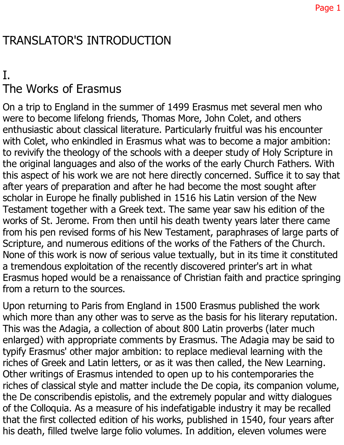# TRANSLATOR'S INTRODUCTION

### I.

#### The Works of Erasmus

On a trip to England in the summer of 1499 Erasmus met several men who were to become lifelong friends, Thomas More, John Colet, and others enthusiastic about classical literature. Particularly fruitful was his encounter with Colet, who enkindled in Erasmus what was to become a major ambition: to revivify the theology of the schools with a deeper study of Holy Scripture in the original languages and also of the works of the early Church Fathers. With this aspect of his work we are not here directly concerned. Suffice it to say that after years of preparation and after he had become the most sought after scholar in Europe he finally published in 1516 his Latin version of the New Testament together with a Greek text. The same year saw his edition of the works of St. Jerome. From then until his death twenty years later there came from his pen revised forms of his New Testament, paraphrases of large parts of Scripture, and numerous editions of the works of the Fathers of the Church. None of this work is now of serious value textually, but in its time it constituted a tremendous exploitation of the recently discovered printer's art in what Erasmus hoped would be a renaissance of Christian faith and practice springing from a return to the sources.

Upon returning to Paris from England in 1500 Erasmus published the work which more than any other was to serve as the basis for his literary reputation. This was the Adagia, a collection of about 800 Latin proverbs (later much enlarged) with appropriate comments by Erasmus. The Adagia may be said to typify Erasmus' other major ambition: to replace medieval learning with the riches of Greek and Latin letters, or as it was then called, the New Learning. Other writings of Erasmus intended to open up to his contemporaries the riches of classical style and matter include the De copia, its companion volume, the De conscribendis epistolis, and the extremely popular and witty dialogues of the Colloquia. As a measure of his indefatigable industry it may be recalled that the first collected edition of his works, published in 1540, four years after his death, filled twelve large folio volumes. In addition, eleven volumes were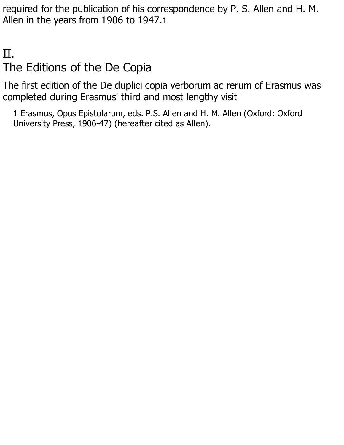required for the publication of his correspondence by P. S. Allen and H. M. Allen in the years from 1906 to 1947.1

#### II. The Editions of the De Copia

The first edition of the De duplici copia verborum ac rerum of Erasmus was completed during Erasmus' third and most lengthy visit

1 Erasmus, Opus Epistolarum, eds. P.S. Allen and H. M. Allen (Oxford: Oxford University Press, 1906-47) (hereafter cited as Allen).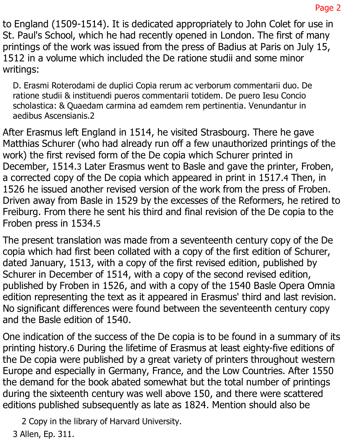to England (1509-1514). It is dedicated appropriately to John Colet for use in St. Paul's School, which he had recently opened in London. The first of many printings of the work was issued from the press of Badius at Paris on July 15, 1512 in a volume which included the De ratione studii and some minor writings:

D. Erasmi Roterodami de duplici Copia rerum ac verborum commentarii duo. De ratione studii & instituendi pueros commentarii totidem. De puero Iesu Concio scholastica: & Quaedam carmina ad eamdem rem pertinentia. Venundantur in aedibus Ascensianis.2

After Erasmus left England in 1514, he visited Strasbourg. There he gave Matthias Schurer (who had already run off a few unauthorized printings of the work) the first revised form of the De copia which Schurer printed in December, 1514.3 Later Erasmus went to Basle and gave the printer, Froben, a corrected copy of the De copia which appeared in print in 1517.4 Then, in 1526 he issued another revised version of the work from the press of Froben. Driven away from Basle in 1529 by the excesses of the Reformers, he retired to Freiburg. From there he sent his third and final revision of the De copia to the Froben press in 1534.5

The present translation was made from a seventeenth century copy of the De copia which had first been collated with a copy of the first edition of Schurer, dated January, 1513, with a copy of the first revised edition, published by Schurer in December of 1514, with a copy of the second revised edition, published by Froben in 1526, and with a copy of the 1540 Basle Opera Omnia edition representing the text as it appeared in Erasmus' third and last revision. No significant differences were found between the seventeenth century copy and the Basle edition of 1540.

One indication of the success of the De copia is to be found in a summary of its printing history.6 During the lifetime of Erasmus at least eighty-five editions of the De copia were published by a great variety of printers throughout western Europe and especially in Germany, France, and the Low Countries. After 1550 the demand for the book abated somewhat but the total number of printings during the sixteenth century was well above 150, and there were scattered editions published subsequently as late as 1824. Mention should also be

2 Copy in the library of Harvard University.

3 Allen, Ep. 311.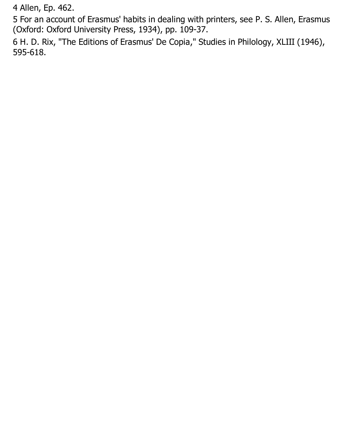4 Allen, Ep. 462.

5 For an account of Erasmus' habits in dealing with printers, see P. S. Allen, Erasmus (Oxford: Oxford University Press, 1934), pp. 109-37.

6 H. D. Rix, "The Editions of Erasmus' De Copia," Studies in Philology, XLIII (1946), 595-618.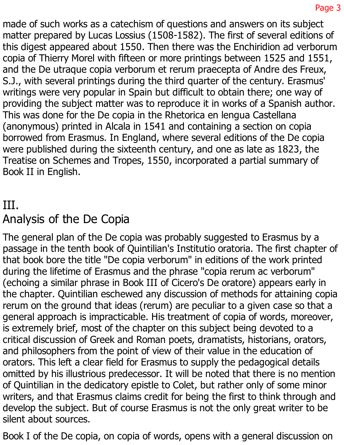made of such works as a catechism of questions and answers on its subject matter prepared by Lucas Lossius (1508-1582). The first of several editions of this digest appeared about 1550. Then there was the Enchiridion ad verborum copia of Thierry Morel with fifteen or more printings between 1525 and 1551, and the De utraque copia verborum et rerum praecepta of Andre des Freux, S.J., with several printings during the third quarter of the century. Erasmus' writings were very popular in Spain but difficult to obtain there; one way of providing the subject matter was to reproduce it in works of a Spanish author. This was done for the De copia in the Rhetorica en lengua Castellana (anonymous) printed in Alcala in 1541 and containing a section on copia borrowed from Erasmus. In England, where several editions of the De copia were published during the sixteenth century, and one as late as 1823, the Treatise on Schemes and Tropes, 1550, incorporated a partial summary of Book II in English.

#### III. Analysis of the De Copia

The general plan of the De copia was probably suggested to Erasmus by a passage in the tenth book of Quintilian's Institutio oratoria. The first chapter of that book bore the title "De copia verborum" in editions of the work printed during the lifetime of Erasmus and the phrase "copia rerum ac verborum" (echoing a similar phrase in Book III of Cicero's De oratore) appears early in the chapter. Quintilian eschewed any discussion of methods for attaining copia rerum on the ground that ideas (rerum) are peculiar to a given case so that a general approach is impracticable. His treatment of copia of words, moreover, is extremely brief, most of the chapter on this subject being devoted to a critical discussion of Greek and Roman poets, dramatists, historians, orators, and philosophers from the point of view of their value in the education of orators. This left a clear field for Erasmus to supply the pedagogical details omitted by his illustrious predecessor. It will be noted that there is no mention of Quintilian in the dedicatory epistle to Colet, but rather only of some minor writers, and that Erasmus claims credit for being the first to think through and develop the subject. But of course Erasmus is not the only great writer to be silent about sources.

Book I of the De copia, on copia of words, opens with a general discussion on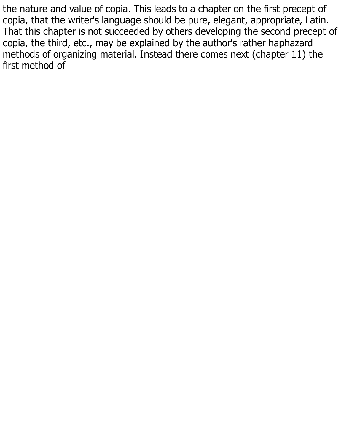the nature and value of copia. This leads to a chapter on the first precept of copia, that the writer's language should be pure, elegant, appropriate, Latin. That this chapter is not succeeded by others developing the second precept of copia, the third, etc., may be explained by the author's rather haphazard methods of organizing material. Instead there comes next (chapter 11) the first method of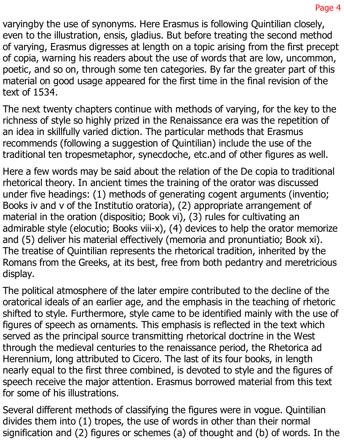Page 4

varyingby the use of synonyms. Here Erasmus is following Quintilian closely, even to the illustration, ensis, gladius. But before treating the second method of varying, Erasmus digresses at length on a topic arising from the first precept of copia, warning his readers about the use of words that are low, uncommon, poetic, and so on, through some ten categories. By far the greater part of this material on good usage appeared for the first time in the final revision of the text of 1534.

The next twenty chapters continue with methods of varying, for the key to the richness of style so highly prized in the Renaissance era was the repetition of an idea in skillfully varied diction. The particular methods that Erasmus recommends (following a suggestion of Quintilian) include the use of the traditional ten tropesmetaphor, synecdoche, etc.and of other figures as well.

Here a few words may be said about the relation of the De copia to traditional rhetorical theory. In ancient times the training of the orator was discussed under five headings: (1) methods of generating cogent arguments (inventio; Books iv and v of the Institutio oratoria), (2) appropriate arrangement of material in the oration (dispositio; Book vi), (3) rules for cultivating an admirable style (elocutio; Books viii-x), (4) devices to help the orator memorize and (5) deliver his material effectively (memoria and pronuntiatio; Book xi). The treatise of Quintilian represents the rhetorical tradition, inherited by the Romans from the Greeks, at its best, free from both pedantry and meretricious display.

The political atmosphere of the later empire contributed to the decline of the oratorical ideals of an earlier age, and the emphasis in the teaching of rhetoric shifted to style. Furthermore, style came to be identified mainly with the use of figures of speech as ornaments. This emphasis is reflected in the text which served as the principal source transmitting rhetorical doctrine in the West through the medieval centuries to the renaissance period, the Rhetorica ad Herennium, long attributed to Cicero. The last of its four books, in length nearly equal to the first three combined, is devoted to style and the figures of speech receive the major attention. Erasmus borrowed material from this text for some of his illustrations.

Several different methods of classifying the figures were in vogue. Quintilian divides them into (1) tropes, the use of words in other than their normal signification and (2) figures or schemes (a) of thought and (b) of words. In the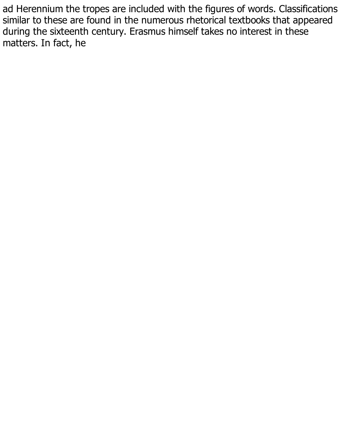ad Herennium the tropes are included with the figures of words. Classifications similar to these are found in the numerous rhetorical textbooks that appeared during the sixteenth century. Erasmus himself takes no interest in these matters. In fact, he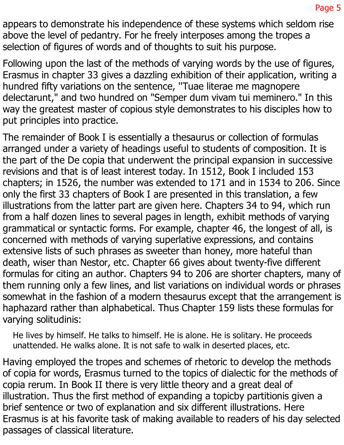appears to demonstrate his independence of these systems which seldom rise above the level of pedantry. For he freely interposes among the tropes a selection of figures of words and of thoughts to suit his purpose.

Following upon the last of the methods of varying words by the use of figures, Erasmus in chapter 33 gives a dazzling exhibition of their application, writing a hundred fifty variations on the sentence, ''Tuae literae me magnopere delectarunt, " and two hundred on "Semper dum vivam tui meminero." In this way the greatest master of copious style demonstrates to his disciples how to put principles into practice.

The remainder of Book I is essentially a thesaurus or collection of formulas arranged under a variety of headings useful to students of composition. It is the part of the De copia that underwent the principal expansion in successive revisions and that is of least interest today. In 1512, Book I included 153 chapters; in 1526, the number was extended to 171 and in 1534 to 206. Since only the first 33 chapters of Book I are presented in this translation, a few illustrations from the latter part are given here. Chapters 34 to 94, which run from a half dozen lines to several pages in length, exhibit methods of varying grammatical or syntactic forms. For example, chapter 46, the longest of all, is concerned with methods of varying superlative expressions, and contains extensive lists of such phrases as sweeter than honey, more hateful than death, wiser than Nestor, etc. Chapter 66 gives about twenty-five different formulas for citing an author. Chapters 94 to 206 are shorter chapters, many of them running only a few lines, and list variations on individual words or phrases somewhat in the fashion of a modern thesaurus except that the arrangement is haphazard rather than alphabetical. Thus Chapter 159 lists these formulas for varying solitudinis:

He lives by himself. He talks to himself. He is alone. He is solitary. He proceeds unattended. He walks alone. It is not safe to walk in deserted places, etc.

Having employed the tropes and schemes of rhetoric to develop the methods of copia for words, Erasmus turned to the topics of dialectic for the methods of copia rerum. In Book II there is very little theory and a great deal of illustration. Thus the first method of expanding a topicby partitionis given a brief sentence or two of explanation and six different illustrations. Here Erasmus is at his favorite task of making available to readers of his day selected passages of classical literature.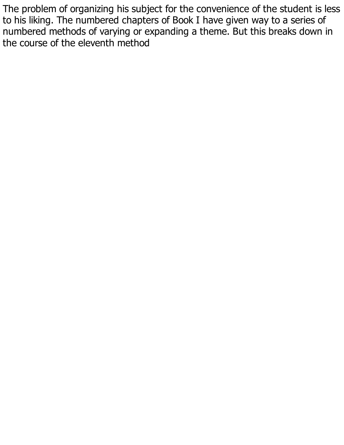The problem of organizing his subject for the convenience of the student is less to his liking. The numbered chapters of Book I have given way to a series of numbered methods of varying or expanding a theme. But this breaks down in the course of the eleventh method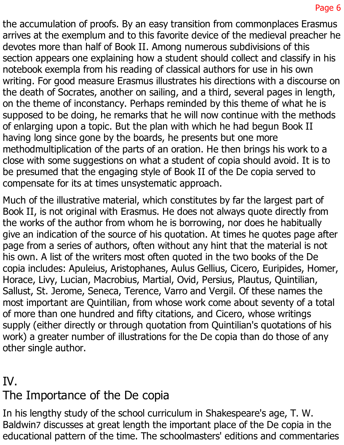#### Page 6

the accumulation of proofs. By an easy transition from commonplaces Erasmus arrives at the exemplum and to this favorite device of the medieval preacher he devotes more than half of Book II. Among numerous subdivisions of this section appears one explaining how a student should collect and classify in his notebook exempla from his reading of classical authors for use in his own writing. For good measure Erasmus illustrates his directions with a discourse on the death of Socrates, another on sailing, and a third, several pages in length, on the theme of inconstancy. Perhaps reminded by this theme of what he is supposed to be doing, he remarks that he will now continue with the methods of enlarging upon a topic. But the plan with which he had begun Book II having long since gone by the boards, he presents but one more methodmultiplication of the parts of an oration. He then brings his work to a close with some suggestions on what a student of copia should avoid. It is to be presumed that the engaging style of Book II of the De copia served to compensate for its at times unsystematic approach.

Much of the illustrative material, which constitutes by far the largest part of Book II, is not original with Erasmus. He does not always quote directly from the works of the author from whom he is borrowing, nor does he habitually give an indication of the source of his quotation. At times he quotes page after page from a series of authors, often without any hint that the material is not his own. A list of the writers most often quoted in the two books of the De copia includes: Apuleius, Aristophanes, Aulus Gellius, Cicero, Euripides, Homer, Horace, Livy, Lucian, Macrobius, Martial, Ovid, Persius, Plautus, Quintilian, Sallust, St. Jerome, Seneca, Terence, Varro and Vergil. Of these names the most important are Quintilian, from whose work come about seventy of a total of more than one hundred and fifty citations, and Cicero, whose writings supply (either directly or through quotation from Quintilian's quotations of his work) a greater number of illustrations for the De copia than do those of any other single author.

#### IV. The Importance of the De copia

In his lengthy study of the school curriculum in Shakespeare's age, T. W. Baldwin7 discusses at great length the important place of the De copia in the educational pattern of the time. The schoolmasters' editions and commentaries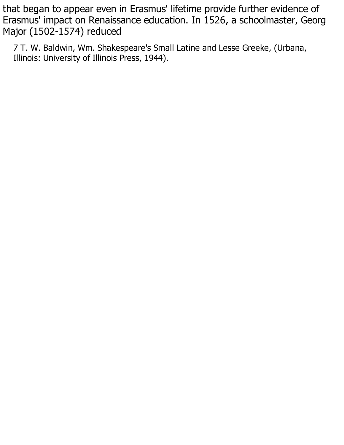that began to appear even in Erasmus' lifetime provide further evidence of Erasmus' impact on Renaissance education. In 1526, a schoolmaster, Georg Major (1502-1574) reduced

7 T. W. Baldwin, Wm. Shakespeare's Small Latine and Lesse Greeke, (Urbana, Illinois: University of Illinois Press, 1944).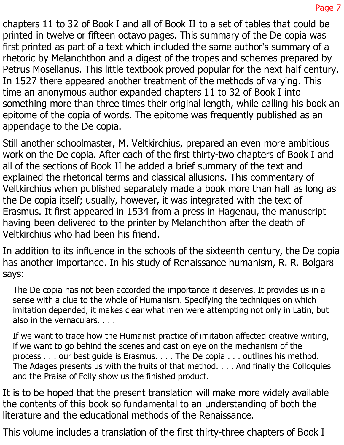Page 7

chapters 11 to 32 of Book I and all of Book II to a set of tables that could be printed in twelve or fifteen octavo pages. This summary of the De copia was first printed as part of a text which included the same author's summary of a rhetoric by Melanchthon and a digest of the tropes and schemes prepared by Petrus Mosellanus. This little textbook proved popular for the next half century. In 1527 there appeared another treatment of the methods of varying. This time an anonymous author expanded chapters 11 to 32 of Book I into something more than three times their original length, while calling his book an epitome of the copia of words. The epitome was frequently published as an appendage to the De copia.

Still another schoolmaster, M. Veltkirchius, prepared an even more ambitious work on the De copia. After each of the first thirty-two chapters of Book I and all of the sections of Book II he added a brief summary of the text and explained the rhetorical terms and classical allusions. This commentary of Veltkirchius when published separately made a book more than half as long as the De copia itself; usually, however, it was integrated with the text of Erasmus. It first appeared in 1534 from a press in Hagenau, the manuscript having been delivered to the printer by Melanchthon after the death of Veltkirchius who had been his friend.

In addition to its influence in the schools of the sixteenth century, the De copia has another importance. In his study of Renaissance humanism, R. R. Bolgar8 says:

The De copia has not been accorded the importance it deserves. It provides us in a sense with a clue to the whole of Humanism. Specifying the techniques on which imitation depended, it makes clear what men were attempting not only in Latin, but also in the vernaculars. . . .

If we want to trace how the Humanist practice of imitation affected creative writing, if we want to go behind the scenes and cast on eye on the mechanism of the process . . . our best guide is Erasmus. . . . The De copia . . . outlines his method. The Adages presents us with the fruits of that method. . . . And finally the Colloquies and the Praise of Folly show us the finished product.

It is to be hoped that the present translation will make more widely available the contents of this book so fundamental to an understanding of both the literature and the educational methods of the Renaissance.

This volume includes a translation of the first thirty-three chapters of Book I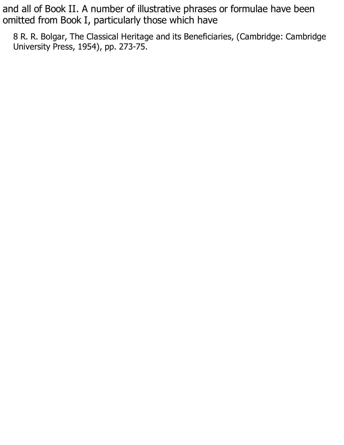and all of Book II. A number of illustrative phrases or formulae have been omitted from Book I, particularly those which have

8 R. R. Bolgar, The Classical Heritage and its Beneficiaries, (Cambridge: Cambridge University Press, 1954), pp. 273-75.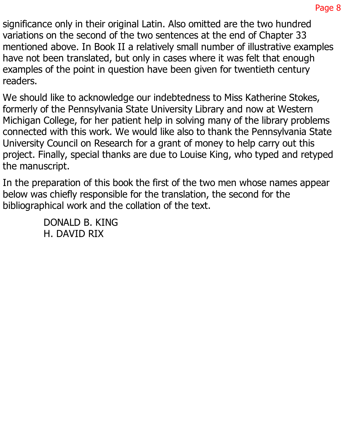significance only in their original Latin. Also omitted are the two hundred variations on the second of the two sentences at the end of Chapter 33 mentioned above. In Book II a relatively small number of illustrative examples have not been translated, but only in cases where it was felt that enough examples of the point in question have been given for twentieth century readers.

We should like to acknowledge our indebtedness to Miss Katherine Stokes, formerly of the Pennsylvania State University Library and now at Western Michigan College, for her patient help in solving many of the library problems connected with this work. We would like also to thank the Pennsylvania State University Council on Research for a grant of money to help carry out this project. Finally, special thanks are due to Louise King, who typed and retyped the manuscript.

In the preparation of this book the first of the two men whose names appear below was chiefly responsible for the translation, the second for the bibliographical work and the collation of the text.

> DONALD B. KING H. DAVID RIX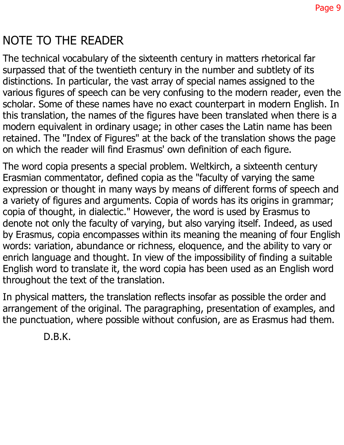# NOTE TO THE READER

The technical vocabulary of the sixteenth century in matters rhetorical far surpassed that of the twentieth century in the number and subtlety of its distinctions. In particular, the vast array of special names assigned to the various figures of speech can be very confusing to the modern reader, even the scholar. Some of these names have no exact counterpart in modern English. In this translation, the names of the figures have been translated when there is a modern equivalent in ordinary usage; in other cases the Latin name has been retained. The "Index of Figures" at the back of the translation shows the page on which the reader will find Erasmus' own definition of each figure.

The word copia presents a special problem. Weltkirch, a sixteenth century Erasmian commentator, defined copia as the "faculty of varying the same expression or thought in many ways by means of different forms of speech and a variety of figures and arguments. Copia of words has its origins in grammar; copia of thought, in dialectic." However, the word is used by Erasmus to denote not only the faculty of varying, but also varying itself. Indeed, as used by Erasmus, copia encompasses within its meaning the meaning of four English words: variation, abundance or richness, eloquence, and the ability to vary or enrich language and thought. In view of the impossibility of finding a suitable English word to translate it, the word copia has been used as an English word throughout the text of the translation.

In physical matters, the translation reflects insofar as possible the order and arrangement of the original. The paragraphing, presentation of examples, and the punctuation, where possible without confusion, are as Erasmus had them.

D.B.K.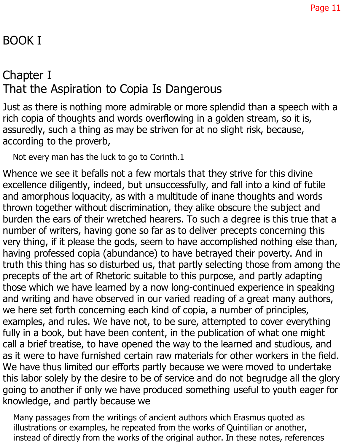# BOOK I

### Chapter I That the Aspiration to Copia Is Dangerous

Just as there is nothing more admirable or more splendid than a speech with a rich copia of thoughts and words overflowing in a golden stream, so it is, assuredly, such a thing as may be striven for at no slight risk, because, according to the proverb,

Not every man has the luck to go to Corinth.1

Whence we see it befalls not a few mortals that they strive for this divine excellence diligently, indeed, but unsuccessfully, and fall into a kind of futile and amorphous loquacity, as with a multitude of inane thoughts and words thrown together without discrimination, they alike obscure the subject and burden the ears of their wretched hearers. To such a degree is this true that a number of writers, having gone so far as to deliver precepts concerning this very thing, if it please the gods, seem to have accomplished nothing else than, having professed copia (abundance) to have betrayed their poverty. And in truth this thing has so disturbed us, that partly selecting those from among the precepts of the art of Rhetoric suitable to this purpose, and partly adapting those which we have learned by a now long-continued experience in speaking and writing and have observed in our varied reading of a great many authors, we here set forth concerning each kind of copia, a number of principles, examples, and rules. We have not, to be sure, attempted to cover everything fully in a book, but have been content, in the publication of what one might call a brief treatise, to have opened the way to the learned and studious, and as it were to have furnished certain raw materials for other workers in the field. We have thus limited our efforts partly because we were moved to undertake this labor solely by the desire to be of service and do not begrudge all the glory going to another if only we have produced something useful to youth eager for knowledge, and partly because we

Many passages from the writings of ancient authors which Erasmus quoted as illustrations or examples, he repeated from the works of Quintilian or another, instead of directly from the works of the original author. In these notes, references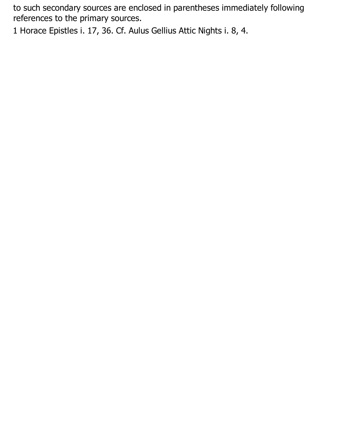to such secondary sources are enclosed in parentheses immediately following references to the primary sources.

1 Horace Epistles i. 17, 36. Cf. Aulus Gellius Attic Nights i. 8, 4.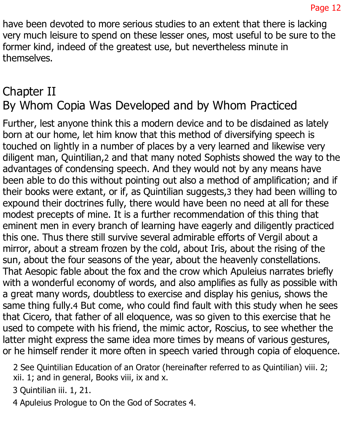have been devoted to more serious studies to an extent that there is lacking very much leisure to spend on these lesser ones, most useful to be sure to the former kind, indeed of the greatest use, but nevertheless minute in themselves.

#### Chapter II By Whom Copia Was Developed and by Whom Practiced

Further, lest anyone think this a modern device and to be disdained as lately born at our home, let him know that this method of diversifying speech is touched on lightly in a number of places by a very learned and likewise very diligent man, Quintilian,2 and that many noted Sophists showed the way to the advantages of condensing speech. And they would not by any means have been able to do this without pointing out also a method of amplification; and if their books were extant, or if, as Quintilian suggests,3 they had been willing to expound their doctrines fully, there would have been no need at all for these modest precepts of mine. It is a further recommendation of this thing that eminent men in every branch of learning have eagerly and diligently practiced this one. Thus there still survive several admirable efforts of Vergil about a mirror, about a stream frozen by the cold, about Iris, about the rising of the sun, about the four seasons of the year, about the heavenly constellations. That Aesopic fable about the fox and the crow which Apuleius narrates briefly with a wonderful economy of words, and also amplifies as fully as possible with a great many words, doubtless to exercise and display his genius, shows the same thing fully.4 But come, who could find fault with this study when he sees that Cicero, that father of all eloquence, was so given to this exercise that he used to compete with his friend, the mimic actor, Roscius, to see whether the latter might express the same idea more times by means of various gestures, or he himself render it more often in speech varied through copia of eloquence.

2 See Quintilian Education of an Orator (hereinafter referred to as Quintilian) viii. 2; xii. 1; and in general, Books viii, ix and x.

3 Quintilian iii. 1, 21.

4 Apuleius Prologue to On the God of Socrates 4.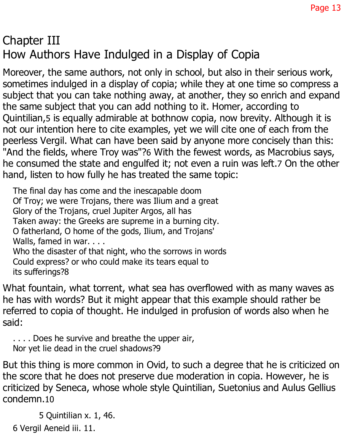# Chapter III How Authors Have Indulged in a Display of Copia

Moreover, the same authors, not only in school, but also in their serious work, sometimes indulged in a display of copia; while they at one time so compress a subject that you can take nothing away, at another, they so enrich and expand the same subject that you can add nothing to it. Homer, according to Quintilian,5 is equally admirable at bothnow copia, now brevity. Although it is not our intention here to cite examples, yet we will cite one of each from the peerless Vergil. What can have been said by anyone more concisely than this: "And the fields, where Troy was"?6 With the fewest words, as Macrobius says, he consumed the state and engulfed it; not even a ruin was left.7 On the other hand, listen to how fully he has treated the same topic:

The final day has come and the inescapable doom Of Troy; we were Trojans, there was Ilium and a great Glory of the Trojans, cruel Jupiter Argos, all has Taken away: the Greeks are supreme in a burning city. O fatherland, O home of the gods, Ilium, and Trojans' Walls, famed in war. . . . Who the disaster of that night, who the sorrows in words Could express? or who could make its tears equal to its sufferings?8

What fountain, what torrent, what sea has overflowed with as many waves as he has with words? But it might appear that this example should rather be referred to copia of thought. He indulged in profusion of words also when he said:

. . . . Does he survive and breathe the upper air, Nor yet lie dead in the cruel shadows?9

But this thing is more common in Ovid, to such a degree that he is criticized on the score that he does not preserve due moderation in copia. However, he is criticized by Seneca, whose whole style Quintilian, Suetonius and Aulus Gellius condemn.10

5 Quintilian x. 1, 46. 6 Vergil Aeneid iii. 11.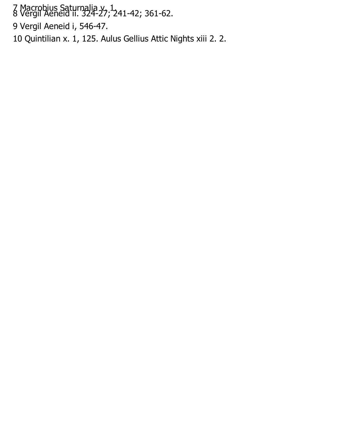Macrobius Saturnalia v. 1. Vergil Aeneid ii. 324-27; 241-42; 361-62. Vergil Aeneid i, 546-47. Quintilian x. 1, 125. Aulus Gellius Attic Nights xiii 2. 2.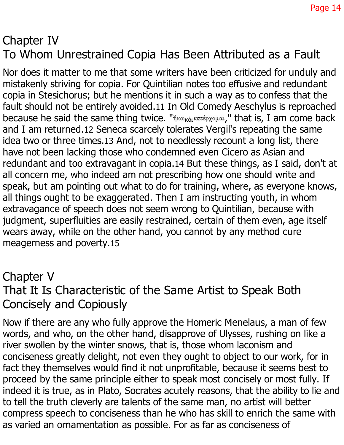# Chapter IV To Whom Unrestrained Copia Has Been Attributed as a Fault

Nor does it matter to me that some writers have been criticized for unduly and mistakenly striving for copia. For Quintilian notes too effusive and redundant copia in Stesichorus; but he mentions it in such a way as to confess that the fault should not be entirely avoided.11 In Old Comedy Aeschylus is reproached because he said the same thing twice. " $\frac{1}{11}$ K@<sub>K</sub>àik@z\$pxoµai," that is, I am come back and I am returned.12 Seneca scarcely tolerates Vergil's repeating the same idea two or three times.13 And, not to needlessly recount a long list, there have not been lacking those who condemned even Cicero as Asian and redundant and too extravagant in copia.14 But these things, as I said, don't at all concern me, who indeed am not prescribing how one should write and speak, but am pointing out what to do for training, where, as everyone knows, all things ought to be exaggerated. Then I am instructing youth, in whom extravagance of speech does not seem wrong to Quintilian, because with judgment, superfluities are easily restrained, certain of them even, age itself wears away, while on the other hand, you cannot by any method cure meagerness and poverty.15

#### Chapter V

# That It Is Characteristic of the Same Artist to Speak Both Concisely and Copiously

Now if there are any who fully approve the Homeric Menelaus, a man of few words, and who, on the other hand, disapprove of Ulysses, rushing on like a river swollen by the winter snows, that is, those whom laconism and conciseness greatly delight, not even they ought to object to our work, for in fact they themselves would find it not unprofitable, because it seems best to proceed by the same principle either to speak most concisely or most fully. If indeed it is true, as in Plato, Socrates acutely reasons, that the ability to lie and to tell the truth cleverly are talents of the same man, no artist will better compress speech to conciseness than he who has skill to enrich the same with as varied an ornamentation as possible. For as far as conciseness of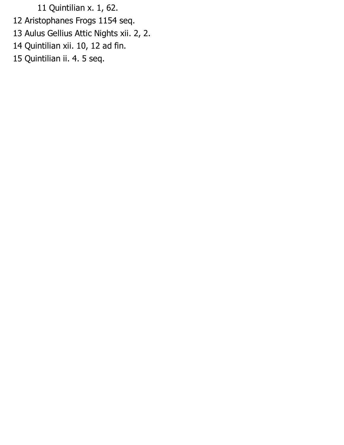Quintilian x. 1, 62. Aristophanes Frogs 1154 seq. Aulus Gellius Attic Nights xii. 2, 2. Quintilian xii. 10, 12 ad fin. Quintilian ii. 4. 5 seq.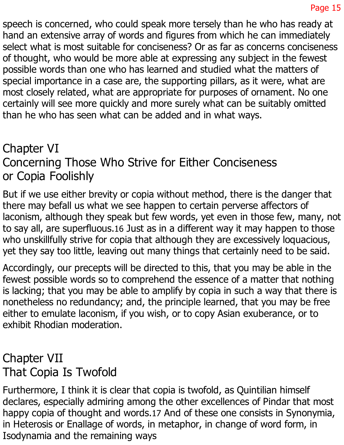speech is concerned, who could speak more tersely than he who has ready at hand an extensive array of words and figures from which he can immediately select what is most suitable for conciseness? Or as far as concerns conciseness of thought, who would be more able at expressing any subject in the fewest possible words than one who has learned and studied what the matters of special importance in a case are, the supporting pillars, as it were, what are most closely related, what are appropriate for purposes of ornament. No one certainly will see more quickly and more surely what can be suitably omitted than he who has seen what can be added and in what ways.

# Chapter VI Concerning Those Who Strive for Either Conciseness or Copia Foolishly

But if we use either brevity or copia without method, there is the danger that there may befall us what we see happen to certain perverse affectors of laconism, although they speak but few words, yet even in those few, many, not to say all, are superfluous.16 Just as in a different way it may happen to those who unskillfully strive for copia that although they are excessively loquacious, yet they say too little, leaving out many things that certainly need to be said.

Accordingly, our precepts will be directed to this, that you may be able in the fewest possible words so to comprehend the essence of a matter that nothing is lacking; that you may be able to amplify by copia in such a way that there is nonetheless no redundancy; and, the principle learned, that you may be free either to emulate laconism, if you wish, or to copy Asian exuberance, or to exhibit Rhodian moderation.

# Chapter VII That Copia Is Twofold

Furthermore, I think it is clear that copia is twofold, as Quintilian himself declares, especially admiring among the other excellences of Pindar that most happy copia of thought and words.17 And of these one consists in Synonymia, in Heterosis or Enallage of words, in metaphor, in change of word form, in Isodynamia and the remaining ways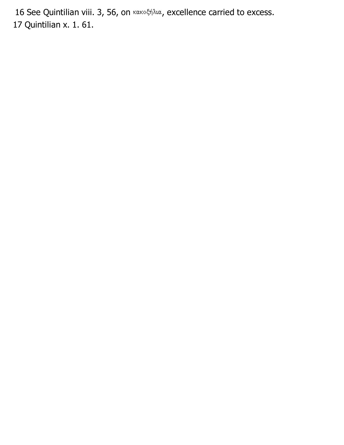16 See Quintilian viii. 3, 56, on **kakoği**lia, excellence carried to excess. 17 Quintilian x. 1. 61.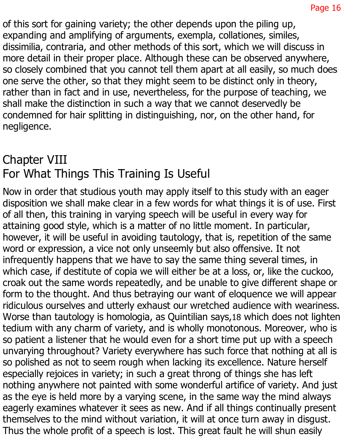of this sort for gaining variety; the other depends upon the piling up, expanding and amplifying of arguments, exempla, collationes, similes, dissimilia, contraria, and other methods of this sort, which we will discuss in more detail in their proper place. Although these can be observed anywhere, so closely combined that you cannot tell them apart at all easily, so much does one serve the other, so that they might seem to be distinct only in theory, rather than in fact and in use, nevertheless, for the purpose of teaching, we shall make the distinction in such a way that we cannot deservedly be condemned for hair splitting in distinguishing, nor, on the other hand, for negligence.

### Chapter VIII For What Things This Training Is Useful

Now in order that studious youth may apply itself to this study with an eager disposition we shall make clear in a few words for what things it is of use. First of all then, this training in varying speech will be useful in every way for attaining good style, which is a matter of no little moment. In particular, however, it will be useful in avoiding tautology, that is, repetition of the same word or expression, a vice not only unseemly but also offensive. It not infrequently happens that we have to say the same thing several times, in which case, if destitute of copia we will either be at a loss, or, like the cuckoo, croak out the same words repeatedly, and be unable to give different shape or form to the thought. And thus betraying our want of eloquence we will appear ridiculous ourselves and utterly exhaust our wretched audience with weariness. Worse than tautology is homologia, as Quintilian says,18 which does not lighten tedium with any charm of variety, and is wholly monotonous. Moreover, who is so patient a listener that he would even for a short time put up with a speech unvarying throughout? Variety everywhere has such force that nothing at all is so polished as not to seem rough when lacking its excellence. Nature herself especially rejoices in variety; in such a great throng of things she has left nothing anywhere not painted with some wonderful artifice of variety. And just as the eye is held more by a varying scene, in the same way the mind always eagerly examines whatever it sees as new. And if all things continually present themselves to the mind without variation, it will at once turn away in disgust. Thus the whole profit of a speech is lost. This great fault he will shun easily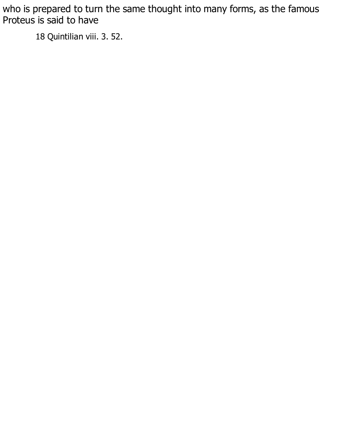who is prepared to turn the same thought into many forms, as the famous Proteus is said to have

18 Quintilian viii. 3. 52.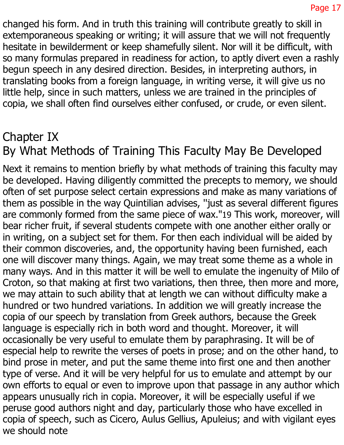changed his form. And in truth this training will contribute greatly to skill in extemporaneous speaking or writing; it will assure that we will not frequently hesitate in bewilderment or keep shamefully silent. Nor will it be difficult, with so many formulas prepared in readiness for action, to aptly divert even a rashly begun speech in any desired direction. Besides, in interpreting authors, in translating books from a foreign language, in writing verse, it will give us no little help, since in such matters, unless we are trained in the principles of copia, we shall often find ourselves either confused, or crude, or even silent.

### Chapter IX

# By What Methods of Training This Faculty May Be Developed

Next it remains to mention briefly by what methods of training this faculty may be developed. Having diligently committed the precepts to memory, we should often of set purpose select certain expressions and make as many variations of them as possible in the way Quintilian advises, ''just as several different figures are commonly formed from the same piece of wax."19 This work, moreover, will bear richer fruit, if several students compete with one another either orally or in writing, on a subject set for them. For then each individual will be aided by their common discoveries, and, the opportunity having been furnished, each one will discover many things. Again, we may treat some theme as a whole in many ways. And in this matter it will be well to emulate the ingenuity of Milo of Croton, so that making at first two variations, then three, then more and more, we may attain to such ability that at length we can without difficulty make a hundred or two hundred variations. In addition we will greatly increase the copia of our speech by translation from Greek authors, because the Greek language is especially rich in both word and thought. Moreover, it will occasionally be very useful to emulate them by paraphrasing. It will be of especial help to rewrite the verses of poets in prose; and on the other hand, to bind prose in meter, and put the same theme into first one and then another type of verse. And it will be very helpful for us to emulate and attempt by our own efforts to equal or even to improve upon that passage in any author which appears unusually rich in copia. Moreover, it will be especially useful if we peruse good authors night and day, particularly those who have excelled in copia of speech, such as Cicero, Aulus Gellius, Apuleius; and with vigilant eyes we should note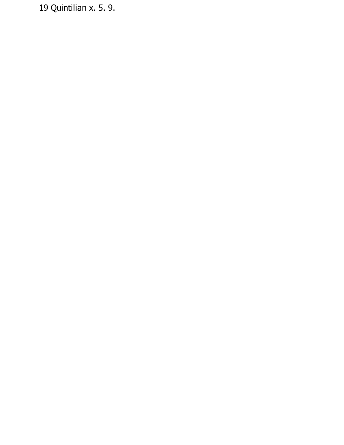Quintilian x. 5. 9.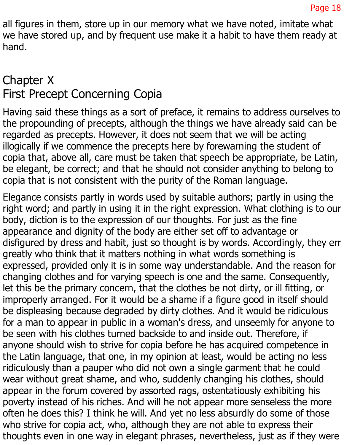all figures in them, store up in our memory what we have noted, imitate what we have stored up, and by frequent use make it a habit to have them ready at hand.

## Chapter X First Precept Concerning Copia

Having said these things as a sort of preface, it remains to address ourselves to the propounding of precepts, although the things we have already said can be regarded as precepts. However, it does not seem that we will be acting illogically if we commence the precepts here by forewarning the student of copia that, above all, care must be taken that speech be appropriate, be Latin, be elegant, be correct; and that he should not consider anything to belong to copia that is not consistent with the purity of the Roman language.

Elegance consists partly in words used by suitable authors; partly in using the right word; and partly in using it in the right expression. What clothing is to our body, diction is to the expression of our thoughts. For just as the fine appearance and dignity of the body are either set off to advantage or disfigured by dress and habit, just so thought is by words. Accordingly, they err greatly who think that it matters nothing in what words something is expressed, provided only it is in some way understandable. And the reason for changing clothes and for varying speech is one and the same. Consequently, let this be the primary concern, that the clothes be not dirty, or ill fitting, or improperly arranged. For it would be a shame if a figure good in itself should be displeasing because degraded by dirty clothes. And it would be ridiculous for a man to appear in public in a woman's dress, and unseemly for anyone to be seen with his clothes turned backside to and inside out. Therefore, if anyone should wish to strive for copia before he has acquired competence in the Latin language, that one, in my opinion at least, would be acting no less ridiculously than a pauper who did not own a single garment that he could wear without great shame, and who, suddenly changing his clothes, should appear in the forum covered by assorted rags, ostentatiously exhibiting his poverty instead of his riches. And will he not appear more senseless the more often he does this? I think he will. And yet no less absurdly do some of those who strive for copia act, who, although they are not able to express their thoughts even in one way in elegant phrases, nevertheless, just as if they were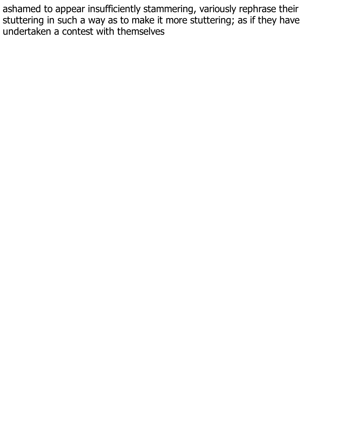ashamed to appear insufficiently stammering, variously rephrase their stuttering in such a way as to make it more stuttering; as if they have undertaken a contest with themselves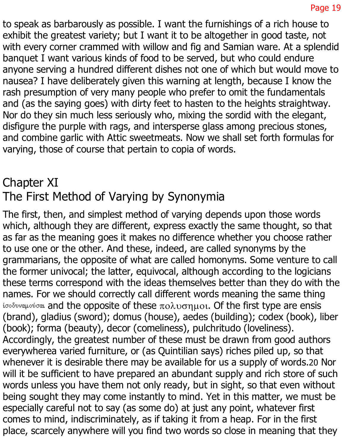to speak as barbarously as possible. I want the furnishings of a rich house to exhibit the greatest variety; but I want it to be altogether in good taste, not with every corner crammed with willow and fig and Samian ware. At a splendid banquet I want various kinds of food to be served, but who could endure anyone serving a hundred different dishes not one of which but would move to nausea? I have deliberately given this warning at length, because I know the rash presumption of very many people who prefer to omit the fundamentals and (as the saying goes) with dirty feet to hasten to the heights straightway. Nor do they sin much less seriously who, mixing the sordid with the elegant, disfigure the purple with rags, and intersperse glass among precious stones, and combine garlic with Attic sweetmeats. Now we shall set forth formulas for varying, those of course that pertain to copia of words.

## Chapter XI The First Method of Varying by Synonymia

The first, then, and simplest method of varying depends upon those words which, although they are different, express exactly the same thought, so that as far as the meaning goes it makes no difference whether you choose rather to use one or the other. And these, indeed, are called synonyms by the grammarians, the opposite of what are called homonyms. Some venture to call the former univocal; the latter, equivocal, although according to the logicians these terms correspond with the ideas themselves better than they do with the names. For we should correctly call different words meaning the same thing ioobvoquoviou and the opposite of these  $\pi$ o $\lambda$ von $\mu$ oi. Of the first type are ensis (brand), gladius (sword); domus (house), aedes (building); codex (book), liber (book); forma (beauty), decor (comeliness), pulchritudo (loveliness). Accordingly, the greatest number of these must be drawn from good authors everywherea varied furniture, or (as Quintilian says) riches piled up, so that whenever it is desirable there may be available for us a supply of words.20 Nor will it be sufficient to have prepared an abundant supply and rich store of such words unless you have them not only ready, but in sight, so that even without being sought they may come instantly to mind. Yet in this matter, we must be especially careful not to say (as some do) at just any point, whatever first comes to mind, indiscriminately, as if taking it from a heap. For in the first place, scarcely anywhere will you find two words so close in meaning that they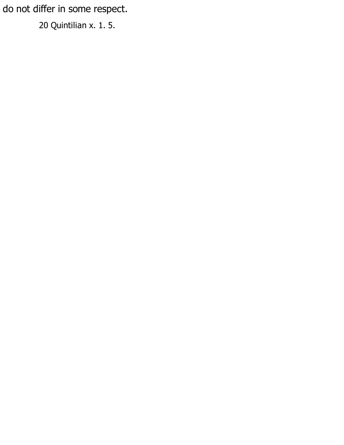do not differ in some respect.

20 Quintilian x. 1. 5.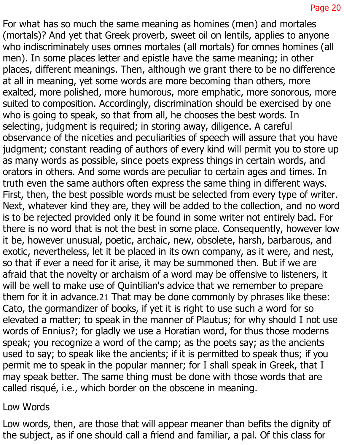For what has so much the same meaning as homines (men) and mortales (mortals)? And yet that Greek proverb, sweet oil on lentils, applies to anyone who indiscriminately uses omnes mortales (all mortals) for omnes homines (all men). In some places letter and epistle have the same meaning; in other places, different meanings. Then, although we grant there to be no difference at all in meaning, yet some words are more becoming than others, more exalted, more polished, more humorous, more emphatic, more sonorous, more suited to composition. Accordingly, discrimination should be exercised by one who is going to speak, so that from all, he chooses the best words. In selecting, judgment is required; in storing away, diligence. A careful observance of the niceties and peculiarities of speech will assure that you have judgment; constant reading of authors of every kind will permit you to store up as many words as possible, since poets express things in certain words, and orators in others. And some words are peculiar to certain ages and times. In truth even the same authors often express the same thing in different ways. First, then, the best possible words must be selected from every type of writer. Next, whatever kind they are, they will be added to the collection, and no word is to be rejected provided only it be found in some writer not entirely bad. For there is no word that is not the best in some place. Consequently, however low it be, however unusual, poetic, archaic, new, obsolete, harsh, barbarous, and exotic, nevertheless, let it be placed in its own company, as it were, and nest, so that if ever a need for it arise, it may be summoned then. But if we are afraid that the novelty or archaism of a word may be offensive to listeners, it will be well to make use of Quintilian's advice that we remember to prepare them for it in advance.21 That may be done commonly by phrases like these: Cato, the gormandizer of books, if yet it is right to use such a word for so elevated a matter; to speak in the manner of Plautus; for why should I not use words of Ennius?; for gladly we use a Horatian word, for thus those moderns speak; you recognize a word of the camp; as the poets say; as the ancients used to say; to speak like the ancients; if it is permitted to speak thus; if you permit me to speak in the popular manner; for I shall speak in Greek, that I may speak better. The same thing must be done with those words that are called risqué, i.e., which border on the obscene in meaning.

#### Low Words

Low words, then, are those that will appear meaner than befits the dignity of the subject, as if one should call a friend and familiar, a pal. Of this class for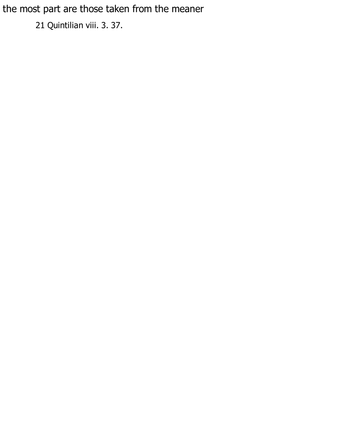the most part are those taken from the meaner

21 Quintilian viii. 3. 37.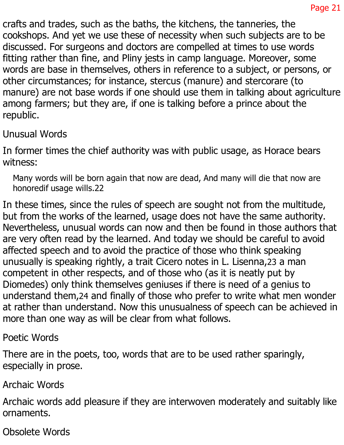crafts and trades, such as the baths, the kitchens, the tanneries, the cookshops. And yet we use these of necessity when such subjects are to be discussed. For surgeons and doctors are compelled at times to use words fitting rather than fine, and Pliny jests in camp language. Moreover, some words are base in themselves, others in reference to a subject, or persons, or other circumstances; for instance, stercus (manure) and stercorare (to manure) are not base words if one should use them in talking about agriculture among farmers; but they are, if one is talking before a prince about the republic.

#### Unusual Words

In former times the chief authority was with public usage, as Horace bears witness:

Many words will be born again that now are dead, And many will die that now are honoredif usage wills.22

In these times, since the rules of speech are sought not from the multitude, but from the works of the learned, usage does not have the same authority. Nevertheless, unusual words can now and then be found in those authors that are very often read by the learned. And today we should be careful to avoid affected speech and to avoid the practice of those who think speaking unusually is speaking rightly, a trait Cicero notes in L. Lisenna,23 a man competent in other respects, and of those who (as it is neatly put by Diomedes) only think themselves geniuses if there is need of a genius to understand them,24 and finally of those who prefer to write what men wonder at rather than understand. Now this unusualness of speech can be achieved in more than one way as will be clear from what follows.

#### Poetic Words

There are in the poets, too, words that are to be used rather sparingly, especially in prose.

#### Archaic Words

Archaic words add pleasure if they are interwoven moderately and suitably like ornaments.

#### Obsolete Words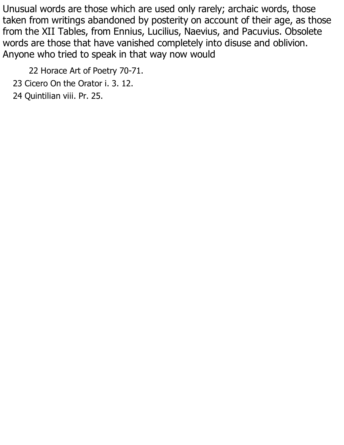Unusual words are those which are used only rarely; archaic words, those taken from writings abandoned by posterity on account of their age, as those from the XII Tables, from Ennius, Lucilius, Naevius, and Pacuvius. Obsolete words are those that have vanished completely into disuse and oblivion. Anyone who tried to speak in that way now would

22 Horace Art of Poetry 70-71.

- 23 Cicero On the Orator i. 3. 12.
- 24 Quintilian viii. Pr. 25.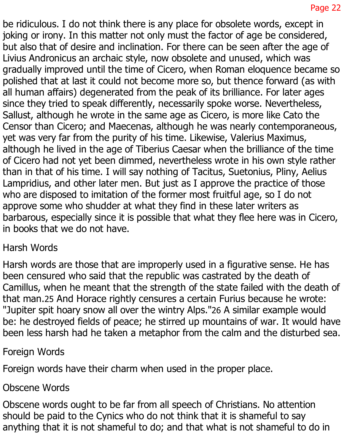be ridiculous. I do not think there is any place for obsolete words, except in joking or irony. In this matter not only must the factor of age be considered, but also that of desire and inclination. For there can be seen after the age of Livius Andronicus an archaic style, now obsolete and unused, which was gradually improved until the time of Cicero, when Roman eloquence became so polished that at last it could not become more so, but thence forward (as with all human affairs) degenerated from the peak of its brilliance. For later ages since they tried to speak differently, necessarily spoke worse. Nevertheless, Sallust, although he wrote in the same age as Cicero, is more like Cato the Censor than Cicero; and Maecenas, although he was nearly contemporaneous, yet was very far from the purity of his time. Likewise, Valerius Maximus, although he lived in the age of Tiberius Caesar when the brilliance of the time of Cicero had not yet been dimmed, nevertheless wrote in his own style rather than in that of his time. I will say nothing of Tacitus, Suetonius, Pliny, Aelius Lampridius, and other later men. But just as I approve the practice of those who are disposed to imitation of the former most fruitful age, so I do not approve some who shudder at what they find in these later writers as barbarous, especially since it is possible that what they flee here was in Cicero, in books that we do not have.

#### Harsh Words

Harsh words are those that are improperly used in a figurative sense. He has been censured who said that the republic was castrated by the death of Camillus, when he meant that the strength of the state failed with the death of that man.25 And Horace rightly censures a certain Furius because he wrote: "Jupiter spit hoary snow all over the wintry Alps."26 A similar example would be: he destroyed fields of peace; he stirred up mountains of war. It would have been less harsh had he taken a metaphor from the calm and the disturbed sea.

#### Foreign Words

Foreign words have their charm when used in the proper place.

#### Obscene Words

Obscene words ought to be far from all speech of Christians. No attention should be paid to the Cynics who do not think that it is shameful to say anything that it is not shameful to do; and that what is not shameful to do in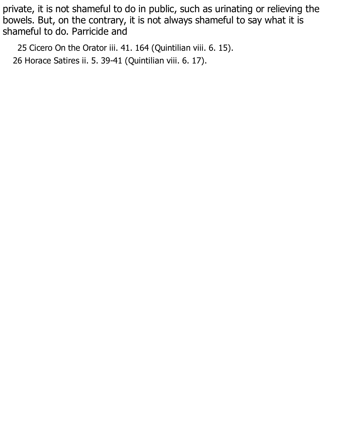private, it is not shameful to do in public, such as urinating or relieving the bowels. But, on the contrary, it is not always shameful to say what it is shameful to do. Parricide and

25 Cicero On the Orator iii. 41. 164 (Quintilian viii. 6. 15). 26 Horace Satires ii. 5. 39-41 (Quintilian viii. 6. 17).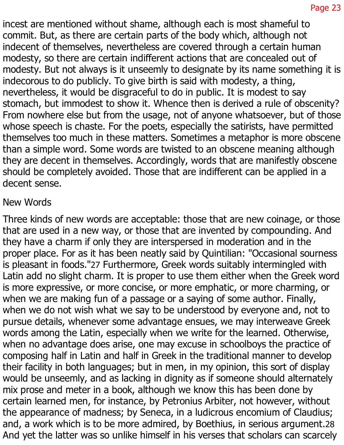incest are mentioned without shame, although each is most shameful to commit. But, as there are certain parts of the body which, although not indecent of themselves, nevertheless are covered through a certain human modesty, so there are certain indifferent actions that are concealed out of modesty. But not always is it unseemly to designate by its name something it is indecorous to do publicly. To give birth is said with modesty, a thing, nevertheless, it would be disgraceful to do in public. It is modest to say stomach, but immodest to show it. Whence then is derived a rule of obscenity? From nowhere else but from the usage, not of anyone whatsoever, but of those whose speech is chaste. For the poets, especially the satirists, have permitted themselves too much in these matters. Sometimes a metaphor is more obscene than a simple word. Some words are twisted to an obscene meaning although they are decent in themselves. Accordingly, words that are manifestly obscene should be completely avoided. Those that are indifferent can be applied in a decent sense.

#### New Words

Three kinds of new words are acceptable: those that are new coinage, or those that are used in a new way, or those that are invented by compounding. And they have a charm if only they are interspersed in moderation and in the proper place. For as it has been neatly said by Quintilian: "Occasional sourness is pleasant in foods."27 Furthermore, Greek words suitably intermingled with Latin add no slight charm. It is proper to use them either when the Greek word is more expressive, or more concise, or more emphatic, or more charming, or when we are making fun of a passage or a saying of some author. Finally, when we do not wish what we say to be understood by everyone and, not to pursue details, whenever some advantage ensues, we may interweave Greek words among the Latin, especially when we write for the learned. Otherwise, when no advantage does arise, one may excuse in schoolboys the practice of composing half in Latin and half in Greek in the traditional manner to develop their facility in both languages; but in men, in my opinion, this sort of display would be unseemly, and as lacking in dignity as if someone should alternately mix prose and meter in a book, although we know this has been done by certain learned men, for instance, by Petronius Arbiter, not however, without the appearance of madness; by Seneca, in a ludicrous encomium of Claudius; and, a work which is to be more admired, by Boethius, in serious argument.28 And yet the latter was so unlike himself in his verses that scholars can scarcely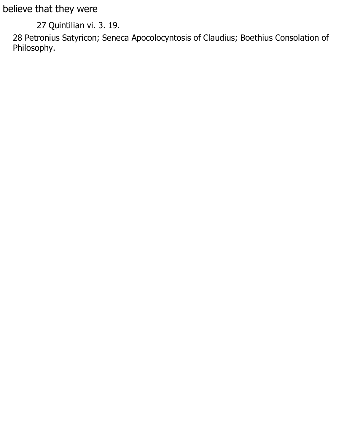believe that they were

27 Quintilian vi. 3. 19.

28 Petronius Satyricon; Seneca Apocolocyntosis of Claudius; Boethius Consolation of Philosophy.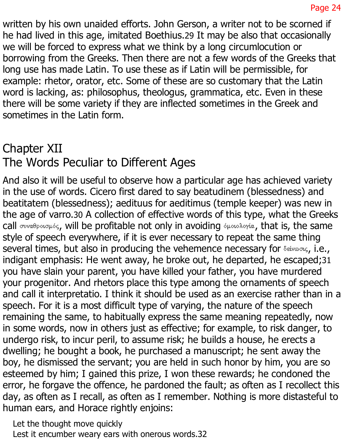written by his own unaided efforts. John Gerson, a writer not to be scorned if he had lived in this age, imitated Boethius.29 It may be also that occasionally we will be forced to express what we think by a long circumlocution or borrowing from the Greeks. Then there are not a few words of the Greeks that long use has made Latin. To use these as if Latin will be permissible, for example: rhetor, orator, etc. Some of these are so customary that the Latin word is lacking, as: philosophus, theologus, grammatica, etc. Even in these there will be some variety if they are inflected sometimes in the Greek and sometimes in the Latin form.

## Chapter XII The Words Peculiar to Different Ages

And also it will be useful to observe how a particular age has achieved variety in the use of words. Cicero first dared to say beatudinem (blessedness) and beatitatem (blessedness); aedituus for aeditimus (temple keeper) was new in the age of varro.30 A collection of effective words of this type, what the Greeks call ovraborating, will be profitable not only in avoiding suprodopia, that is, the same style of speech everywhere, if it is ever necessary to repeat the same thing several times, but also in producing the vehemence necessary for  $\delta$ sávaons, i.e., indigant emphasis: He went away, he broke out, he departed, he escaped;31 you have slain your parent, you have killed your father, you have murdered your progenitor. And rhetors place this type among the ornaments of speech and call it interpretatio. I think it should be used as an exercise rather than in a speech. For it is a most difficult type of varying, the nature of the speech remaining the same, to habitually express the same meaning repeatedly, now in some words, now in others just as effective; for example, to risk danger, to undergo risk, to incur peril, to assume risk; he builds a house, he erects a dwelling; he bought a book, he purchased a manuscript; he sent away the boy, he dismissed the servant; you are held in such honor by him, you are so esteemed by him; I gained this prize, I won these rewards; he condoned the error, he forgave the offence, he pardoned the fault; as often as I recollect this day, as often as I recall, as often as I remember. Nothing is more distasteful to human ears, and Horace rightly enjoins:

Let the thought move quickly Lest it encumber weary ears with onerous words.32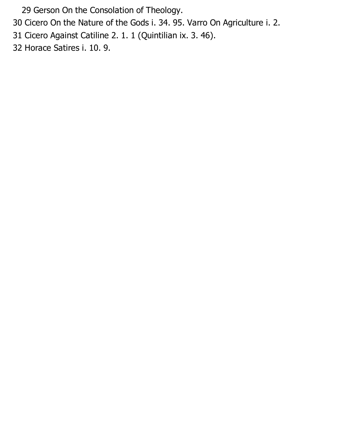Gerson On the Consolation of Theology. Cicero On the Nature of the Gods i. 34. 95. Varro On Agriculture i. 2. Cicero Against Catiline 2. 1. 1 (Quintilian ix. 3. 46). Horace Satires i. 10. 9.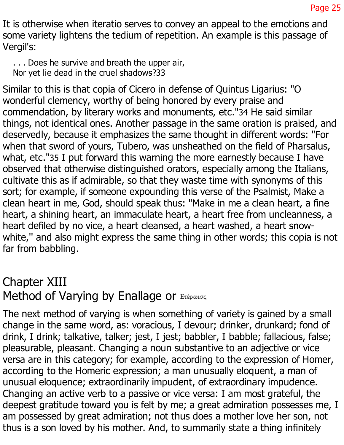It is otherwise when iteratio serves to convey an appeal to the emotions and some variety lightens the tedium of repetition. An example is this passage of Vergil's:

. . . Does he survive and breath the upper air,

Nor yet lie dead in the cruel shadows?33

Similar to this is that copia of Cicero in defense of Quintus Ligarius: "O wonderful clemency, worthy of being honored by every praise and commendation, by literary works and monuments, etc."34 He said similar things, not identical ones. Another passage in the same oration is praised, and deservedly, because it emphasizes the same thought in different words: "For when that sword of yours, Tubero, was unsheathed on the field of Pharsalus, what, etc."35 I put forward this warning the more earnestly because I have observed that otherwise distinguished orators, especially among the Italians, cultivate this as if admirable, so that they waste time with synonyms of this sort; for example, if someone expounding this verse of the Psalmist, Make a clean heart in me, God, should speak thus: "Make in me a clean heart, a fine heart, a shining heart, an immaculate heart, a heart free from uncleanness, a heart defiled by no vice, a heart cleansed, a heart washed, a heart snowwhite, '' and also might express the same thing in other words; this copia is not far from babbling.

### Chapter XIII Method of Varying by Enallage or Erépouse

The next method of varying is when something of variety is gained by a small change in the same word, as: voracious, I devour; drinker, drunkard; fond of drink, I drink; talkative, talker; jest, I jest; babbler, I babble; fallacious, false; pleasurable, pleasant. Changing a noun substantive to an adjective or vice versa are in this category; for example, according to the expression of Homer, according to the Homeric expression; a man unusually eloquent, a man of unusual eloquence; extraordinarily impudent, of extraordinary impudence. Changing an active verb to a passive or vice versa: I am most grateful, the deepest gratitude toward you is felt by me; a great admiration possesses me, I am possessed by great admiration; not thus does a mother love her son, not thus is a son loved by his mother. And, to summarily state a thing infinitely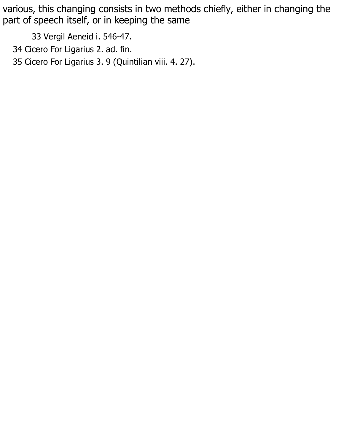various, this changing consists in two methods chiefly, either in changing the part of speech itself, or in keeping the same

33 Vergil Aeneid i. 546-47. 34 Cicero For Ligarius 2. ad. fin. 35 Cicero For Ligarius 3. 9 (Quintilian viii. 4. 27).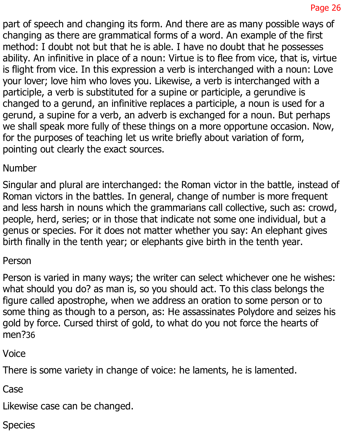part of speech and changing its form. And there are as many possible ways of changing as there are grammatical forms of a word. An example of the first method: I doubt not but that he is able. I have no doubt that he possesses ability. An infinitive in place of a noun: Virtue is to flee from vice, that is, virtue is flight from vice. In this expression a verb is interchanged with a noun: Love your lover; love him who loves you. Likewise, a verb is interchanged with a participle, a verb is substituted for a supine or participle, a gerundive is changed to a gerund, an infinitive replaces a participle, a noun is used for a gerund, a supine for a verb, an adverb is exchanged for a noun. But perhaps we shall speak more fully of these things on a more opportune occasion. Now, for the purposes of teaching let us write briefly about variation of form, pointing out clearly the exact sources.

#### Number

Singular and plural are interchanged: the Roman victor in the battle, instead of Roman victors in the battles. In general, change of number is more frequent and less harsh in nouns which the grammarians call collective, such as: crowd, people, herd, series; or in those that indicate not some one individual, but a genus or species. For it does not matter whether you say: An elephant gives birth finally in the tenth year; or elephants give birth in the tenth year.

#### Person

Person is varied in many ways; the writer can select whichever one he wishes: what should you do? as man is, so you should act. To this class belongs the figure called apostrophe, when we address an oration to some person or to some thing as though to a person, as: He assassinates Polydore and seizes his gold by force. Cursed thirst of gold, to what do you not force the hearts of men?36

#### Voice

There is some variety in change of voice: he laments, he is lamented.

Case

Likewise case can be changed.

**Species**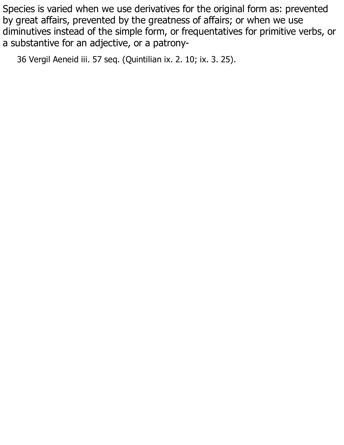Species is varied when we use derivatives for the original form as: prevented by great affairs, prevented by the greatness of affairs; or when we use diminutives instead of the simple form, or frequentatives for primitive verbs, or a substantive for an adjective, or a patrony-

36 Vergil Aeneid iii. 57 seq. (Quintilian ix. 2. 10; ix. 3. 25).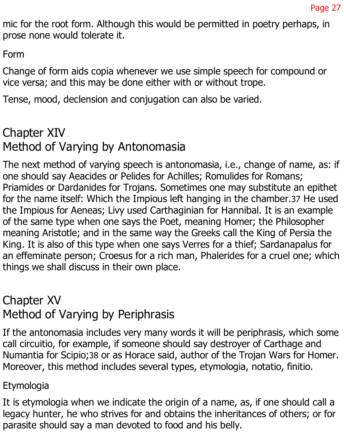mic for the root form. Although this would be permitted in poetry perhaps, in prose none would tolerate it.

Form

Change of form aids copia whenever we use simple speech for compound or vice versa; and this may be done either with or without trope.

Tense, mood, declension and conjugation can also be varied.

## Chapter XIV Method of Varying by Antonomasia

The next method of varying speech is antonomasia, i.e., change of name, as: if one should say Aeacides or Pelides for Achilles; Romulides for Romans; Priamides or Dardanides for Trojans. Sometimes one may substitute an epithet for the name itself: Which the Impious left hanging in the chamber.37 He used the Impious for Aeneas; Livy used Carthaginian for Hannibal. It is an example of the same type when one says the Poet, meaning Homer; the Philosopher meaning Aristotle; and in the same way the Greeks call the King of Persia the King. It is also of this type when one says Verres for a thief; Sardanapalus for an effeminate person; Croesus for a rich man, Phalerides for a cruel one; which things we shall discuss in their own place.

## Chapter XV Method of Varying by Periphrasis

If the antonomasia includes very many words it will be periphrasis, which some call circuitio, for example, if someone should say destroyer of Carthage and Numantia for Scipio;38 or as Horace said, author of the Trojan Wars for Homer. Moreover, this method includes several types, etymologia, notatio, finitio.

#### **Etymologia**

It is etymologia when we indicate the origin of a name, as, if one should call a legacy hunter, he who strives for and obtains the inheritances of others; or for parasite should say a man devoted to food and his belly.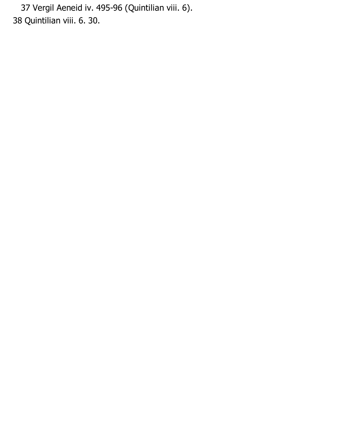Vergil Aeneid iv. 495-96 (Quintilian viii. 6). Quintilian viii. 6. 30.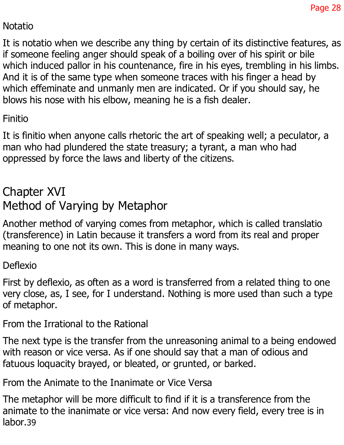#### **Notatio**

It is notatio when we describe any thing by certain of its distinctive features, as if someone feeling anger should speak of a boiling over of his spirit or bile which induced pallor in his countenance, fire in his eyes, trembling in his limbs. And it is of the same type when someone traces with his finger a head by which effeminate and unmanly men are indicated. Or if you should say, he blows his nose with his elbow, meaning he is a fish dealer.

#### Finitio

It is finitio when anyone calls rhetoric the art of speaking well; a peculator, a man who had plundered the state treasury; a tyrant, a man who had oppressed by force the laws and liberty of the citizens.

### Chapter XVI Method of Varying by Metaphor

Another method of varying comes from metaphor, which is called translatio (transference) in Latin because it transfers a word from its real and proper meaning to one not its own. This is done in many ways.

#### Deflexio

First by deflexio, as often as a word is transferred from a related thing to one very close, as, I see, for I understand. Nothing is more used than such a type of metaphor.

From the Irrational to the Rational

The next type is the transfer from the unreasoning animal to a being endowed with reason or vice versa. As if one should say that a man of odious and fatuous loquacity brayed, or bleated, or grunted, or barked.

From the Animate to the Inanimate or Vice Versa

The metaphor will be more difficult to find if it is a transference from the animate to the inanimate or vice versa: And now every field, every tree is in labor.39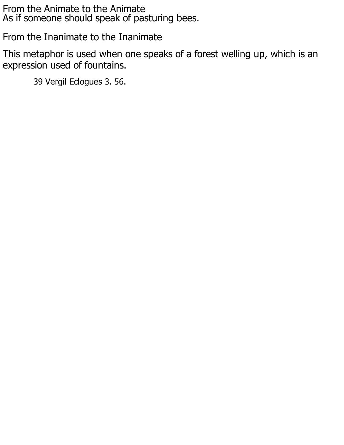From the Animate to the Animate As if someone should speak of pasturing bees.

From the Inanimate to the Inanimate

This metaphor is used when one speaks of a forest welling up, which is an expression used of fountains.

39 Vergil Eclogues 3. 56.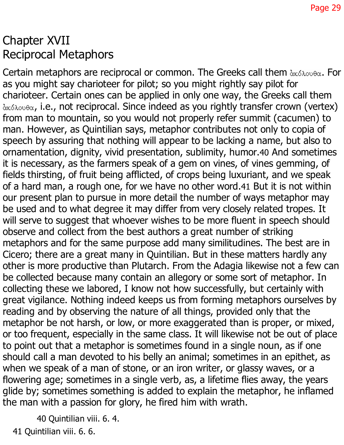## Chapter XVII Reciprocal Metaphors

Certain metaphors are reciprocal or common. The Greeks call them  $\frac{\partial x}{\partial x}$  and  $\frac{\partial y}{\partial y}$ . For as you might say charioteer for pilot; so you might rightly say pilot for charioteer. Certain ones can be applied in only one way, the Greeks call them <u>λκόλουθα</u>, i.e., not reciprocal. Since indeed as you rightly transfer crown (vertex) from man to mountain, so you would not properly refer summit (cacumen) to man. However, as Quintilian says, metaphor contributes not only to copia of speech by assuring that nothing will appear to be lacking a name, but also to ornamentation, dignity, vivid presentation, sublimity, humor.40 And sometimes it is necessary, as the farmers speak of a gem on vines, of vines gemming, of fields thirsting, of fruit being afflicted, of crops being luxuriant, and we speak of a hard man, a rough one, for we have no other word.41 But it is not within our present plan to pursue in more detail the number of ways metaphor may be used and to what degree it may differ from very closely related tropes. It will serve to suggest that whoever wishes to be more fluent in speech should observe and collect from the best authors a great number of striking metaphors and for the same purpose add many similitudines. The best are in Cicero; there are a great many in Quintilian. But in these matters hardly any other is more productive than Plutarch. From the Adagia likewise not a few can be collected because many contain an allegory or some sort of metaphor. In collecting these we labored, I know not how successfully, but certainly with great vigilance. Nothing indeed keeps us from forming metaphors ourselves by reading and by observing the nature of all things, provided only that the metaphor be not harsh, or low, or more exaggerated than is proper, or mixed, or too frequent, especially in the same class. It will likewise not be out of place to point out that a metaphor is sometimes found in a single noun, as if one should call a man devoted to his belly an animal; sometimes in an epithet, as when we speak of a man of stone, or an iron writer, or glassy waves, or a flowering age; sometimes in a single verb, as, a lifetime flies away, the years glide by; sometimes something is added to explain the metaphor, he inflamed the man with a passion for glory, he fired him with wrath.

40 Quintilian viii. 6. 4.

41 Quintilian viii. 6. 6.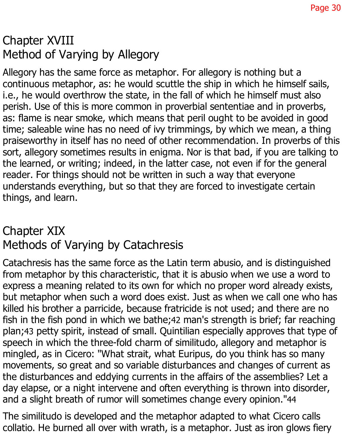## Chapter XVIII Method of Varying by Allegory

Allegory has the same force as metaphor. For allegory is nothing but a continuous metaphor, as: he would scuttle the ship in which he himself sails, i.e., he would overthrow the state, in the fall of which he himself must also perish. Use of this is more common in proverbial sententiae and in proverbs, as: flame is near smoke, which means that peril ought to be avoided in good time; saleable wine has no need of ivy trimmings, by which we mean, a thing praiseworthy in itself has no need of other recommendation. In proverbs of this sort, allegory sometimes results in enigma. Nor is that bad, if you are talking to the learned, or writing; indeed, in the latter case, not even if for the general reader. For things should not be written in such a way that everyone understands everything, but so that they are forced to investigate certain things, and learn.

### Chapter XIX Methods of Varying by Catachresis

Catachresis has the same force as the Latin term abusio, and is distinguished from metaphor by this characteristic, that it is abusio when we use a word to express a meaning related to its own for which no proper word already exists, but metaphor when such a word does exist. Just as when we call one who has killed his brother a parricide, because fratricide is not used; and there are no fish in the fish pond in which we bathe;42 man's strength is brief; far reaching plan;43 petty spirit, instead of small. Quintilian especially approves that type of speech in which the three-fold charm of similitudo, allegory and metaphor is mingled, as in Cicero: "What strait, what Euripus, do you think has so many movements, so great and so variable disturbances and changes of current as the disturbances and eddying currents in the affairs of the assemblies? Let a day elapse, or a night intervene and often everything is thrown into disorder, and a slight breath of rumor will sometimes change every opinion."44

The similitudo is developed and the metaphor adapted to what Cicero calls collatio. He burned all over with wrath, is a metaphor. Just as iron glows fiery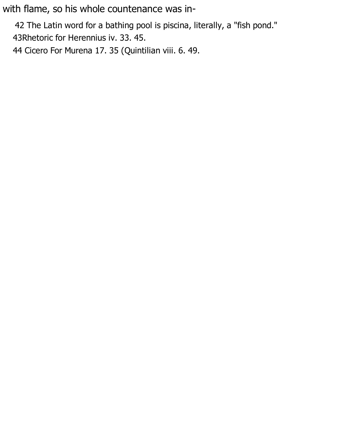with flame, so his whole countenance was in-

42 The Latin word for a bathing pool is piscina, literally, a "fish pond." 43Rhetoric for Herennius iv. 33. 45. 44 Cicero For Murena 17. 35 (Quintilian viii. 6. 49.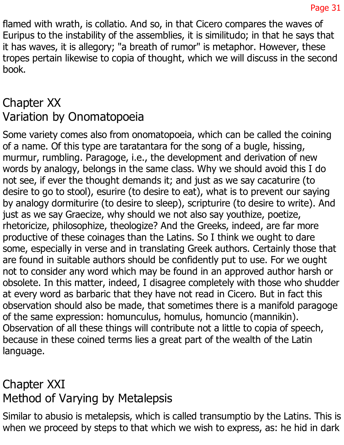flamed with wrath, is collatio. And so, in that Cicero compares the waves of Euripus to the instability of the assemblies, it is similitudo; in that he says that it has waves, it is allegory; "a breath of rumor" is metaphor. However, these tropes pertain likewise to copia of thought, which we will discuss in the second book.

## Chapter XX Variation by Onomatopoeia

Some variety comes also from onomatopoeia, which can be called the coining of a name. Of this type are taratantara for the song of a bugle, hissing, murmur, rumbling. Paragoge, i.e., the development and derivation of new words by analogy, belongs in the same class. Why we should avoid this I do not see, if ever the thought demands it; and just as we say cacaturire (to desire to go to stool), esurire (to desire to eat), what is to prevent our saying by analogy dormiturire (to desire to sleep), scripturire (to desire to write). And just as we say Graecize, why should we not also say youthize, poetize, rhetoricize, philosophize, theologize? And the Greeks, indeed, are far more productive of these coinages than the Latins. So I think we ought to dare some, especially in verse and in translating Greek authors. Certainly those that are found in suitable authors should be confidently put to use. For we ought not to consider any word which may be found in an approved author harsh or obsolete. In this matter, indeed, I disagree completely with those who shudder at every word as barbaric that they have not read in Cicero. But in fact this observation should also be made, that sometimes there is a manifold paragoge of the same expression: homunculus, homulus, homuncio (mannikin). Observation of all these things will contribute not a little to copia of speech, because in these coined terms lies a great part of the wealth of the Latin language.

## Chapter XXI Method of Varying by Metalepsis

Similar to abusio is metalepsis, which is called transumptio by the Latins. This is when we proceed by steps to that which we wish to express, as: he hid in dark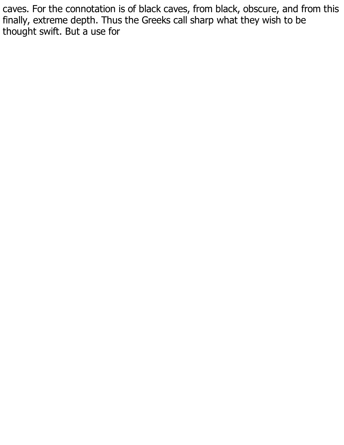caves. For the connotation is of black caves, from black, obscure, and from this finally, extreme depth. Thus the Greeks call sharp what they wish to be thought swift. But a use for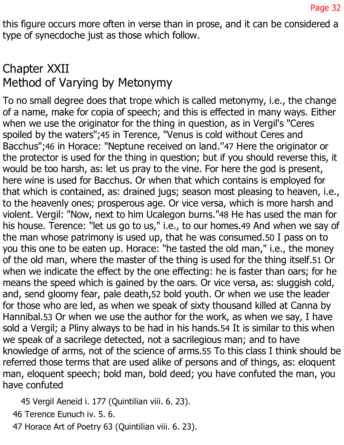this figure occurs more often in verse than in prose, and it can be considered a type of synecdoche just as those which follow.

## Chapter XXII Method of Varying by Metonymy

To no small degree does that trope which is called metonymy, i.e., the change of a name, make for copia of speech; and this is effected in many ways. Either when we use the originator for the thing in question, as in Vergil's "Ceres spoiled by the waters";45 in Terence, "Venus is cold without Ceres and Bacchus";46 in Horace: "Neptune received on land.''47 Here the originator or the protector is used for the thing in question; but if you should reverse this, it would be too harsh, as: let us pray to the vine. For here the god is present, here wine is used for Bacchus. Or when that which contains is employed for that which is contained, as: drained jugs; season most pleasing to heaven, i.e., to the heavenly ones; prosperous age. Or vice versa, which is more harsh and violent. Vergil: "Now, next to him Ucalegon burns."48 He has used the man for his house. Terence: "let us go to us, " i.e., to our homes.49 And when we say of the man whose patrimony is used up, that he was consumed.50 I pass on to you this one to be eaten up. Horace: "he tasted the old man, " i.e., the money of the old man, where the master of the thing is used for the thing itself.51 Or when we indicate the effect by the one effecting: he is faster than oars; for he means the speed which is gained by the oars. Or vice versa, as: sluggish cold, and, send gloomy fear, pale death,52 bold youth. Or when we use the leader for those who are led, as when we speak of sixty thousand killed at Canna by Hannibal.53 Or when we use the author for the work, as when we say, I have sold a Vergil; a Pliny always to be had in his hands.54 It is similar to this when we speak of a sacrilege detected, not a sacrilegious man; and to have knowledge of arms, not of the science of arms.55 To this class I think should be referred those terms that are used alike of persons and of things, as: eloquent man, eloquent speech; bold man, bold deed; you have confuted the man, you have confuted

45 Vergil Aeneid i. 177 (Quintilian viii. 6. 23).

46 Terence Eunuch iv. 5. 6.

47 Horace Art of Poetry 63 (Quintilian viii. 6. 23).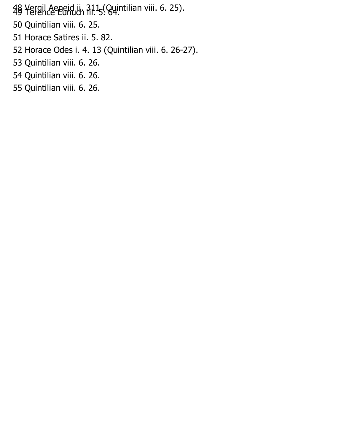Vergil Aeneid ii. <sup>311</sup> (Quintilian viii. 6. 25). <sup>49</sup> Terence Eunuch iii. 5. 64.

Quintilian viii. 6. 25.

- Horace Satires ii. 5. 82.
- Horace Odes i. 4. 13 (Quintilian viii. 6. 26-27).
- Quintilian viii. 6. 26.
- Quintilian viii. 6. 26.
- Quintilian viii. 6. 26.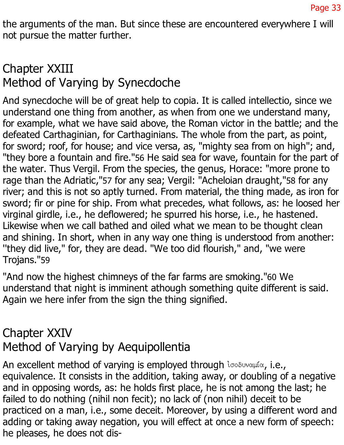the arguments of the man. But since these are encountered everywhere I will not pursue the matter further.

## Chapter XXIII Method of Varying by Synecdoche

And synecdoche will be of great help to copia. It is called intellectio, since we understand one thing from another, as when from one we understand many, for example, what we have said above, the Roman victor in the battle; and the defeated Carthaginian, for Carthaginians. The whole from the part, as point, for sword; roof, for house; and vice versa, as, "mighty sea from on high"; and, "they bore a fountain and fire."56 He said sea for wave, fountain for the part of the water. Thus Vergil. From the species, the genus, Horace: "more prone to rage than the Adriatic, "57 for any sea; Vergil: "Acheloian draught, "58 for any river; and this is not so aptly turned. From material, the thing made, as iron for sword; fir or pine for ship. From what precedes, what follows, as: he loosed her virginal girdle, i.e., he deflowered; he spurred his horse, i.e., he hastened. Likewise when we call bathed and oiled what we mean to be thought clean and shining. In short, when in any way one thing is understood from another: "they did live," for, they are dead. "We too did flourish," and, "we were Trojans."59

"And now the highest chimneys of the far farms are smoking."60 We understand that night is imminent athough something quite different is said. Again we here infer from the sign the thing signified.

## Chapter XXIV Method of Varying by Aequipollentia

An excellent method of varying is employed through  $\frac{1}{100}$   $\frac{1}{100}$   $\frac{1}{100}$  i.e., equivalence. It consists in the addition, taking away, or doubling of a negative and in opposing words, as: he holds first place, he is not among the last; he failed to do nothing (nihil non fecit); no lack of (non nihil) deceit to be practiced on a man, i.e., some deceit. Moreover, by using a different word and adding or taking away negation, you will effect at once a new form of speech: he pleases, he does not dis-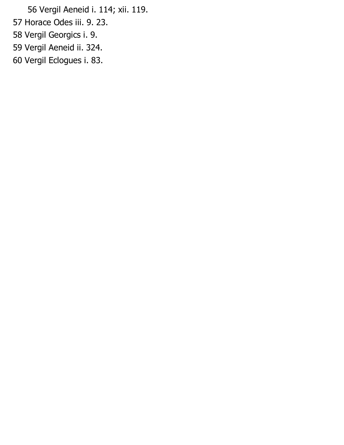Vergil Aeneid i. 114; xii. 119. Horace Odes iii. 9. 23. Vergil Georgics i. 9. Vergil Aeneid ii. 324. Vergil Eclogues i. 83.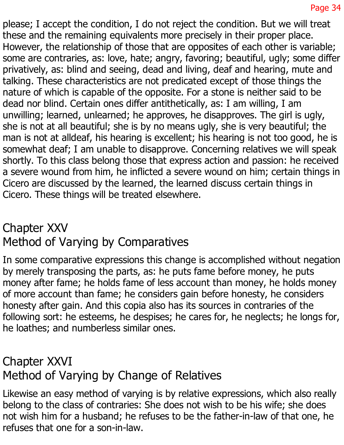please; I accept the condition, I do not reject the condition. But we will treat these and the remaining equivalents more precisely in their proper place. However, the relationship of those that are opposites of each other is variable; some are contraries, as: love, hate; angry, favoring; beautiful, ugly; some differ privatively, as: blind and seeing, dead and living, deaf and hearing, mute and talking. These characteristics are not predicated except of those things the nature of which is capable of the opposite. For a stone is neither said to be dead nor blind. Certain ones differ antithetically, as: I am willing, I am unwilling; learned, unlearned; he approves, he disapproves. The girl is ugly, she is not at all beautiful; she is by no means ugly, she is very beautiful; the man is not at alldeaf, his hearing is excellent; his hearing is not too good, he is somewhat deaf; I am unable to disapprove. Concerning relatives we will speak shortly. To this class belong those that express action and passion: he received a severe wound from him, he inflicted a severe wound on him; certain things in Cicero are discussed by the learned, the learned discuss certain things in Cicero. These things will be treated elsewhere.

### Chapter XXV Method of Varying by Comparatives

In some comparative expressions this change is accomplished without negation by merely transposing the parts, as: he puts fame before money, he puts money after fame; he holds fame of less account than money, he holds money of more account than fame; he considers gain before honesty, he considers honesty after gain. And this copia also has its sources in contraries of the following sort: he esteems, he despises; he cares for, he neglects; he longs for, he loathes; and numberless similar ones.

### Chapter XXVI Method of Varying by Change of Relatives

Likewise an easy method of varying is by relative expressions, which also really belong to the class of contraries: She does not wish to be his wife; she does not wish him for a husband; he refuses to be the father-in-law of that one, he refuses that one for a son-in-law.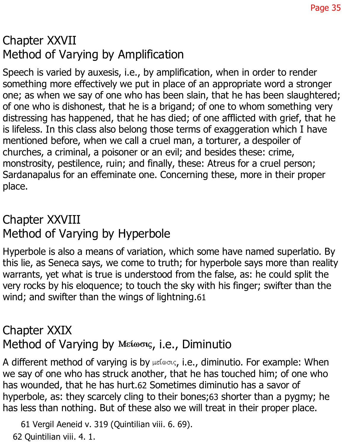# Chapter XXVII Method of Varying by Amplification

Speech is varied by auxesis, i.e., by amplification, when in order to render something more effectively we put in place of an appropriate word a stronger one; as when we say of one who has been slain, that he has been slaughtered; of one who is dishonest, that he is a brigand; of one to whom something very distressing has happened, that he has died; of one afflicted with grief, that he is lifeless. In this class also belong those terms of exaggeration which I have mentioned before, when we call a cruel man, a torturer, a despoiler of churches, a criminal, a poisoner or an evil; and besides these: crime, monstrosity, pestilence, ruin; and finally, these: Atreus for a cruel person; Sardanapalus for an effeminate one. Concerning these, more in their proper place.

# Chapter XXVIII Method of Varying by Hyperbole

Hyperbole is also a means of variation, which some have named superlatio. By this lie, as Seneca says, we come to truth; for hyperbole says more than reality warrants, yet what is true is understood from the false, as: he could split the very rocks by his eloquence; to touch the sky with his finger; swifter than the wind; and swifter than the wings of lightning.61

## Chapter XXIX Method of Varying by Mείωσις, i.e., Diminutio

A different method of varying is by  $\mu$  $\epsilon$  is  $\infty$ , i.e., diminutio. For example: When we say of one who has struck another, that he has touched him; of one who has wounded, that he has hurt.62 Sometimes diminutio has a savor of hyperbole, as: they scarcely cling to their bones;63 shorter than a pygmy; he has less than nothing. But of these also we will treat in their proper place.

61 Vergil Aeneid v. 319 (Quintilian viii. 6. 69). 62 Quintilian viii. 4. 1.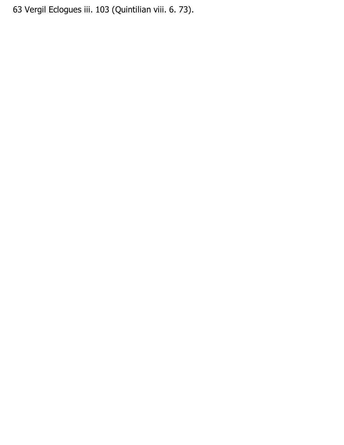Vergil Eclogues iii. 103 (Quintilian viii. 6. 73).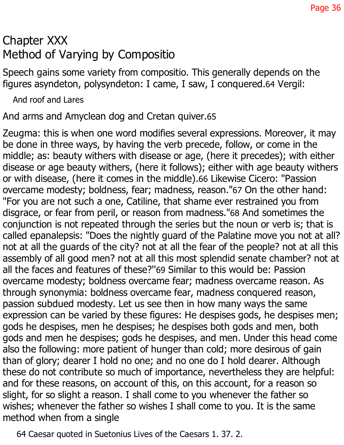# Chapter XXX Method of Varying by Compositio

Speech gains some variety from compositio. This generally depends on the figures asyndeton, polysyndeton: I came, I saw, I conquered.64 Vergil:

And roof and Lares

And arms and Amyclean dog and Cretan quiver.65

Zeugma: this is when one word modifies several expressions. Moreover, it may be done in three ways, by having the verb precede, follow, or come in the middle; as: beauty withers with disease or age, (here it precedes); with either disease or age beauty withers, (here it follows); either with age beauty withers or with disease, (here it comes in the middle).66 Likewise Cicero: "Passion overcame modesty; boldness, fear; madness, reason."67 On the other hand: "For you are not such a one, Catiline, that shame ever restrained you from disgrace, or fear from peril, or reason from madness."68 And sometimes the conjunction is not repeated through the series but the noun or verb is; that is called epanalepsis: "Does the nightly guard of the Palatine move you not at all? not at all the guards of the city? not at all the fear of the people? not at all this assembly of all good men? not at all this most splendid senate chamber? not at all the faces and features of these?''69 Similar to this would be: Passion overcame modesty; boldness overcame fear; madness overcame reason. As through synonymia: boldness overcame fear, madness conquered reason, passion subdued modesty. Let us see then in how many ways the same expression can be varied by these figures: He despises gods, he despises men; gods he despises, men he despises; he despises both gods and men, both gods and men he despises; gods he despises, and men. Under this head come also the following: more patient of hunger than cold; more desirous of gain than of glory; dearer I hold no one; and no one do I hold dearer. Although these do not contribute so much of importance, nevertheless they are helpful: and for these reasons, on account of this, on this account, for a reason so slight, for so slight a reason. I shall come to you whenever the father so wishes; whenever the father so wishes I shall come to you. It is the same method when from a single

64 Caesar quoted in Suetonius Lives of the Caesars 1. 37. 2.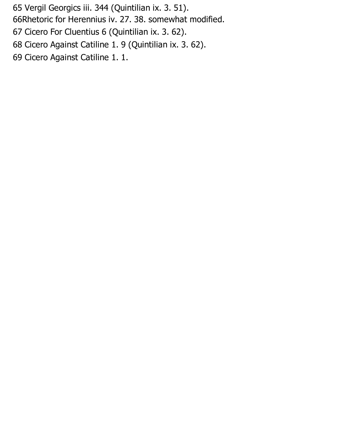Vergil Georgics iii. 344 (Quintilian ix. 3. 51). 66Rhetoric for Herennius iv. 27. 38. somewhat modified. Cicero For Cluentius 6 (Quintilian ix. 3. 62). Cicero Against Catiline 1. 9 (Quintilian ix. 3. 62). Cicero Against Catiline 1. 1.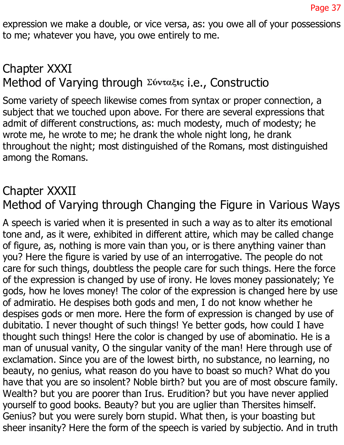expression we make a double, or vice versa, as: you owe all of your possessions to me; whatever you have, you owe entirely to me.

# Chapter XXXI Method of Varying through *Σύνταξις* i.e., Constructio

Some variety of speech likewise comes from syntax or proper connection, a subject that we touched upon above. For there are several expressions that admit of different constructions, as: much modesty, much of modesty; he wrote me, he wrote to me; he drank the whole night long, he drank throughout the night; most distinguished of the Romans, most distinguished among the Romans.

# Chapter XXXII Method of Varying through Changing the Figure in Various Ways

A speech is varied when it is presented in such a way as to alter its emotional tone and, as it were, exhibited in different attire, which may be called change of figure, as, nothing is more vain than you, or is there anything vainer than you? Here the figure is varied by use of an interrogative. The people do not care for such things, doubtless the people care for such things. Here the force of the expression is changed by use of irony. He loves money passionately; Ye gods, how he loves money! The color of the expression is changed here by use of admiratio. He despises both gods and men, I do not know whether he despises gods or men more. Here the form of expression is changed by use of dubitatio. I never thought of such things! Ye better gods, how could I have thought such things! Here the color is changed by use of abominatio. He is a man of unusual vanity, O the singular vanity of the man! Here through use of exclamation. Since you are of the lowest birth, no substance, no learning, no beauty, no genius, what reason do you have to boast so much? What do you have that you are so insolent? Noble birth? but you are of most obscure family. Wealth? but you are poorer than Irus. Erudition? but you have never applied yourself to good books. Beauty? but you are uglier than Thersites himself. Genius? but you were surely born stupid. What then, is your boasting but sheer insanity? Here the form of the speech is varied by subjectio. And in truth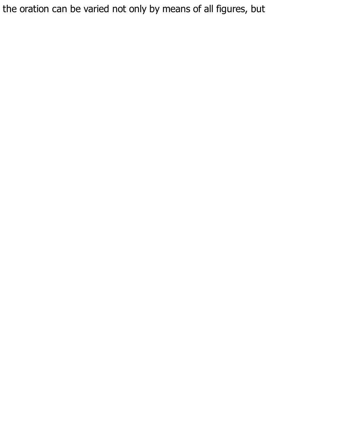the oration can be varied not only by means of all figures, but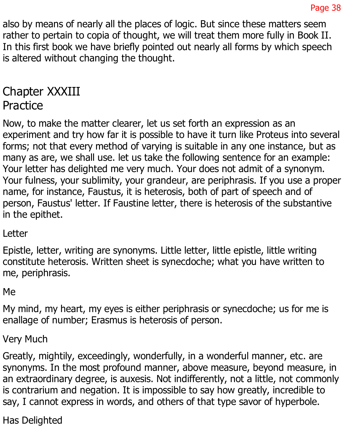also by means of nearly all the places of logic. But since these matters seem rather to pertain to copia of thought, we will treat them more fully in Book II. In this first book we have briefly pointed out nearly all forms by which speech is altered without changing the thought.

## Chapter XXXIII **Practice**

Now, to make the matter clearer, let us set forth an expression as an experiment and try how far it is possible to have it turn like Proteus into several forms; not that every method of varying is suitable in any one instance, but as many as are, we shall use. let us take the following sentence for an example: Your letter has delighted me very much. Your does not admit of a synonym. Your fulness, your sublimity, your grandeur, are periphrasis. If you use a proper name, for instance, Faustus, it is heterosis, both of part of speech and of person, Faustus' letter. If Faustine letter, there is heterosis of the substantive in the epithet.

### Letter

Epistle, letter, writing are synonyms. Little letter, little epistle, little writing constitute heterosis. Written sheet is synecdoche; what you have written to me, periphrasis.

### Me

My mind, my heart, my eyes is either periphrasis or synecdoche; us for me is enallage of number; Erasmus is heterosis of person.

### Very Much

Greatly, mightily, exceedingly, wonderfully, in a wonderful manner, etc. are synonyms. In the most profound manner, above measure, beyond measure, in an extraordinary degree, is auxesis. Not indifferently, not a little, not commonly is contrarium and negation. It is impossible to say how greatly, incredible to say, I cannot express in words, and others of that type savor of hyperbole.

### Has Delighted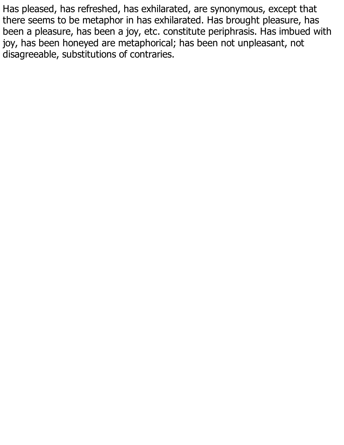Has pleased, has refreshed, has exhilarated, are synonymous, except that there seems to be metaphor in has exhilarated. Has brought pleasure, has been a pleasure, has been a joy, etc. constitute periphrasis. Has imbued with joy, has been honeyed are metaphorical; has been not unpleasant, not disagreeable, substitutions of contraries.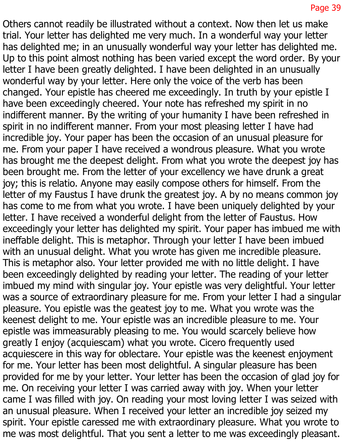#### Page 39

Others cannot readily be illustrated without a context. Now then let us make trial. Your letter has delighted me very much. In a wonderful way your letter has delighted me; in an unusually wonderful way your letter has delighted me. Up to this point almost nothing has been varied except the word order. By your letter I have been greatly delighted. I have been delighted in an unusually wonderful way by your letter. Here only the voice of the verb has been changed. Your epistle has cheered me exceedingly. In truth by your epistle I have been exceedingly cheered. Your note has refreshed my spirit in no indifferent manner. By the writing of your humanity I have been refreshed in spirit in no indifferent manner. From your most pleasing letter I have had incredible joy. Your paper has been the occasion of an unusual pleasure for me. From your paper I have received a wondrous pleasure. What you wrote has brought me the deepest delight. From what you wrote the deepest joy has been brought me. From the letter of your excellency we have drunk a great joy; this is relatio. Anyone may easily compose others for himself. From the letter of my Faustus I have drunk the greatest joy. A by no means common joy has come to me from what you wrote. I have been uniquely delighted by your letter. I have received a wonderful delight from the letter of Faustus. How exceedingly your letter has delighted my spirit. Your paper has imbued me with ineffable delight. This is metaphor. Through your letter I have been imbued with an unusual delight. What you wrote has given me incredible pleasure. This is metaphor also. Your letter provided me with no little delight. I have been exceedingly delighted by reading your letter. The reading of your letter imbued my mind with singular joy. Your epistle was very delightful. Your letter was a source of extraordinary pleasure for me. From your letter I had a singular pleasure. You epistle was the geatest joy to me. What you wrote was the keenest delight to me. Your epistle was an incredible pleasure to me. Your epistle was immeasurably pleasing to me. You would scarcely believe how greatly I enjoy (acquiescam) what you wrote. Cicero frequently used acquiescere in this way for oblectare. Your epistle was the keenest enjoyment for me. Your letter has been most delightful. A singular pleasure has been provided for me by your letter. Your letter has been the occasion of glad joy for me. On receiving your letter I was carried away with joy. When your letter came I was filled with joy. On reading your most loving letter I was seized with an unusual pleasure. When I received your letter an incredible joy seized my spirit. Your epistle caressed me with extraordinary pleasure. What you wrote to me was most delightful. That you sent a letter to me was exceedingly pleasant.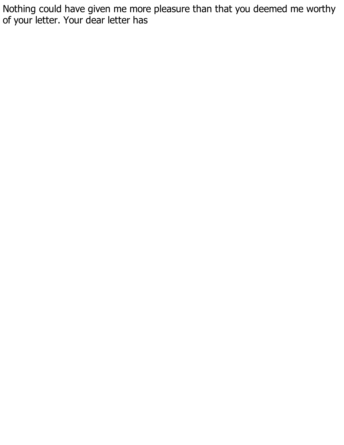Nothing could have given me more pleasure than that you deemed me worthy of your letter. Your dear letter has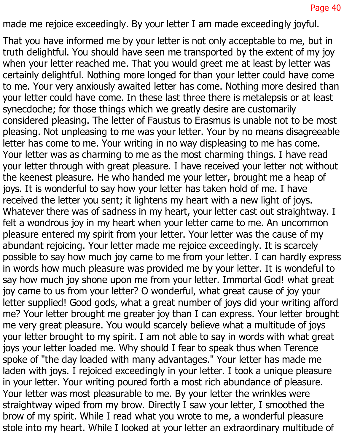made me rejoice exceedingly. By your letter I am made exceedingly joyful.

That you have informed me by your letter is not only acceptable to me, but in truth delightful. You should have seen me transported by the extent of my joy when your letter reached me. That you would greet me at least by letter was certainly delightful. Nothing more longed for than your letter could have come to me. Your very anxiously awaited letter has come. Nothing more desired than your letter could have come. In these last three there is metalepsis or at least synecdoche; for those things which we greatly desire are customarily considered pleasing. The letter of Faustus to Erasmus is unable not to be most pleasing. Not unpleasing to me was your letter. Your by no means disagreeable letter has come to me. Your writing in no way displeasing to me has come. Your letter was as charming to me as the most charming things. I have read your letter through with great pleasure. I have received your letter not without the keenest pleasure. He who handed me your letter, brought me a heap of joys. It is wonderful to say how your letter has taken hold of me. I have received the letter you sent; it lightens my heart with a new light of joys. Whatever there was of sadness in my heart, your letter cast out straightway. I felt a wondrous joy in my heart when your letter came to me. An uncommon pleasure entered my spirit from your letter. Your letter was the cause of my abundant rejoicing. Your letter made me rejoice exceedingly. It is scarcely possible to say how much joy came to me from your letter. I can hardly express in words how much pleasure was provided me by your letter. It is wondeful to say how much joy shone upon me from your letter. Immortal God! what great joy came to us from your letter? O wonderful, what great cause of joy your letter supplied! Good gods, what a great number of joys did your writing afford me? Your letter brought me greater joy than I can express. Your letter brought me very great pleasure. You would scarcely believe what a multitude of joys your letter brought to my spirit. I am not able to say in words with what great joys your letter loaded me. Why should I fear to speak thus when Terence spoke of "the day loaded with many advantages." Your letter has made me laden with joys. I rejoiced exceedingly in your letter. I took a unique pleasure in your letter. Your writing poured forth a most rich abundance of pleasure. Your letter was most pleasurable to me. By your letter the wrinkles were straightway wiped from my brow. Directly I saw your letter, I smoothed the brow of my spirit. While I read what you wrote to me, a wonderful pleasure stole into my heart. While I looked at your letter an extraordinary multitude of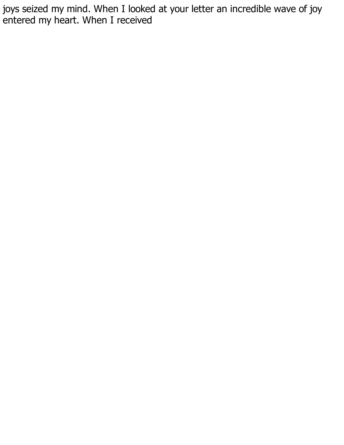joys seized my mind. When I looked at your letter an incredible wave of joy entered my heart. When I received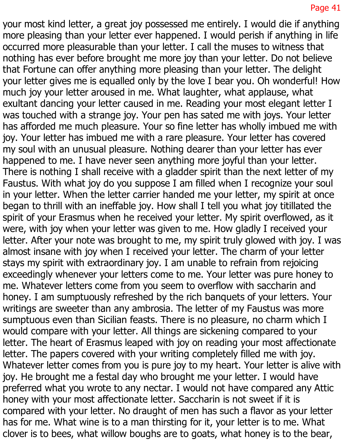#### Page 41

your most kind letter, a great joy possessed me entirely. I would die if anything more pleasing than your letter ever happened. I would perish if anything in life occurred more pleasurable than your letter. I call the muses to witness that nothing has ever before brought me more joy than your letter. Do not believe that Fortune can offer anything more pleasing than your letter. The delight your letter gives me is equalled only by the love I bear you. Oh wonderful! How much joy your letter aroused in me. What laughter, what applause, what exultant dancing your letter caused in me. Reading your most elegant letter I was touched with a strange joy. Your pen has sated me with joys. Your letter has afforded me much pleasure. Your so fine letter has wholly imbued me with joy. Your letter has imbued me with a rare pleasure. Your letter has covered my soul with an unusual pleasure. Nothing dearer than your letter has ever happened to me. I have never seen anything more joyful than your letter. There is nothing I shall receive with a gladder spirit than the next letter of my Faustus. With what joy do you suppose I am filled when I recognize your soul in your letter. When the letter carrier handed me your letter, my spirit at once began to thrill with an ineffable joy. How shall I tell you what joy titillated the spirit of your Erasmus when he received your letter. My spirit overflowed, as it were, with joy when your letter was given to me. How gladly I received your letter. After your note was brought to me, my spirit truly glowed with joy. I was almost insane with joy when I received your letter. The charm of your letter stays my spirit with extraordinary joy. I am unable to refrain from rejoicing exceedingly whenever your letters come to me. Your letter was pure honey to me. Whatever letters come from you seem to overflow with saccharin and honey. I am sumptuously refreshed by the rich banquets of your letters. Your writings are sweeter than any ambrosia. The letter of my Faustus was more sumptuous even than Sicilian feasts. There is no pleasure, no charm which I would compare with your letter. All things are sickening compared to your letter. The heart of Erasmus leaped with joy on reading your most affectionate letter. The papers covered with your writing completely filled me with joy. Whatever letter comes from you is pure joy to my heart. Your letter is alive with joy. He brought me a festal day who brought me your letter. I would have preferred what you wrote to any nectar. I would not have compared any Attic honey with your most affectionate letter. Saccharin is not sweet if it is compared with your letter. No draught of men has such a flavor as your letter has for me. What wine is to a man thirsting for it, your letter is to me. What clover is to bees, what willow boughs are to goats, what honey is to the bear,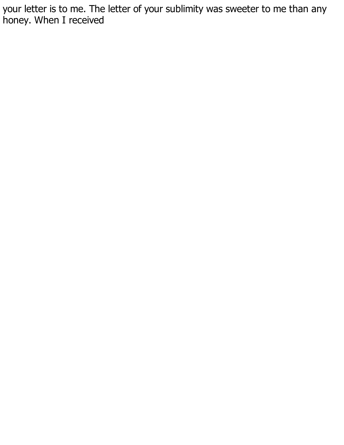your letter is to me. The letter of your sublimity was sweeter to me than any honey. When I received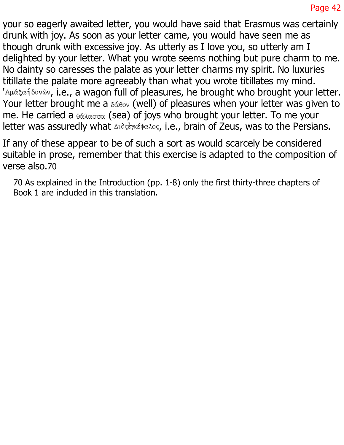your so eagerly awaited letter, you would have said that Erasmus was certainly drunk with joy. As soon as your letter came, you would have seen me as though drunk with excessive joy. As utterly as I love you, so utterly am I delighted by your letter. What you wrote seems nothing but pure charm to me. No dainty so caresses the palate as your letter charms my spirit. No luxuries titillate the palate more agreeably than what you wrote titillates my mind. 'Aµát&n Bov�v, i.e., a wagon full of pleasures, he brought who brought your letter. Your letter brought me a  $\delta \& \theta \& \psi$  (well) of pleasures when your letter was given to me. He carried a  $64\lambda\alpha$ oo $\alpha$  (sea) of joys who brought your letter. To me your letter was assuredly what Atoceyket alos, i.e., brain of Zeus, was to the Persians.

If any of these appear to be of such a sort as would scarcely be considered suitable in prose, remember that this exercise is adapted to the composition of verse also.70

70 As explained in the Introduction (pp. 1-8) only the first thirty-three chapters of Book 1 are included in this translation.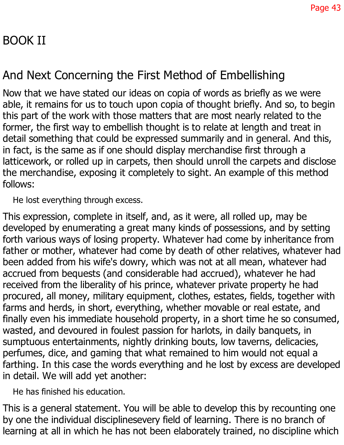# BOOK II

# And Next Concerning the First Method of Embellishing

Now that we have stated our ideas on copia of words as briefly as we were able, it remains for us to touch upon copia of thought briefly. And so, to begin this part of the work with those matters that are most nearly related to the former, the first way to embellish thought is to relate at length and treat in detail something that could be expressed summarily and in general. And this, in fact, is the same as if one should display merchandise first through a latticework, or rolled up in carpets, then should unroll the carpets and disclose the merchandise, exposing it completely to sight. An example of this method follows:

He lost everything through excess.

This expression, complete in itself, and, as it were, all rolled up, may be developed by enumerating a great many kinds of possessions, and by setting forth various ways of losing property. Whatever had come by inheritance from father or mother, whatever had come by death of other relatives, whatever had been added from his wife's dowry, which was not at all mean, whatever had accrued from bequests (and considerable had accrued), whatever he had received from the liberality of his prince, whatever private property he had procured, all money, military equipment, clothes, estates, fields, together with farms and herds, in short, everything, whether movable or real estate, and finally even his immediate household property, in a short time he so consumed, wasted, and devoured in foulest passion for harlots, in daily banquets, in sumptuous entertainments, nightly drinking bouts, low taverns, delicacies, perfumes, dice, and gaming that what remained to him would not equal a farthing. In this case the words everything and he lost by excess are developed in detail. We will add yet another:

He has finished his education.

This is a general statement. You will be able to develop this by recounting one by one the individual disciplinesevery field of learning. There is no branch of learning at all in which he has not been elaborately trained, no discipline which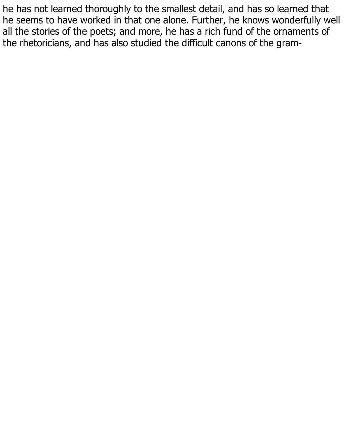he has not learned thoroughly to the smallest detail, and has so learned that he seems to have worked in that one alone. Further, he knows wonderfully well all the stories of the poets; and more, he has a rich fund of the ornaments of the rhetoricians, and has also studied the difficult canons of the gram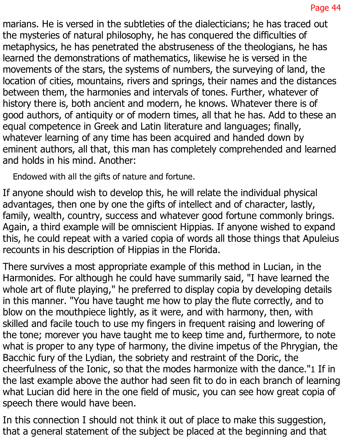marians. He is versed in the subtleties of the dialecticians; he has traced out the mysteries of natural philosophy, he has conquered the difficulties of metaphysics, he has penetrated the abstruseness of the theologians, he has learned the demonstrations of mathematics, likewise he is versed in the movements of the stars, the systems of numbers, the surveying of land, the location of cities, mountains, rivers and springs, their names and the distances between them, the harmonies and intervals of tones. Further, whatever of history there is, both ancient and modern, he knows. Whatever there is of good authors, of antiquity or of modern times, all that he has. Add to these an equal competence in Greek and Latin literature and languages; finally, whatever learning of any time has been acquired and handed down by eminent authors, all that, this man has completely comprehended and learned and holds in his mind. Another:

Endowed with all the gifts of nature and fortune.

If anyone should wish to develop this, he will relate the individual physical advantages, then one by one the gifts of intellect and of character, lastly, family, wealth, country, success and whatever good fortune commonly brings. Again, a third example will be omniscient Hippias. If anyone wished to expand this, he could repeat with a varied copia of words all those things that Apuleius recounts in his description of Hippias in the Florida.

There survives a most appropriate example of this method in Lucian, in the Harmonides. For although he could have summarily said, "I have learned the whole art of flute playing, " he preferred to display copia by developing details in this manner. "You have taught me how to play the flute correctly, and to blow on the mouthpiece lightly, as it were, and with harmony, then, with skilled and facile touch to use my fingers in frequent raising and lowering of the tone; morever you have taught me to keep time and, furthermore, to note what is proper to any type of harmony, the divine impetus of the Phrygian, the Bacchic fury of the Lydian, the sobriety and restraint of the Doric, the cheerfulness of the Ionic, so that the modes harmonize with the dance."1 If in the last example above the author had seen fit to do in each branch of learning what Lucian did here in the one field of music, you can see how great copia of speech there would have been.

In this connection I should not think it out of place to make this suggestion, that a general statement of the subject be placed at the beginning and that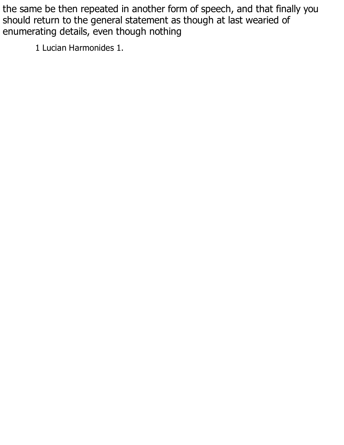the same be then repeated in another form of speech, and that finally you should return to the general statement as though at last wearied of enumerating details, even though nothing

1 Lucian Harmonides 1.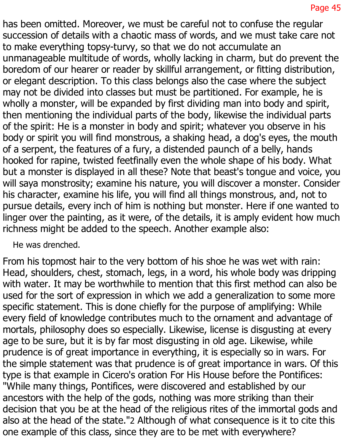has been omitted. Moreover, we must be careful not to confuse the regular succession of details with a chaotic mass of words, and we must take care not to make everything topsy-turvy, so that we do not accumulate an unmanageable multitude of words, wholly lacking in charm, but do prevent the boredom of our hearer or reader by skillful arrangement, or fitting distribution, or elegant description. To this class belongs also the case where the subject may not be divided into classes but must be partitioned. For example, he is wholly a monster, will be expanded by first dividing man into body and spirit, then mentioning the individual parts of the body, likewise the individual parts of the spirit: He is a monster in body and spirit; whatever you observe in his body or spirit you will find monstrous, a shaking head, a dog's eyes, the mouth of a serpent, the features of a fury, a distended paunch of a belly, hands hooked for rapine, twisted feetfinally even the whole shape of his body. What but a monster is displayed in all these? Note that beast's tongue and voice, you will saya monstrosity; examine his nature, you will discover a monster. Consider his character, examine his life, you will find all things monstrous, and, not to pursue details, every inch of him is nothing but monster. Here if one wanted to linger over the painting, as it were, of the details, it is amply evident how much richness might be added to the speech. Another example also:

He was drenched.

From his topmost hair to the very bottom of his shoe he was wet with rain: Head, shoulders, chest, stomach, legs, in a word, his whole body was dripping with water. It may be worthwhile to mention that this first method can also be used for the sort of expression in which we add a generalization to some more specific statement. This is done chiefly for the purpose of amplifying: While every field of knowledge contributes much to the ornament and advantage of mortals, philosophy does so especially. Likewise, license is disgusting at every age to be sure, but it is by far most disgusting in old age. Likewise, while prudence is of great importance in everything, it is especially so in wars. For the simple statement was that prudence is of great importance in wars. Of this type is that example in Cicero's oration For His House before the Pontifices: "While many things, Pontifices, were discovered and established by our ancestors with the help of the gods, nothing was more striking than their decision that you be at the head of the religious rites of the immortal gods and also at the head of the state."2 Although of what consequence is it to cite this one example of this class, since they are to be met with everywhere?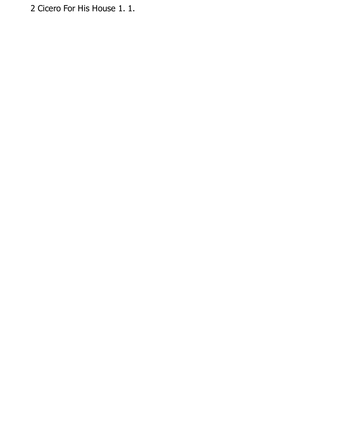Cicero For His House 1. 1.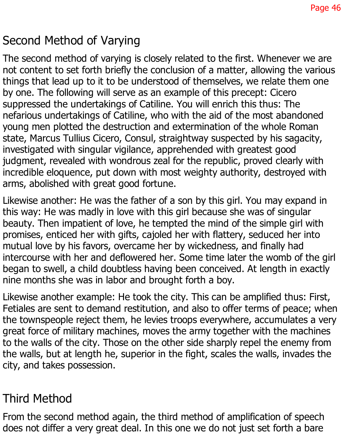# Second Method of Varying

The second method of varying is closely related to the first. Whenever we are not content to set forth briefly the conclusion of a matter, allowing the various things that lead up to it to be understood of themselves, we relate them one by one. The following will serve as an example of this precept: Cicero suppressed the undertakings of Catiline. You will enrich this thus: The nefarious undertakings of Catiline, who with the aid of the most abandoned young men plotted the destruction and extermination of the whole Roman state, Marcus Tullius Cicero, Consul, straightway suspected by his sagacity, investigated with singular vigilance, apprehended with greatest good judgment, revealed with wondrous zeal for the republic, proved clearly with incredible eloquence, put down with most weighty authority, destroyed with arms, abolished with great good fortune.

Likewise another: He was the father of a son by this girl. You may expand in this way: He was madly in love with this girl because she was of singular beauty. Then impatient of love, he tempted the mind of the simple girl with promises, enticed her with gifts, cajoled her with flattery, seduced her into mutual love by his favors, overcame her by wickedness, and finally had intercourse with her and deflowered her. Some time later the womb of the girl began to swell, a child doubtless having been conceived. At length in exactly nine months she was in labor and brought forth a boy.

Likewise another example: He took the city. This can be amplified thus: First, Fetiales are sent to demand restitution, and also to offer terms of peace; when the townspeople reject them, he levies troops everywhere, accumulates a very great force of military machines, moves the army together with the machines to the walls of the city. Those on the other side sharply repel the enemy from the walls, but at length he, superior in the fight, scales the walls, invades the city, and takes possession.

## Third Method

From the second method again, the third method of amplification of speech does not differ a very great deal. In this one we do not just set forth a bare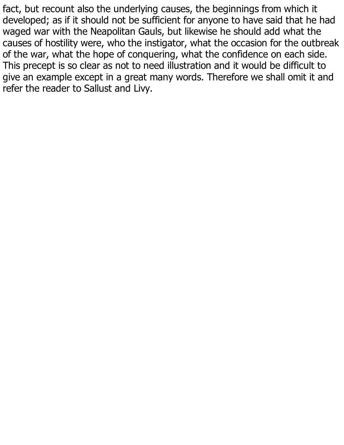fact, but recount also the underlying causes, the beginnings from which it developed; as if it should not be sufficient for anyone to have said that he had waged war with the Neapolitan Gauls, but likewise he should add what the causes of hostility were, who the instigator, what the occasion for the outbreak of the war, what the hope of conquering, what the confidence on each side. This precept is so clear as not to need illustration and it would be difficult to give an example except in a great many words. Therefore we shall omit it and refer the reader to Sallust and Livy.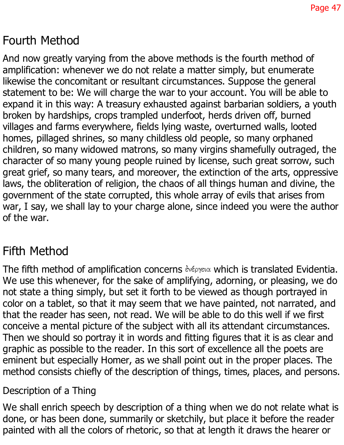# Fourth Method

And now greatly varying from the above methods is the fourth method of amplification: whenever we do not relate a matter simply, but enumerate likewise the concomitant or resultant circumstances. Suppose the general statement to be: We will charge the war to your account. You will be able to expand it in this way: A treasury exhausted against barbarian soldiers, a youth broken by hardships, crops trampled underfoot, herds driven off, burned villages and farms everywhere, fields lying waste, overturned walls, looted homes, pillaged shrines, so many childless old people, so many orphaned children, so many widowed matrons, so many virgins shamefully outraged, the character of so many young people ruined by license, such great sorrow, such great grief, so many tears, and moreover, the extinction of the arts, oppressive laws, the obliteration of religion, the chaos of all things human and divine, the government of the state corrupted, this whole array of evils that arises from war, I say, we shall lay to your charge alone, since indeed you were the author of the war.

# Fifth Method

The fifth method of amplification concerns  $\frac{\partial u}{\partial x}$  which is translated Evidentia. We use this whenever, for the sake of amplifying, adorning, or pleasing, we do not state a thing simply, but set it forth to be viewed as though portrayed in color on a tablet, so that it may seem that we have painted, not narrated, and that the reader has seen, not read. We will be able to do this well if we first conceive a mental picture of the subject with all its attendant circumstances. Then we should so portray it in words and fitting figures that it is as clear and graphic as possible to the reader. In this sort of excellence all the poets are eminent but especially Homer, as we shall point out in the proper places. The method consists chiefly of the description of things, times, places, and persons.

### Description of a Thing

We shall enrich speech by description of a thing when we do not relate what is done, or has been done, summarily or sketchily, but place it before the reader painted with all the colors of rhetoric, so that at length it draws the hearer or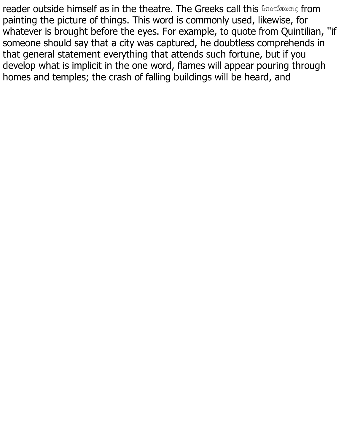reader outside himself as in the theatre. The Greeks call this *υποτύπωσις* from painting the picture of things. This word is commonly used, likewise, for whatever is brought before the eyes. For example, to quote from Quintilian, ''if someone should say that a city was captured, he doubtless comprehends in that general statement everything that attends such fortune, but if you develop what is implicit in the one word, flames will appear pouring through homes and temples; the crash of falling buildings will be heard, and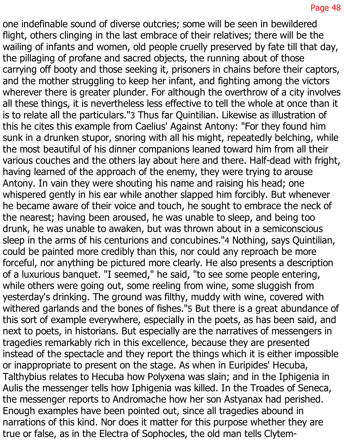one indefinable sound of diverse outcries; some will be seen in bewildered flight, others clinging in the last embrace of their relatives; there will be the wailing of infants and women, old people cruelly preserved by fate till that day, the pillaging of profane and sacred objects, the running about of those carrying off booty and those seeking it, prisoners in chains before their captors, and the mother struggling to keep her infant, and fighting among the victors wherever there is greater plunder. For although the overthrow of a city involves all these things, it is nevertheless less effective to tell the whole at once than it is to relate all the particulars."3 Thus far Quintilian. Likewise as illustration of this he cites this example from Caelius' Against Antony: "For they found him sunk in a drunken stupor, snoring with all his might, repeatedly belching, while the most beautiful of his dinner companions leaned toward him from all their various couches and the others lay about here and there. Half-dead with fright, having learned of the approach of the enemy, they were trying to arouse Antony. In vain they were shouting his name and raising his head; one whispered gently in his ear while another slapped him forcibly. But whenever he became aware of their voice and touch, he sought to embrace the neck of the nearest; having been aroused, he was unable to sleep, and being too drunk, he was unable to awaken, but was thrown about in a semiconscious sleep in the arms of his centurions and concubines."4 Nothing, says Quintilian, could be painted more credibly than this, nor could any reproach be more forceful, nor anything be pictured more clearly. He also presents a description of a luxurious banquet. "I seemed, " he said, "to see some people entering, while others were going out, some reeling from wine, some sluggish from yesterday's drinking. The ground was filthy, muddy with wine, covered with withered garlands and the bones of fishes."5 But there is a great abundance of this sort of example everywhere, especially in the poets, as has been said, and next to poets, in historians. But especially are the narratives of messengers in tragedies remarkably rich in this excellence, because they are presented instead of the spectacle and they report the things which it is either impossible or inappropriate to present on the stage. As when in Euripides' Hecuba, Talthybius relates to Hecuba how Polyxena was slain; and in the Iphigenia in Aulis the messenger tells how Iphigenia was killed. In the Troades of Seneca, the messenger reports to Andromache how her son Astyanax had perished. Enough examples have been pointed out, since all tragedies abound in narrations of this kind. Nor does it matter for this purpose whether they are true or false, as in the Electra of Sophocles, the old man tells Clytem-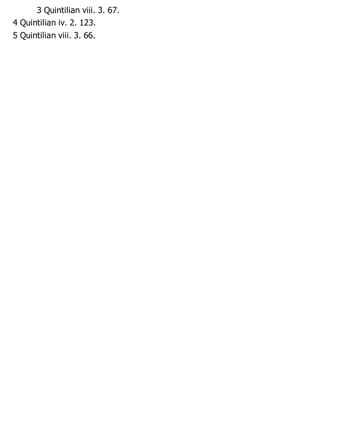Quintilian viii. 3. 67. Quintilian iv. 2. 123. Quintilian viii. 3. 66.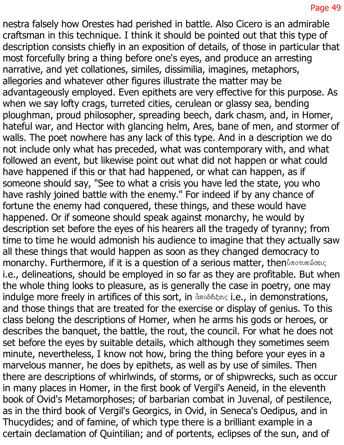nestra falsely how Orestes had perished in battle. Also Cicero is an admirable craftsman in this technique. I think it should be pointed out that this type of description consists chiefly in an exposition of details, of those in particular that most forcefully bring a thing before one's eyes, and produce an arresting narrative, and yet collationes, similes, dissimilia, imagines, metaphors, allegories and whatever other figures illustrate the matter may be advantageously employed. Even epithets are very effective for this purpose. As when we say lofty crags, turreted cities, cerulean or glassy sea, bending ploughman, proud philosopher, spreading beech, dark chasm, and, in Homer, hateful war, and Hector with glancing helm, Ares, bane of men, and stormer of walls. The poet nowhere has any lack of this type. And in a description we do not include only what has preceded, what was contemporary with, and what followed an event, but likewise point out what did not happen or what could have happened if this or that had happened, or what can happen, as if someone should say, "See to what a crisis you have led the state, you who have rashly joined battle with the enemy." For indeed if by any chance of fortune the enemy had conquered, these things, and these would have happened. Or if someone should speak against monarchy, he would by description set before the eyes of his hearers all the tragedy of tyranny; from time to time he would admonish his audience to imagine that they actually saw all these things that would happen as soon as they changed democracy to monarchy. Furthermore, if it is a question of a serious matter, then  $\delta \pi$  or  $\delta \sigma$ i.e., delineations, should be employed in so far as they are profitable. But when the whole thing looks to pleasure, as is generally the case in poetry, one may indulge more freely in artifices of this sort, in  $\frac{\delta}{\delta m}$  $\delta \delta \frac{\delta \epsilon}{\delta m}$  i.e., in demonstrations, and those things that are treated for the exercise or display of genius. To this class belong the descriptions of Homer, when he arms his gods or heroes, or describes the banquet, the battle, the rout, the council. For what he does not set before the eyes by suitable details, which although they sometimes seem minute, nevertheless, I know not how, bring the thing before your eyes in a marvelous manner, he does by epithets, as well as by use of similes. Then there are descriptions of whirlwinds, of storms, or of shipwrecks, such as occur in many places in Homer, in the first book of Vergil's Aeneid, in the eleventh book of Ovid's Metamorphoses; of barbarian combat in Juvenal, of pestilence, as in the third book of Vergil's Georgics, in Ovid, in Seneca's Oedipus, and in Thucydides; and of famine, of which type there is a brilliant example in a certain declamation of Quintilian; and of portents, eclipses of the sun, and of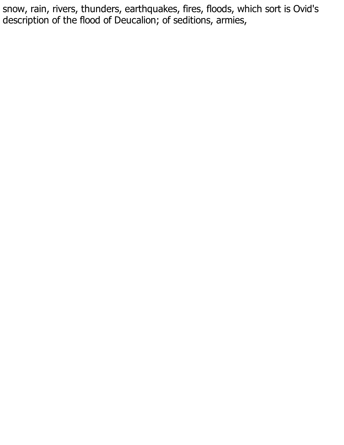snow, rain, rivers, thunders, earthquakes, fires, floods, which sort is Ovid's description of the flood of Deucalion; of seditions, armies,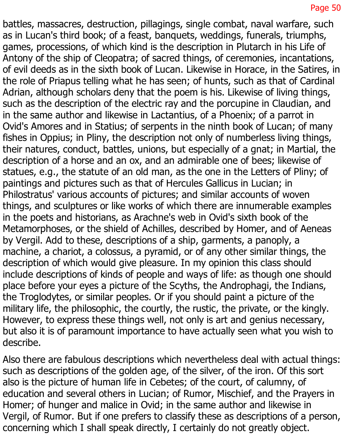#### Page 50

battles, massacres, destruction, pillagings, single combat, naval warfare, such as in Lucan's third book; of a feast, banquets, weddings, funerals, triumphs, games, processions, of which kind is the description in Plutarch in his Life of Antony of the ship of Cleopatra; of sacred things, of ceremonies, incantations, of evil deeds as in the sixth book of Lucan. Likewise in Horace, in the Satires, in the role of Priapus telling what he has seen; of hunts, such as that of Cardinal Adrian, although scholars deny that the poem is his. Likewise of living things, such as the description of the electric ray and the porcupine in Claudian, and in the same author and likewise in Lactantius, of a Phoenix; of a parrot in Ovid's Amores and in Statius; of serpents in the ninth book of Lucan; of many fishes in Oppius; in Pliny, the description not only of numberless living things, their natures, conduct, battles, unions, but especially of a gnat; in Martial, the description of a horse and an ox, and an admirable one of bees; likewise of statues, e.g., the statute of an old man, as the one in the Letters of Pliny; of paintings and pictures such as that of Hercules Gallicus in Lucian; in Philostratus' various accounts of pictures; and similar accounts of woven things, and sculptures or like works of which there are innumerable examples in the poets and historians, as Arachne's web in Ovid's sixth book of the Metamorphoses, or the shield of Achilles, described by Homer, and of Aeneas by Vergil. Add to these, descriptions of a ship, garments, a panoply, a machine, a chariot, a colossus, a pyramid, or of any other similar things, the description of which would give pleasure. In my opinion this class should include descriptions of kinds of people and ways of life: as though one should place before your eyes a picture of the Scyths, the Androphagi, the Indians, the Troglodytes, or similar peoples. Or if you should paint a picture of the military life, the philosophic, the courtly, the rustic, the private, or the kingly. However, to express these things well, not only is art and genius necessary, but also it is of paramount importance to have actually seen what you wish to describe.

Also there are fabulous descriptions which nevertheless deal with actual things: such as descriptions of the golden age, of the silver, of the iron. Of this sort also is the picture of human life in Cebetes; of the court, of calumny, of education and several others in Lucian; of Rumor, Mischief, and the Prayers in Homer; of hunger and malice in Ovid; in the same author and likewise in Vergil, of Rumor. But if one prefers to classify these as descriptions of a person, concerning which I shall speak directly, I certainly do not greatly object.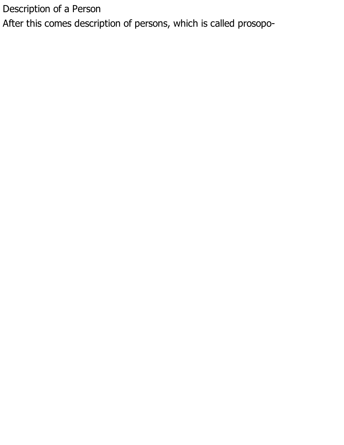Description of a Person

After this comes description of persons, which is called prosopo-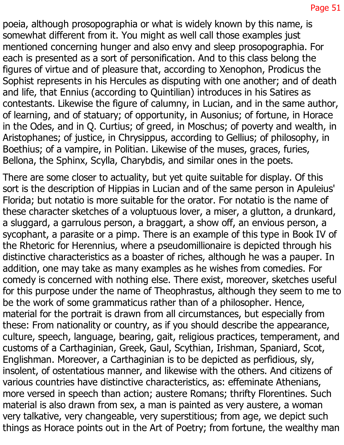poeia, although prosopographia or what is widely known by this name, is somewhat different from it. You might as well call those examples just mentioned concerning hunger and also envy and sleep prosopographia. For each is presented as a sort of personification. And to this class belong the figures of virtue and of pleasure that, according to Xenophon, Prodicus the Sophist represents in his Hercules as disputing with one another; and of death and life, that Ennius (according to Quintilian) introduces in his Satires as contestants. Likewise the figure of calumny, in Lucian, and in the same author, of learning, and of statuary; of opportunity, in Ausonius; of fortune, in Horace in the Odes, and in Q. Curtius; of greed, in Moschus; of poverty and wealth, in Aristophanes; of justice, in Chrysippus, according to Gellius; of philosophy, in Boethius; of a vampire, in Politian. Likewise of the muses, graces, furies, Bellona, the Sphinx, Scylla, Charybdis, and similar ones in the poets.

There are some closer to actuality, but yet quite suitable for display. Of this sort is the description of Hippias in Lucian and of the same person in Apuleius' Florida; but notatio is more suitable for the orator. For notatio is the name of these character sketches of a voluptuous lover, a miser, a glutton, a drunkard, a sluggard, a garrulous person, a braggart, a show off, an envious person, a sycophant, a parasite or a pimp. There is an example of this type in Book IV of the Rhetoric for Herennius, where a pseudomillionaire is depicted through his distinctive characteristics as a boaster of riches, although he was a pauper. In addition, one may take as many examples as he wishes from comedies. For comedy is concerned with nothing else. There exist, moreover, sketches useful for this purpose under the name of Theophrastus, although they seem to me to be the work of some grammaticus rather than of a philosopher. Hence, material for the portrait is drawn from all circumstances, but especially from these: From nationality or country, as if you should describe the appearance, culture, speech, language, bearing, gait, religious practices, temperament, and customs of a Carthaginian, Greek, Gaul, Scythian, Irishman, Spaniard, Scot, Englishman. Moreover, a Carthaginian is to be depicted as perfidious, sly, insolent, of ostentatious manner, and likewise with the others. And citizens of various countries have distinctive characteristics, as: effeminate Athenians, more versed in speech than action; austere Romans; thrifty Florentines. Such material is also drawn from sex, a man is painted as very austere, a woman very talkative, very changeable, very superstitious; from age, we depict such things as Horace points out in the Art of Poetry; from fortune, the wealthy man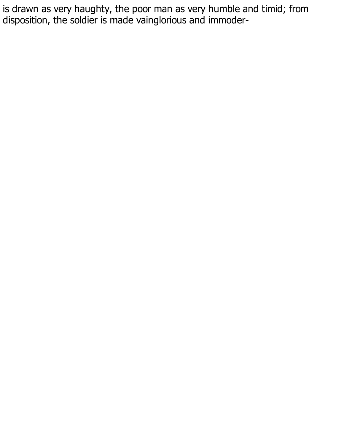is drawn as very haughty, the poor man as very humble and timid; from disposition, the soldier is made vainglorious and immoder-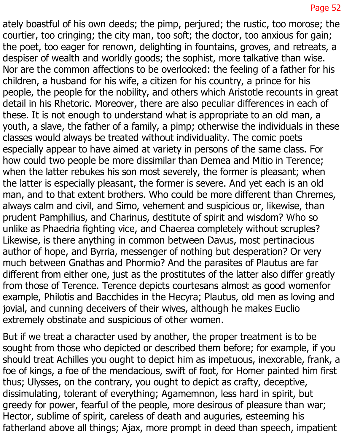#### Page 52

ately boastful of his own deeds; the pimp, perjured; the rustic, too morose; the courtier, too cringing; the city man, too soft; the doctor, too anxious for gain; the poet, too eager for renown, delighting in fountains, groves, and retreats, a despiser of wealth and worldly goods; the sophist, more talkative than wise. Nor are the common affections to be overlooked: the feeling of a father for his children, a husband for his wife, a citizen for his country, a prince for his people, the people for the nobility, and others which Aristotle recounts in great detail in his Rhetoric. Moreover, there are also peculiar differences in each of these. It is not enough to understand what is appropriate to an old man, a youth, a slave, the father of a family, a pimp; otherwise the individuals in these classes would always be treated without individuality. The comic poets especially appear to have aimed at variety in persons of the same class. For how could two people be more dissimilar than Demea and Mitio in Terence; when the latter rebukes his son most severely, the former is pleasant; when the latter is especially pleasant, the former is severe. And yet each is an old man, and to that extent brothers. Who could be more different than Chremes, always calm and civil, and Simo, vehement and suspicious or, likewise, than prudent Pamphilius, and Charinus, destitute of spirit and wisdom? Who so unlike as Phaedria fighting vice, and Chaerea completely without scruples? Likewise, is there anything in common between Davus, most pertinacious author of hope, and Byrria, messenger of nothing but desperation? Or very much between Gnathas and Phormio? And the parasites of Plautus are far different from either one, just as the prostitutes of the latter also differ greatly from those of Terence. Terence depicts courtesans almost as good womenfor example, Philotis and Bacchides in the Hecyra; Plautus, old men as loving and jovial, and cunning deceivers of their wives, although he makes Euclio extremely obstinate and suspicious of other women.

But if we treat a character used by another, the proper treatment is to be sought from those who depicted or described them before; for example, if you should treat Achilles you ought to depict him as impetuous, inexorable, frank, a foe of kings, a foe of the mendacious, swift of foot, for Homer painted him first thus; Ulysses, on the contrary, you ought to depict as crafty, deceptive, dissimulating, tolerant of everything; Agamemnon, less hard in spirit, but greedy for power, fearful of the people, more desirous of pleasure than war; Hector, sublime of spirit, careless of death and auguries, esteeming his fatherland above all things; Ajax, more prompt in deed than speech, impatient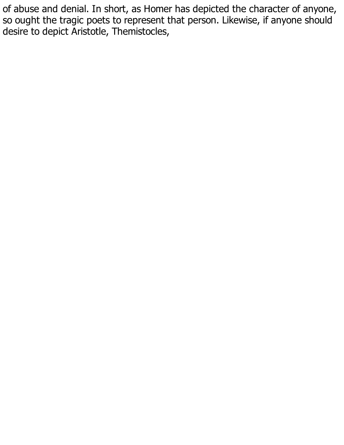of abuse and denial. In short, as Homer has depicted the character of anyone, so ought the tragic poets to represent that person. Likewise, if anyone should desire to depict Aristotle, Themistocles,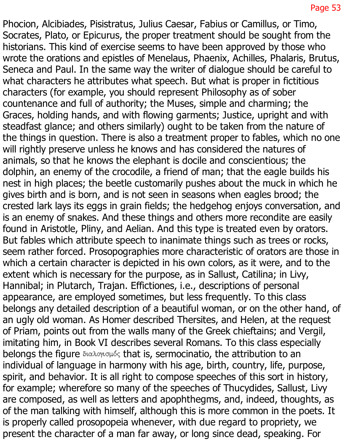Phocion, Alcibiades, Pisistratus, Julius Caesar, Fabius or Camillus, or Timo, Socrates, Plato, or Epicurus, the proper treatment should be sought from the historians. This kind of exercise seems to have been approved by those who wrote the orations and epistles of Menelaus, Phaenix, Achilles, Phalaris, Brutus, Seneca and Paul. In the same way the writer of dialogue should be careful to what characters he attributes what speech. But what is proper in fictitious characters (for example, you should represent Philosophy as of sober countenance and full of authority; the Muses, simple and charming; the Graces, holding hands, and with flowing garments; Justice, upright and with steadfast glance; and others similarly) ought to be taken from the nature of the things in question. There is also a treatment proper to fables, which no one will rightly preserve unless he knows and has considered the natures of animals, so that he knows the elephant is docile and conscientious; the dolphin, an enemy of the crocodile, a friend of man; that the eagle builds his nest in high places; the beetle customarily pushes about the muck in which he gives birth and is born, and is not seen in seasons when eagles brood; the crested lark lays its eggs in grain fields; the hedgehog enjoys conversation, and is an enemy of snakes. And these things and others more recondite are easily found in Aristotle, Pliny, and Aelian. And this type is treated even by orators. But fables which attribute speech to inanimate things such as trees or rocks, seem rather forced. Prosopographies more characteristic of orators are those in which a certain character is depicted in his own colors, as it were, and to the extent which is necessary for the purpose, as in Sallust, Catilina; in Livy, Hannibal; in Plutarch, Trajan. Effictiones, i.e., descriptions of personal appearance, are employed sometimes, but less frequently. To this class belongs any detailed description of a beautiful woman, or on the other hand, of an ugly old woman. As Homer described Thersites, and Helen, at the request of Priam, points out from the walls many of the Greek chieftains; and Vergil, imitating him, in Book VI describes several Romans. To this class especially belongs the figure  $\delta t$  and  $\delta t$  and is, sermocinatio, the attribution to an individual of language in harmony with his age, birth, country, life, purpose, spirit, and behavior. It is all right to compose speeches of this sort in history, for example; wherefore so many of the speeches of Thucydides, Sallust, Livy are composed, as well as letters and apophthegms, and, indeed, thoughts, as of the man talking with himself, although this is more common in the poets. It is properly called prosopopeia whenever, with due regard to propriety, we present the character of a man far away, or long since dead, speaking. For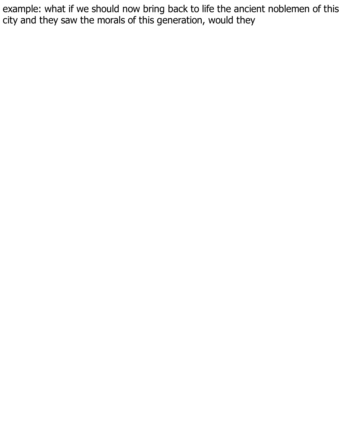example: what if we should now bring back to life the ancient noblemen of this city and they saw the morals of this generation, would they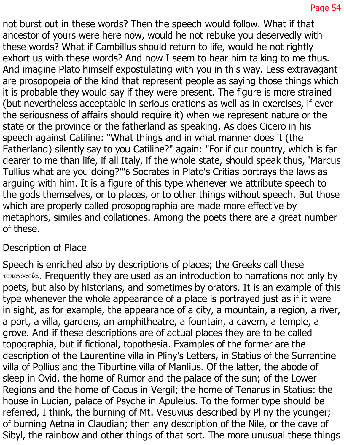not burst out in these words? Then the speech would follow. What if that ancestor of yours were here now, would he not rebuke you deservedly with these words? What if Cambillus should return to life, would he not rightly exhort us with these words? And now I seem to hear him talking to me thus. And imagine Plato himself expostulating with you in this way. Less extravagant are prosopopeia of the kind that represent people as saying those things which it is probable they would say if they were present. The figure is more strained (but nevertheless acceptable in serious orations as well as in exercises, if ever the seriousness of affairs should require it) when we represent nature or the state or the province or the fatherland as speaking. As does Cicero in his speech against Catiline: "What things and in what manner does it (the Fatherland) silently say to you Catiline?" again: "For if our country, which is far dearer to me than life, if all Italy, if the whole state, should speak thus, 'Marcus Tullius what are you doing?'"6 Socrates in Plato's Critias portrays the laws as arguing with him. It is a figure of this type whenever we attribute speech to the gods themselves, or to places, or to other things without speech. But those which are properly called prosopographia are made more effective by metaphors, similes and collationes. Among the poets there are a great number of these.

### Description of Place

Speech is enriched also by descriptions of places; the Greeks call these . Frequently they are used as an introduction to narrations not only by poets, but also by historians, and sometimes by orators. It is an example of this type whenever the whole appearance of a place is portrayed just as if it were in sight, as for example, the appearance of a city, a mountain, a region, a river, a port, a villa, gardens, an amphitheatre, a fountain, a cavern, a temple, a grove. And if these descriptions are of actual places they are to be called topographia, but if fictional, topothesia. Examples of the former are the description of the Laurentine villa in Pliny's Letters, in Statius of the Surrentine villa of Pollius and the Tiburtine villa of Manlius. Of the latter, the abode of sleep in Ovid, the home of Rumor and the palace of the sun; of the Lower Regions and the home of Cacus in Vergil; the home of Tenarus in Statius: the house in Lucian, palace of Psyche in Apuleius. To the former type should be referred, I think, the burning of Mt. Vesuvius described by Pliny the younger; of burning Aetna in Claudian; then any description of the Nile, or the cave of Sibyl, the rainbow and other things of that sort. The more unusual these things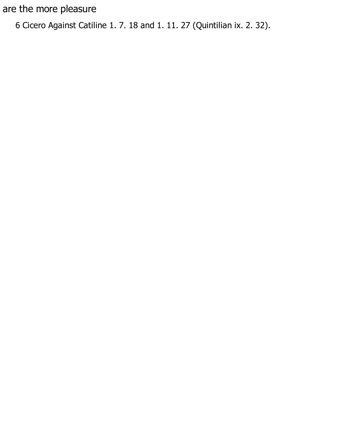are the more pleasure

6 Cicero Against Catiline 1. 7. 18 and 1. 11. 27 (Quintilian ix. 2. 32).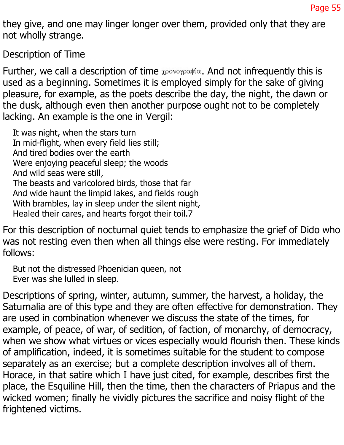they give, and one may linger longer over them, provided only that they are not wholly strange.

Description of Time

Further, we call a description of time  $x \circ y \circ y \circ \phi \circ x$ . And not infrequently this is used as a beginning. Sometimes it is employed simply for the sake of giving pleasure, for example, as the poets describe the day, the night, the dawn or the dusk, although even then another purpose ought not to be completely lacking. An example is the one in Vergil:

It was night, when the stars turn In mid-flight, when every field lies still; And tired bodies over the earth Were enjoying peaceful sleep; the woods And wild seas were still, The beasts and varicolored birds, those that far And wide haunt the limpid lakes, and fields rough With brambles, lay in sleep under the silent night, Healed their cares, and hearts forgot their toil.7

For this description of nocturnal quiet tends to emphasize the grief of Dido who was not resting even then when all things else were resting. For immediately follows:

But not the distressed Phoenician queen, not Ever was she lulled in sleep.

Descriptions of spring, winter, autumn, summer, the harvest, a holiday, the Saturnalia are of this type and they are often effective for demonstration. They are used in combination whenever we discuss the state of the times, for example, of peace, of war, of sedition, of faction, of monarchy, of democracy, when we show what virtues or vices especially would flourish then. These kinds of amplification, indeed, it is sometimes suitable for the student to compose separately as an exercise; but a complete description involves all of them. Horace, in that satire which I have just cited, for example, describes first the place, the Esquiline Hill, then the time, then the characters of Priapus and the wicked women; finally he vividly pictures the sacrifice and noisy flight of the frightened victims.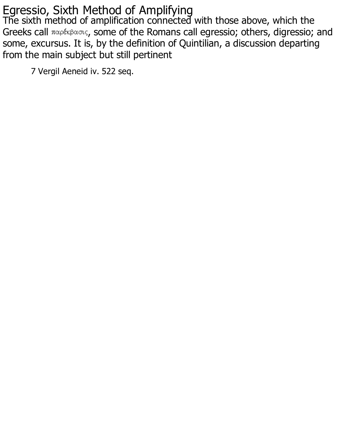# Egressio, Sixth Method of Amplifying

The sixth method of amplification connected with those above, which the Greeks call  $\pi\alpha\rho$  fix  $\beta\alpha\alpha\beta$ , some of the Romans call egressio; others, digressio; and some, excursus. It is, by the definition of Quintilian, a discussion departing from the main subject but still pertinent

7 Vergil Aeneid iv. 522 seq.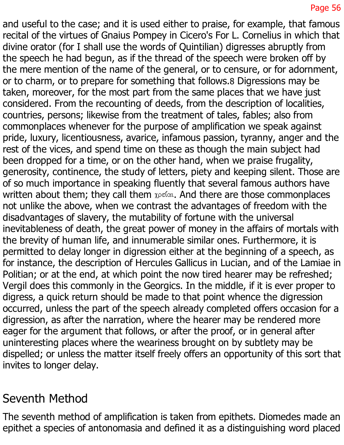#### Page 56

and useful to the case; and it is used either to praise, for example, that famous recital of the virtues of Gnaius Pompey in Cicero's For L. Cornelius in which that divine orator (for I shall use the words of Quintilian) digresses abruptly from the speech he had begun, as if the thread of the speech were broken off by the mere mention of the name of the general, or to censure, or for adornment, or to charm, or to prepare for something that follows.8 Digressions may be taken, moreover, for the most part from the same places that we have just considered. From the recounting of deeds, from the description of localities, countries, persons; likewise from the treatment of tales, fables; also from commonplaces whenever for the purpose of amplification we speak against pride, luxury, licentiousness, avarice, infamous passion, tyranny, anger and the rest of the vices, and spend time on these as though the main subject had been dropped for a time, or on the other hand, when we praise frugality, generosity, continence, the study of letters, piety and keeping silent. Those are of so much importance in speaking fluently that several famous authors have written about them; they call them  $\mathfrak{XPE}$  and there are those commonplaces not unlike the above, when we contrast the advantages of freedom with the disadvantages of slavery, the mutability of fortune with the universal inevitableness of death, the great power of money in the affairs of mortals with the brevity of human life, and innumerable similar ones. Furthermore, it is permitted to delay longer in digression either at the beginning of a speech, as for instance, the description of Hercules Gallicus in Lucian, and of the Lamiae in Politian; or at the end, at which point the now tired hearer may be refreshed; Vergil does this commonly in the Georgics. In the middle, if it is ever proper to digress, a quick return should be made to that point whence the digression occurred, unless the part of the speech already completed offers occasion for a digression, as after the narration, where the hearer may be rendered more eager for the argument that follows, or after the proof, or in general after uninteresting places where the weariness brought on by subtlety may be dispelled; or unless the matter itself freely offers an opportunity of this sort that invites to longer delay.

## Seventh Method

The seventh method of amplification is taken from epithets. Diomedes made an epithet a species of antonomasia and defined it as a distinguishing word placed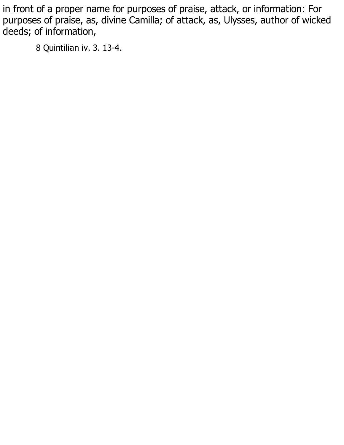in front of a proper name for purposes of praise, attack, or information: For purposes of praise, as, divine Camilla; of attack, as, Ulysses, author of wicked deeds; of information,

8 Quintilian iv. 3. 13-4.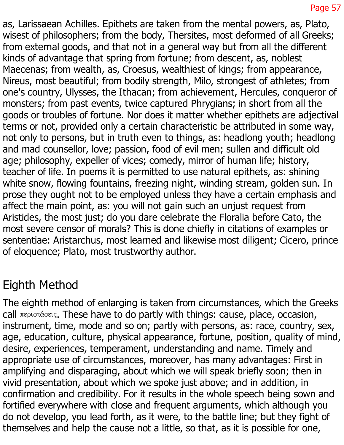as, Larissaean Achilles. Epithets are taken from the mental powers, as, Plato, wisest of philosophers; from the body, Thersites, most deformed of all Greeks; from external goods, and that not in a general way but from all the different kinds of advantage that spring from fortune; from descent, as, noblest Maecenas; from wealth, as, Croesus, wealthiest of kings; from appearance, Nireus, most beautiful; from bodily strength, Milo, strongest of athletes; from one's country, Ulysses, the Ithacan; from achievement, Hercules, conqueror of monsters; from past events, twice captured Phrygians; in short from all the goods or troubles of fortune. Nor does it matter whether epithets are adjectival terms or not, provided only a certain characteristic be attributed in some way, not only to persons, but in truth even to things, as: headlong youth; headlong and mad counsellor, love; passion, food of evil men; sullen and difficult old age; philosophy, expeller of vices; comedy, mirror of human life; history, teacher of life. In poems it is permitted to use natural epithets, as: shining white snow, flowing fountains, freezing night, winding stream, golden sun. In prose they ought not to be employed unless they have a certain emphasis and affect the main point, as: you will not gain such an unjust request from Aristides, the most just; do you dare celebrate the Floralia before Cato, the most severe censor of morals? This is done chiefly in citations of examples or sententiae: Aristarchus, most learned and likewise most diligent; Cicero, prince of eloquence; Plato, most trustworthy author.

# Eighth Method

The eighth method of enlarging is taken from circumstances, which the Greeks call  $\pi$ <sub>gplotásels</sub>. These have to do partly with things: cause, place, occasion, instrument, time, mode and so on; partly with persons, as: race, country, sex, age, education, culture, physical appearance, fortune, position, quality of mind, desire, experiences, temperament, understanding and name. Timely and appropriate use of circumstances, moreover, has many advantages: First in amplifying and disparaging, about which we will speak briefly soon; then in vivid presentation, about which we spoke just above; and in addition, in confirmation and credibility. For it results in the whole speech being sown and fortified everywhere with close and frequent arguments, which although you do not develop, you lead forth, as it were, to the battle line; but they fight of themselves and help the cause not a little, so that, as it is possible for one,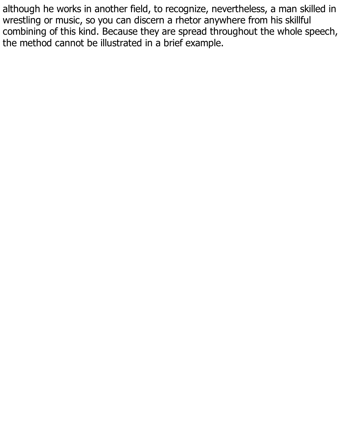although he works in another field, to recognize, nevertheless, a man skilled in wrestling or music, so you can discern a rhetor anywhere from his skillful combining of this kind. Because they are spread throughout the whole speech, the method cannot be illustrated in a brief example.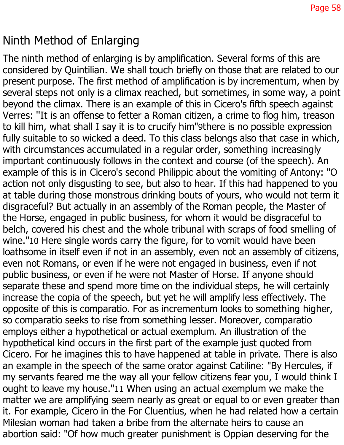# Ninth Method of Enlarging

The ninth method of enlarging is by amplification. Several forms of this are considered by Quintilian. We shall touch briefly on those that are related to our present purpose. The first method of amplification is by incrementum, when by several steps not only is a climax reached, but sometimes, in some way, a point beyond the climax. There is an example of this in Cicero's fifth speech against Verres: ''It is an offense to fetter a Roman citizen, a crime to flog him, treason to kill him, what shall I say it is to crucify him"9there is no possible expression fully suitable to so wicked a deed. To this class belongs also that case in which, with circumstances accumulated in a regular order, something increasingly important continuously follows in the context and course (of the speech). An example of this is in Cicero's second Philippic about the vomiting of Antony: "O action not only disgusting to see, but also to hear. If this had happened to you at table during those monstrous drinking bouts of yours, who would not term it disgraceful? But actually in an assembly of the Roman people, the Master of the Horse, engaged in public business, for whom it would be disgraceful to belch, covered his chest and the whole tribunal with scraps of food smelling of wine."10 Here single words carry the figure, for to vomit would have been loathsome in itself even if not in an assembly, even not an assembly of citizens, even not Romans, or even if he were not engaged in business, even if not public business, or even if he were not Master of Horse. If anyone should separate these and spend more time on the individual steps, he will certainly increase the copia of the speech, but yet he will amplify less effectively. The opposite of this is comparatio. For as incrementum looks to something higher, so comparatio seeks to rise from something lesser. Moreover, comparatio employs either a hypothetical or actual exemplum. An illustration of the hypothetical kind occurs in the first part of the example just quoted from Cicero. For he imagines this to have happened at table in private. There is also an example in the speech of the same orator against Catiline: "By Hercules, if my servants feared me the way all your fellow citizens fear you, I would think I ought to leave my house."11 When using an actual exemplum we make the matter we are amplifying seem nearly as great or equal to or even greater than it. For example, Cicero in the For Cluentius, when he had related how a certain Milesian woman had taken a bribe from the alternate heirs to cause an abortion said: "Of how much greater punishment is Oppian deserving for the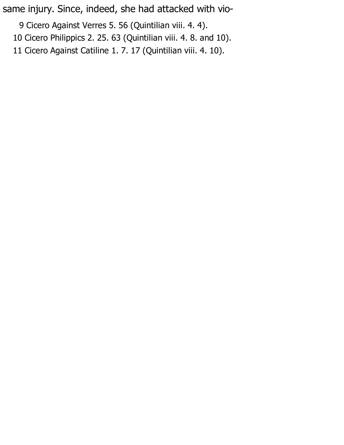same injury. Since, indeed, she had attacked with vio-

Cicero Against Verres 5. 56 (Quintilian viii. 4. 4).

Cicero Philippics 2. 25. 63 (Quintilian viii. 4. 8. and 10).

Cicero Against Catiline 1. 7. 17 (Quintilian viii. 4. 10).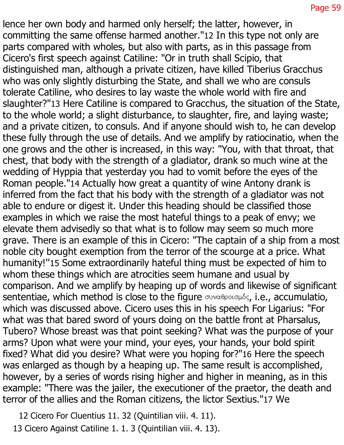lence her own body and harmed only herself; the latter, however, in committing the same offense harmed another."12 In this type not only are parts compared with wholes, but also with parts, as in this passage from Cicero's first speech against Catiline: "Or in truth shall Scipio, that distinguished man, although a private citizen, have killed Tiberius Gracchus who was only slightly disturbing the State, and shall we who are consuls tolerate Catiline, who desires to lay waste the whole world with fire and slaughter?"13 Here Catiline is compared to Gracchus, the situation of the State, to the whole world; a slight disturbance, to slaughter, fire, and laying waste; and a private citizen, to consuls. And if anyone should wish to, he can develop these fully through the use of details. And we amplify by ratiocinatio, when the one grows and the other is increased, in this way: "You, with that throat, that chest, that body with the strength of a gladiator, drank so much wine at the wedding of Hyppia that yesterday you had to vomit before the eyes of the Roman people."14 Actually how great a quantity of wine Antony drank is inferred from the fact that his body with the strength of a gladiator was not able to endure or digest it. Under this heading should be classified those examples in which we raise the most hateful things to a peak of envy; we elevate them advisedly so that what is to follow may seem so much more grave. There is an example of this in Cicero: "The captain of a ship from a most noble city bought exemption from the terror of the scourge at a price. What humanity!''15 Some extraordinarily hateful thing must be expected of him to whom these things which are atrocities seem humane and usual by comparison. And we amplify by heaping up of words and likewise of significant sententiae, which method is close to the figure or all  $\alpha$ , i.e., accumulatio, which was discussed above. Cicero uses this in his speech For Ligarius: "For what was that bared sword of yours doing on the battle front at Pharsalus, Tubero? Whose breast was that point seeking? What was the purpose of your arms? Upon what were your mind, your eyes, your hands, your bold spirit fixed? What did you desire? What were you hoping for?"16 Here the speech was enlarged as though by a heaping up. The same result is accomplished, however, by a series of words rising higher and higher in meaning, as in this example: "There was the jailer, the executioner of the praetor, the death and terror of the allies and the Roman citizens, the lictor Sextius."17 We

12 Cicero For Cluentius 11. 32 (Quintilian viii. 4. 11). 13 Cicero Against Catiline 1. 1. 3 (Quintilian viii. 4. 13).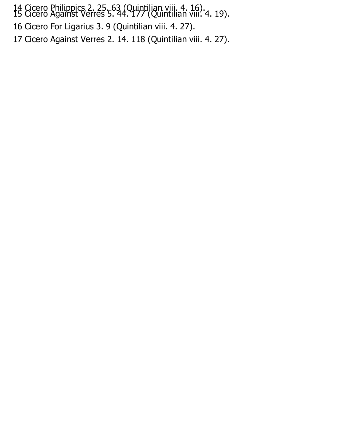Cicero Philippics 2. 25. 63 (Quintilian viii. 4. 16). Cicero Against Verres 5. 44. 177 (Quintilian viii. 4. 19). Cicero For Ligarius 3. 9 (Quintilian viii. 4. 27). Cicero Against Verres 2. 14. 118 (Quintilian viii. 4. 27).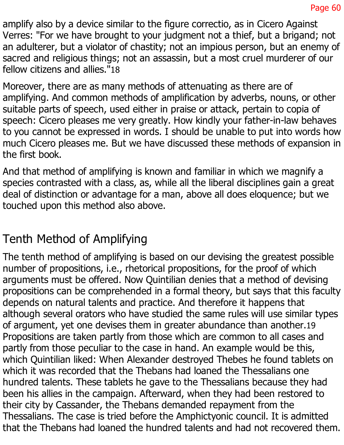amplify also by a device similar to the figure correctio, as in Cicero Against Verres: "For we have brought to your judgment not a thief, but a brigand; not an adulterer, but a violator of chastity; not an impious person, but an enemy of sacred and religious things; not an assassin, but a most cruel murderer of our fellow citizens and allies."18

Moreover, there are as many methods of attenuating as there are of amplifying. And common methods of amplification by adverbs, nouns, or other suitable parts of speech, used either in praise or attack, pertain to copia of speech: Cicero pleases me very greatly. How kindly your father-in-law behaves to you cannot be expressed in words. I should be unable to put into words how much Cicero pleases me. But we have discussed these methods of expansion in the first book.

And that method of amplifying is known and familiar in which we magnify a species contrasted with a class, as, while all the liberal disciplines gain a great deal of distinction or advantage for a man, above all does eloquence; but we touched upon this method also above.

## Tenth Method of Amplifying

The tenth method of amplifying is based on our devising the greatest possible number of propositions, i.e., rhetorical propositions, for the proof of which arguments must be offered. Now Quintilian denies that a method of devising propositions can be comprehended in a formal theory, but says that this faculty depends on natural talents and practice. And therefore it happens that although several orators who have studied the same rules will use similar types of argument, yet one devises them in greater abundance than another.19 Propositions are taken partly from those which are common to all cases and partly from those peculiar to the case in hand. An example would be this, which Quintilian liked: When Alexander destroyed Thebes he found tablets on which it was recorded that the Thebans had loaned the Thessalians one hundred talents. These tablets he gave to the Thessalians because they had been his allies in the campaign. Afterward, when they had been restored to their city by Cassander, the Thebans demanded repayment from the Thessalians. The case is tried before the Amphictyonic council. It is admitted that the Thebans had loaned the hundred talents and had not recovered them.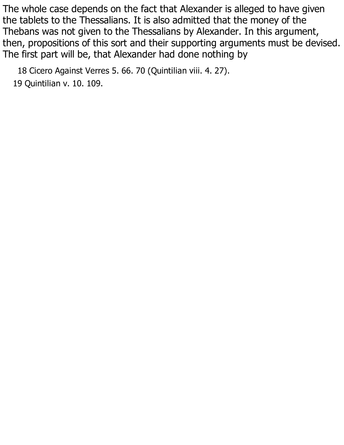The whole case depends on the fact that Alexander is alleged to have given the tablets to the Thessalians. It is also admitted that the money of the Thebans was not given to the Thessalians by Alexander. In this argument, then, propositions of this sort and their supporting arguments must be devised. The first part will be, that Alexander had done nothing by

18 Cicero Against Verres 5. 66. 70 (Quintilian viii. 4. 27). 19 Quintilian v. 10. 109.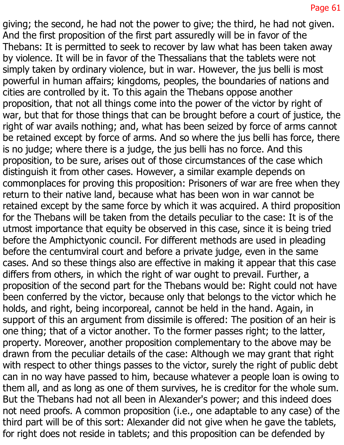giving; the second, he had not the power to give; the third, he had not given. And the first proposition of the first part assuredly will be in favor of the Thebans: It is permitted to seek to recover by law what has been taken away by violence. It will be in favor of the Thessalians that the tablets were not simply taken by ordinary violence, but in war. However, the jus belli is most powerful in human affairs; kingdoms, peoples, the boundaries of nations and cities are controlled by it. To this again the Thebans oppose another proposition, that not all things come into the power of the victor by right of war, but that for those things that can be brought before a court of justice, the right of war avails nothing; and, what has been seized by force of arms cannot be retained except by force of arms. And so where the jus belli has force, there is no judge; where there is a judge, the jus belli has no force. And this proposition, to be sure, arises out of those circumstances of the case which distinguish it from other cases. However, a similar example depends on commonplaces for proving this proposition: Prisoners of war are free when they return to their native land, because what has been won in war cannot be retained except by the same force by which it was acquired. A third proposition for the Thebans will be taken from the details peculiar to the case: It is of the utmost importance that equity be observed in this case, since it is being tried before the Amphictyonic council. For different methods are used in pleading before the centumviral court and before a private judge, even in the same cases. And so these things also are effective in making it appear that this case differs from others, in which the right of war ought to prevail. Further, a proposition of the second part for the Thebans would be: Right could not have been conferred by the victor, because only that belongs to the victor which he holds, and right, being incorporeal, cannot be held in the hand. Again, in support of this an argument from dissimile is offered: The position of an heir is one thing; that of a victor another. To the former passes right; to the latter, property. Moreover, another proposition complementary to the above may be drawn from the peculiar details of the case: Although we may grant that right with respect to other things passes to the victor, surely the right of public debt can in no way have passed to him, because whatever a people loan is owing to them all, and as long as one of them survives, he is creditor for the whole sum. But the Thebans had not all been in Alexander's power; and this indeed does not need proofs. A common proposition (i.e., one adaptable to any case) of the third part will be of this sort: Alexander did not give when he gave the tablets, for right does not reside in tablets; and this proposition can be defended by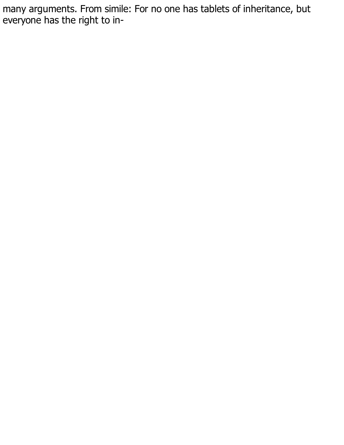many arguments. From simile: For no one has tablets of inheritance, but everyone has the right to in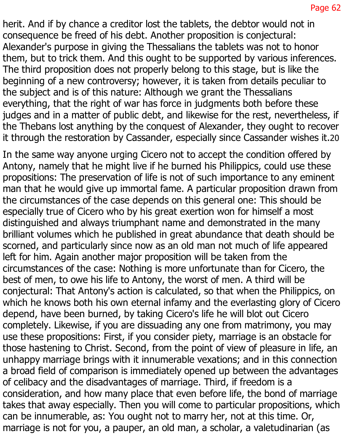herit. And if by chance a creditor lost the tablets, the debtor would not in consequence be freed of his debt. Another proposition is conjectural: Alexander's purpose in giving the Thessalians the tablets was not to honor them, but to trick them. And this ought to be supported by various inferences. The third proposition does not properly belong to this stage, but is like the beginning of a new controversy; however, it is taken from details peculiar to the subject and is of this nature: Although we grant the Thessalians everything, that the right of war has force in judgments both before these judges and in a matter of public debt, and likewise for the rest, nevertheless, if the Thebans lost anything by the conquest of Alexander, they ought to recover it through the restoration by Cassander, especially since Cassander wishes it.20

In the same way anyone urging Cicero not to accept the condition offered by Antony, namely that he might live if he burned his Philippics, could use these propositions: The preservation of life is not of such importance to any eminent man that he would give up immortal fame. A particular proposition drawn from the circumstances of the case depends on this general one: This should be especially true of Cicero who by his great exertion won for himself a most distinguished and always triumphant name and demonstrated in the many brilliant volumes which he published in great abundance that death should be scorned, and particularly since now as an old man not much of life appeared left for him. Again another major proposition will be taken from the circumstances of the case: Nothing is more unfortunate than for Cicero, the best of men, to owe his life to Antony, the worst of men. A third will be conjectural: That Antony's action is calculated, so that when the Philippics, on which he knows both his own eternal infamy and the everlasting glory of Cicero depend, have been burned, by taking Cicero's life he will blot out Cicero completely. Likewise, if you are dissuading any one from matrimony, you may use these propositions: First, if you consider piety, marriage is an obstacle for those hastening to Christ. Second, from the point of view of pleasure in life, an unhappy marriage brings with it innumerable vexations; and in this connection a broad field of comparison is immediately opened up between the advantages of celibacy and the disadvantages of marriage. Third, if freedom is a consideration, and how many place that even before life, the bond of marriage takes that away especially. Then you will come to particular propositions, which can be innumerable, as: You ought not to marry her, not at this time. Or, marriage is not for you, a pauper, an old man, a scholar, a valetudinarian (as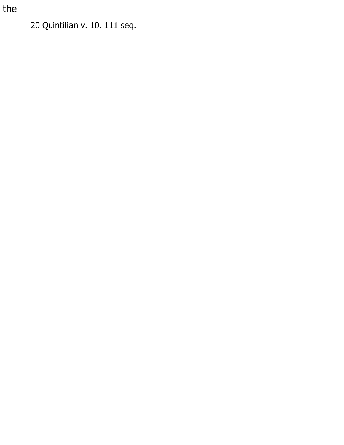### t h e

20 Quintilian v. 10. 111 seq.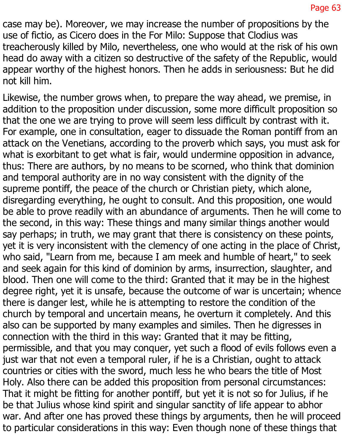case may be). Moreover, we may increase the number of propositions by the use of fictio, as Cicero does in the For Milo: Suppose that Clodius was treacherously killed by Milo, nevertheless, one who would at the risk of his own head do away with a citizen so destructive of the safety of the Republic, would appear worthy of the highest honors. Then he adds in seriousness: But he did not kill him.

Likewise, the number grows when, to prepare the way ahead, we premise, in addition to the proposition under discussion, some more difficult proposition so that the one we are trying to prove will seem less difficult by contrast with it. For example, one in consultation, eager to dissuade the Roman pontiff from an attack on the Venetians, according to the proverb which says, you must ask for what is exorbitant to get what is fair, would undermine opposition in advance, thus: There are authors, by no means to be scorned, who think that dominion and temporal authority are in no way consistent with the dignity of the supreme pontiff, the peace of the church or Christian piety, which alone, disregarding everything, he ought to consult. And this proposition, one would be able to prove readily with an abundance of arguments. Then he will come to the second, in this way: These things and many similar things another would say perhaps; in truth, we may grant that there is consistency on these points, yet it is very inconsistent with the clemency of one acting in the place of Christ, who said, "Learn from me, because I am meek and humble of heart, " to seek and seek again for this kind of dominion by arms, insurrection, slaughter, and blood. Then one will come to the third: Granted that it may be in the highest degree right, yet it is unsafe, because the outcome of war is uncertain; whence there is danger lest, while he is attempting to restore the condition of the church by temporal and uncertain means, he overturn it completely. And this also can be supported by many examples and similes. Then he digresses in connection with the third in this way: Granted that it may be fitting, permissible, and that you may conquer, yet such a flood of evils follows even a just war that not even a temporal ruler, if he is a Christian, ought to attack countries or cities with the sword, much less he who bears the title of Most Holy. Also there can be added this proposition from personal circumstances: That it might be fitting for another pontiff, but yet it is not so for Julius, if he be that Julius whose kind spirit and singular sanctity of life appear to abhor war. And after one has proved these things by arguments, then he will proceed to particular considerations in this way: Even though none of these things that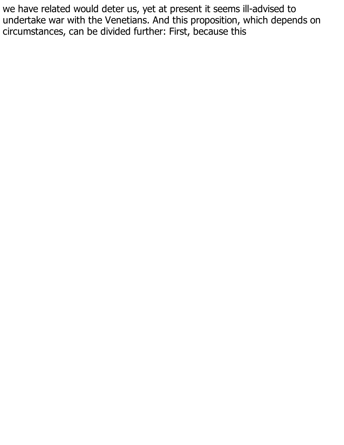we have related would deter us, yet at present it seems ill-advised to undertake war with the Venetians. And this proposition, which depends on circumstances, can be divided further: First, because this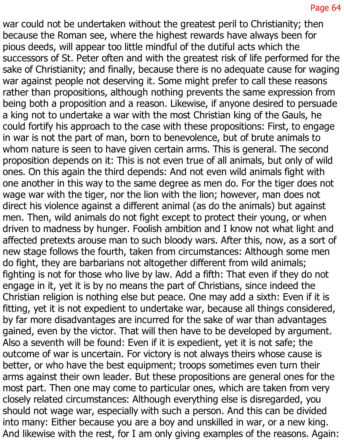war could not be undertaken without the greatest peril to Christianity; then because the Roman see, where the highest rewards have always been for pious deeds, will appear too little mindful of the dutiful acts which the successors of St. Peter often and with the greatest risk of life performed for the sake of Christianity; and finally, because there is no adequate cause for waging war against people not deserving it. Some might prefer to call these reasons rather than propositions, although nothing prevents the same expression from being both a proposition and a reason. Likewise, if anyone desired to persuade a king not to undertake a war with the most Christian king of the Gauls, he could fortify his approach to the case with these propositions: First, to engage in war is not the part of man, born to benevolence, but of brute animals to whom nature is seen to have given certain arms. This is general. The second proposition depends on it: This is not even true of all animals, but only of wild ones. On this again the third depends: And not even wild animals fight with one another in this way to the same degree as men do. For the tiger does not wage war with the tiger, nor the lion with the lion; however, man does not direct his violence against a different animal (as do the animals) but against men. Then, wild animals do not fight except to protect their young, or when driven to madness by hunger. Foolish ambition and I know not what light and affected pretexts arouse man to such bloody wars. After this, now, as a sort of new stage follows the fourth, taken from circumstances: Although some men do fight, they are barbarians not altogether different from wild animals; fighting is not for those who live by law. Add a fifth: That even if they do not engage in it, yet it is by no means the part of Christians, since indeed the Christian religion is nothing else but peace. One may add a sixth: Even if it is fitting, yet it is not expedient to undertake war, because all things considered, by far more disadvantages are incurred for the sake of war than advantages gained, even by the victor. That will then have to be developed by argument. Also a seventh will be found: Even if it is expedient, yet it is not safe; the outcome of war is uncertain. For victory is not always theirs whose cause is better, or who have the best equipment; troops sometimes even turn their arms against their own leader. But these propositions are general ones for the most part. Then one may come to particular ones, which are taken from very closely related circumstances: Although everything else is disregarded, you should not wage war, especially with such a person. And this can be divided into many: Either because you are a boy and unskilled in war, or a new king. And likewise with the rest, for I am only giving examples of the reasons. Again: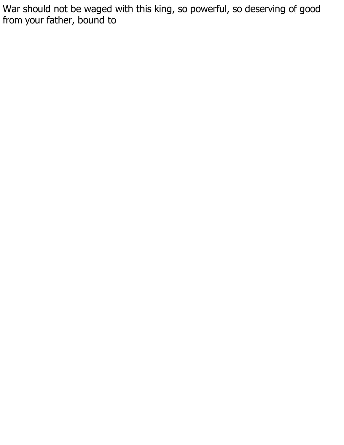War should not be waged with this king, so powerful, so deserving of good from your father, bound to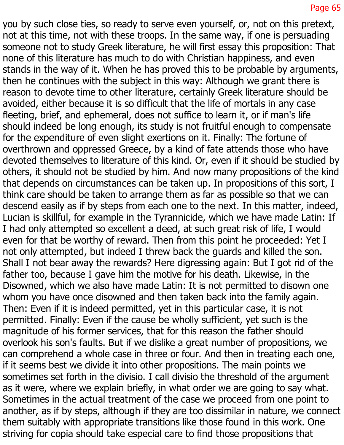#### Page 65

you by such close ties, so ready to serve even yourself, or, not on this pretext, not at this time, not with these troops. In the same way, if one is persuading someone not to study Greek literature, he will first essay this proposition: That none of this literature has much to do with Christian happiness, and even stands in the way of it. When he has proved this to be probable by arguments, then he continues with the subject in this way: Although we grant there is reason to devote time to other literature, certainly Greek literature should be avoided, either because it is so difficult that the life of mortals in any case fleeting, brief, and ephemeral, does not suffice to learn it, or if man's life should indeed be long enough, its study is not fruitful enough to compensate for the expenditure of even slight exertions on it. Finally: The fortune of overthrown and oppressed Greece, by a kind of fate attends those who have devoted themselves to literature of this kind. Or, even if it should be studied by others, it should not be studied by him. And now many propositions of the kind that depends on circumstances can be taken up. In propositions of this sort, I think care should be taken to arrange them as far as possible so that we can descend easily as if by steps from each one to the next. In this matter, indeed, Lucian is skillful, for example in the Tyrannicide, which we have made Latin: If I had only attempted so excellent a deed, at such great risk of life, I would even for that be worthy of reward. Then from this point he proceeded: Yet I not only attempted, but indeed I threw back the guards and killed the son. Shall I not bear away the rewards? Here digressing again: But I got rid of the father too, because I gave him the motive for his death. Likewise, in the Disowned, which we also have made Latin: It is not permitted to disown one whom you have once disowned and then taken back into the family again. Then: Even if it is indeed permitted, yet in this particular case, it is not permitted. Finally: Even if the cause be wholly sufficient, yet such is the magnitude of his former services, that for this reason the father should overlook his son's faults. But if we dislike a great number of propositions, we can comprehend a whole case in three or four. And then in treating each one, if it seems best we divide it into other propositions. The main points we sometimes set forth in the divisio. I call divisio the threshold of the argument as it were, where we explain briefly, in what order we are going to say what. Sometimes in the actual treatment of the case we proceed from one point to another, as if by steps, although if they are too dissimilar in nature, we connect them suitably with appropriate transitions like those found in this work. One striving for copia should take especial care to find those propositions that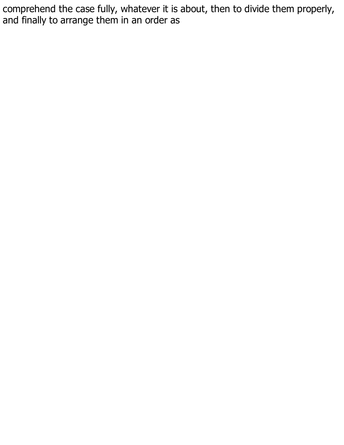comprehend the case fully, whatever it is about, then to divide them properly, and finally to arrange them in an order as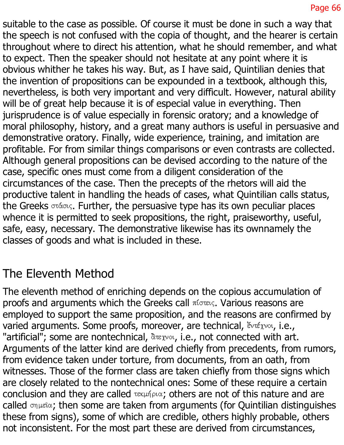#### Page 66

suitable to the case as possible. Of course it must be done in such a way that the speech is not confused with the copia of thought, and the hearer is certain throughout where to direct his attention, what he should remember, and what to expect. Then the speaker should not hesitate at any point where it is obvious whither he takes his way. But, as I have said, Quintilian denies that the invention of propositions can be expounded in a textbook, although this, nevertheless, is both very important and very difficult. However, natural ability will be of great help because it is of especial value in everything. Then jurisprudence is of value especially in forensic oratory; and a knowledge of moral philosophy, history, and a great many authors is useful in persuasive and demonstrative oratory. Finally, wide experience, training, and imitation are profitable. For from similar things comparisons or even contrasts are collected. Although general propositions can be devised according to the nature of the case, specific ones must come from a diligent consideration of the circumstances of the case. Then the precepts of the rhetors will aid the productive talent in handling the heads of cases, what Quintilian calls status, the Greeks otásis. Further, the persuasive type has its own peculiar places whence it is permitted to seek propositions, the right, praiseworthy, useful, safe, easy, necessary. The demonstrative likewise has its ownnamely the classes of goods and what is included in these.

## The Eleventh Method

The eleventh method of enriching depends on the copious accumulation of proofs and arguments which the Greeks call  $\pi$ <sup>forets</sup>. Various reasons are employed to support the same proposition, and the reasons are confirmed by varied arguments. Some proofs, moreover, are technical, Evreivol, i.e., "artificial"; some are nontechnical,  $\frac{\partial \mathbf{w}}{\partial \mathbf{w}}$ , i.e., not connected with art. Arguments of the latter kind are derived chiefly from precedents, from rumors, from evidence taken under torture, from documents, from an oath, from witnesses. Those of the former class are taken chiefly from those signs which are closely related to the nontechnical ones: Some of these require a certain conclusion and they are called **texuniple**, others are not of this nature and are called  $\sigma$ <sub>Ilest $\alpha$ ; then some are taken from arguments (for Quintilian distinguishes</sub> these from signs), some of which are credible, others highly probable, others not inconsistent. For the most part these are derived from circumstances,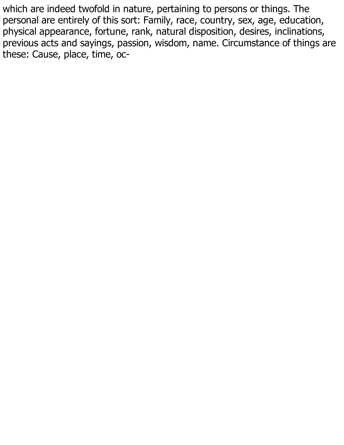which are indeed twofold in nature, pertaining to persons or things. The personal are entirely of this sort: Family, race, country, sex, age, education, physical appearance, fortune, rank, natural disposition, desires, inclinations, previous acts and sayings, passion, wisdom, name. Circumstance of things are these: Cause, place, time, oc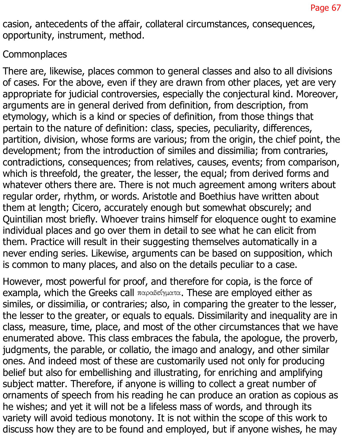casion, antecedents of the affair, collateral circumstances, consequences, opportunity, instrument, method.

### **Commonplaces**

There are, likewise, places common to general classes and also to all divisions of cases. For the above, even if they are drawn from other places, yet are very appropriate for judicial controversies, especially the conjectural kind. Moreover, arguments are in general derived from definition, from description, from etymology, which is a kind or species of definition, from those things that pertain to the nature of definition: class, species, peculiarity, differences, partition, division, whose forms are various; from the origin, the chief point, the development; from the introduction of similes and dissimilia; from contraries, contradictions, consequences; from relatives, causes, events; from comparison, which is threefold, the greater, the lesser, the equal; from derived forms and whatever others there are. There is not much agreement among writers about regular order, rhythm, or words. Aristotle and Boethius have written about them at length; Cicero, accurately enough but somewhat obscurely; and Quintilian most briefly. Whoever trains himself for eloquence ought to examine individual places and go over them in detail to see what he can elicit from them. Practice will result in their suggesting themselves automatically in a never ending series. Likewise, arguments can be based on supposition, which is common to many places, and also on the details peculiar to a case.

However, most powerful for proof, and therefore for copia, is the force of exampla, which the Greeks call  $\pi\alpha\rho\alpha\delta\epsilon\gamma\mu\alpha\tau\alpha$ . These are employed either as similes, or dissimilia, or contraries; also, in comparing the greater to the lesser, the lesser to the greater, or equals to equals. Dissimilarity and inequality are in class, measure, time, place, and most of the other circumstances that we have enumerated above. This class embraces the fabula, the apologue, the proverb, judgments, the parable, or collatio, the imago and analogy, and other similar ones. And indeed most of these are customarily used not only for producing belief but also for embellishing and illustrating, for enriching and amplifying subject matter. Therefore, if anyone is willing to collect a great number of ornaments of speech from his reading he can produce an oration as copious as he wishes; and yet it will not be a lifeless mass of words, and through its variety will avoid tedious monotony. It is not within the scope of this work to discuss how they are to be found and employed, but if anyone wishes, he may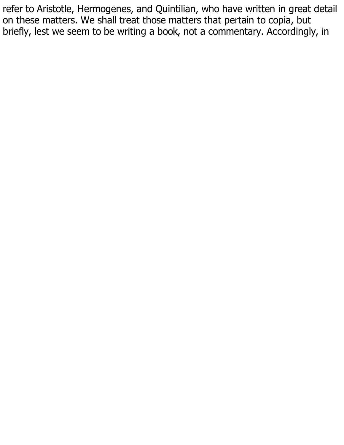refer to Aristotle, Hermogenes, and Quintilian, who have written in great detail on these matters. We shall treat those matters that pertain to copia, but briefly, lest we seem to be writing a book, not a commentary. Accordingly, in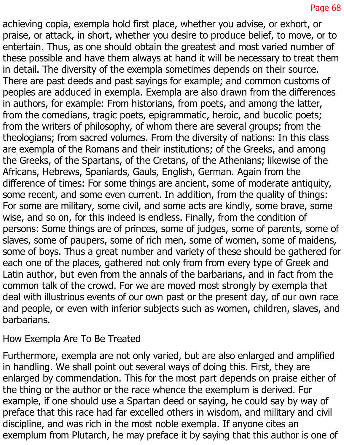achieving copia, exempla hold first place, whether you advise, or exhort, or praise, or attack, in short, whether you desire to produce belief, to move, or to entertain. Thus, as one should obtain the greatest and most varied number of these possible and have them always at hand it will be necessary to treat them in detail. The diversity of the exempla sometimes depends on their source. There are past deeds and past sayings for example; and common customs of peoples are adduced in exempla. Exempla are also drawn from the differences in authors, for example: From historians, from poets, and among the latter, from the comedians, tragic poets, epigrammatic, heroic, and bucolic poets; from the writers of philosophy, of whom there are several groups; from the theologians; from sacred volumes. From the diversity of nations: In this class are exempla of the Romans and their institutions; of the Greeks, and among the Greeks, of the Spartans, of the Cretans, of the Athenians; likewise of the Africans, Hebrews, Spaniards, Gauls, English, German. Again from the difference of times: For some things are ancient, some of moderate antiquity, some recent, and some even current. In addition, from the quality of things: For some are military, some civil, and some acts are kindly, some brave, some wise, and so on, for this indeed is endless. Finally, from the condition of persons: Some things are of princes, some of judges, some of parents, some of slaves, some of paupers, some of rich men, some of women, some of maidens, some of boys. Thus a great number and variety of these should be gathered for each one of the places, gathered not only from from every type of Greek and Latin author, but even from the annals of the barbarians, and in fact from the common talk of the crowd. For we are moved most strongly by exempla that deal with illustrious events of our own past or the present day, of our own race and people, or even with inferior subjects such as women, children, slaves, and barbarians.

### How Exempla Are To Be Treated

Furthermore, exempla are not only varied, but are also enlarged and amplified in handling. We shall point out several ways of doing this. First, they are enlarged by commendation. This for the most part depends on praise either of the thing or the author or the race whence the exemplum is derived. For example, if one should use a Spartan deed or saying, he could say by way of preface that this race had far excelled others in wisdom, and military and civil discipline, and was rich in the most noble exempla. If anyone cites an exemplum from Plutarch, he may preface it by saying that this author is one of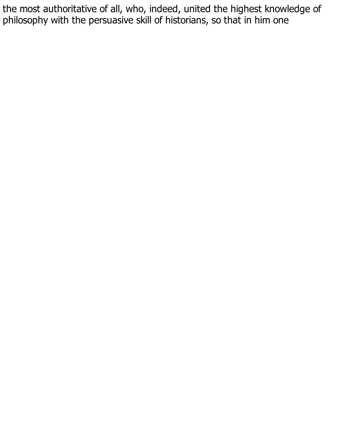the most authoritative of all, who, indeed, united the highest knowledge of philosophy with the persuasive skill of historians, so that in him one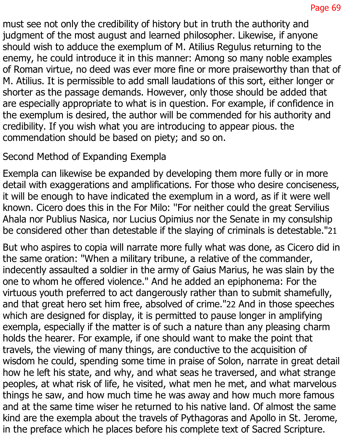must see not only the credibility of history but in truth the authority and judgment of the most august and learned philosopher. Likewise, if anyone should wish to adduce the exemplum of M. Atilius Regulus returning to the enemy, he could introduce it in this manner: Among so many noble examples of Roman virtue, no deed was ever more fine or more praiseworthy than that of M. Atilius. It is permissible to add small laudations of this sort, either longer or shorter as the passage demands. However, only those should be added that are especially appropriate to what is in question. For example, if confidence in the exemplum is desired, the author will be commended for his authority and credibility. If you wish what you are introducing to appear pious. the commendation should be based on piety; and so on.

## Second Method of Expanding Exempla

Exempla can likewise be expanded by developing them more fully or in more detail with exaggerations and amplifications. For those who desire conciseness, it will be enough to have indicated the exemplum in a word, as if it were well known. Cicero does this in the For Milo: ''For neither could the great Servilius Ahala nor Publius Nasica, nor Lucius Opimius nor the Senate in my consulship be considered other than detestable if the slaying of criminals is detestable."21

But who aspires to copia will narrate more fully what was done, as Cicero did in the same oration: "When a military tribune, a relative of the commander, indecently assaulted a soldier in the army of Gaius Marius, he was slain by the one to whom he offered violence." And he added an epiphonema: For the virtuous youth preferred to act dangerously rather than to submit shamefully, and that great hero set him free, absolved of crime."22 And in those speeches which are designed for display, it is permitted to pause longer in amplifying exempla, especially if the matter is of such a nature than any pleasing charm holds the hearer. For example, if one should want to make the point that travels, the viewing of many things, are conductive to the acquisition of wisdom he could, spending some time in praise of Solon, narrate in great detail how he left his state, and why, and what seas he traversed, and what strange peoples, at what risk of life, he visited, what men he met, and what marvelous things he saw, and how much time he was away and how much more famous and at the same time wiser he returned to his native land. Of almost the same kind are the exempla about the travels of Pythagoras and Apollo in St. Jerome, in the preface which he places before his complete text of Sacred Scripture.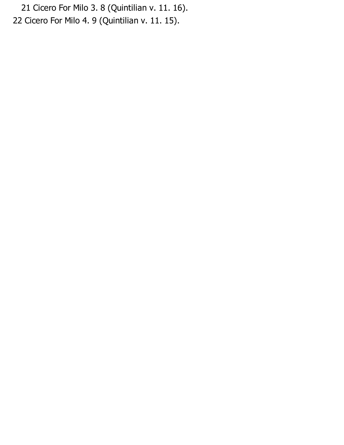Cicero For Milo 3. 8 (Quintilian v. 11. 16). Cicero For Milo 4. 9 (Quintilian v. 11. 15).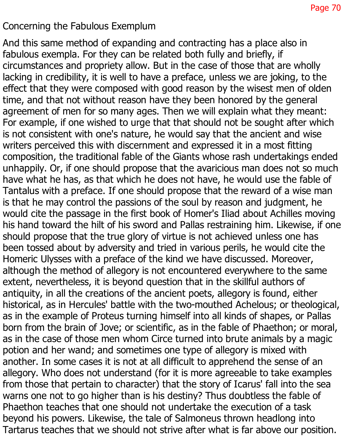### Concerning the Fabulous Exemplum

And this same method of expanding and contracting has a place also in fabulous exempla. For they can be related both fully and briefly, if circumstances and propriety allow. But in the case of those that are wholly lacking in credibility, it is well to have a preface, unless we are joking, to the effect that they were composed with good reason by the wisest men of olden time, and that not without reason have they been honored by the general agreement of men for so many ages. Then we will explain what they meant: For example, if one wished to urge that that should not be sought after which is not consistent with one's nature, he would say that the ancient and wise writers perceived this with discernment and expressed it in a most fitting composition, the traditional fable of the Giants whose rash undertakings ended unhappily. Or, if one should propose that the avaricious man does not so much have what he has, as that which he does not have, he would use the fable of Tantalus with a preface. If one should propose that the reward of a wise man is that he may control the passions of the soul by reason and judgment, he would cite the passage in the first book of Homer's Iliad about Achilles moving his hand toward the hilt of his sword and Pallas restraining him. Likewise, if one should propose that the true glory of virtue is not achieved unless one has been tossed about by adversity and tried in various perils, he would cite the Homeric Ulysses with a preface of the kind we have discussed. Moreover, although the method of allegory is not encountered everywhere to the same extent, nevertheless, it is beyond question that in the skillful authors of antiquity, in all the creations of the ancient poets, allegory is found, either historical, as in Hercules' battle with the two-mouthed Achelous; or theological, as in the example of Proteus turning himself into all kinds of shapes, or Pallas born from the brain of Jove; or scientific, as in the fable of Phaethon; or moral, as in the case of those men whom Circe turned into brute animals by a magic potion and her wand; and sometimes one type of allegory is mixed with another. In some cases it is not at all difficult to apprehend the sense of an allegory. Who does not understand (for it is more agreeable to take examples from those that pertain to character) that the story of Icarus' fall into the sea warns one not to go higher than is his destiny? Thus doubtless the fable of Phaethon teaches that one should not undertake the execution of a task beyond his powers. Likewise, the tale of Salmoneus thrown headlong into Tartarus teaches that we should not strive after what is far above our position.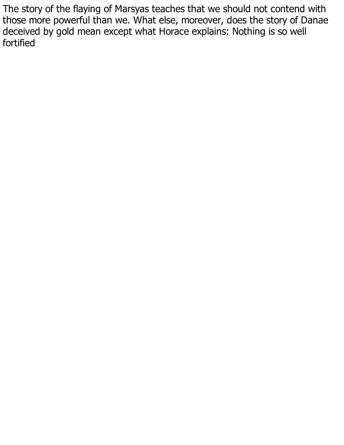The story of the flaying of Marsyas teaches that we should not contend with those more powerful than we. What else, moreover, does the story of Danae deceived by gold mean except what Horace explains: Nothing is so well fortified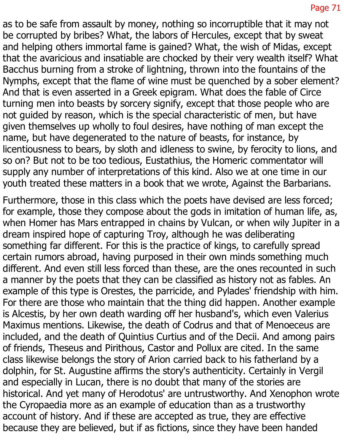as to be safe from assault by money, nothing so incorruptible that it may not be corrupted by bribes? What, the labors of Hercules, except that by sweat and helping others immortal fame is gained? What, the wish of Midas, except that the avaricious and insatiable are chocked by their very wealth itself? What Bacchus burning from a stroke of lightning, thrown into the fountains of the Nymphs, except that the flame of wine must be quenched by a sober element? And that is even asserted in a Greek epigram. What does the fable of Circe turning men into beasts by sorcery signify, except that those people who are not guided by reason, which is the special characteristic of men, but have given themselves up wholly to foul desires, have nothing of man except the name, but have degenerated to the nature of beasts, for instance, by licentiousness to bears, by sloth and idleness to swine, by ferocity to lions, and so on? But not to be too tedious, Eustathius, the Homeric commentator will supply any number of interpretations of this kind. Also we at one time in our youth treated these matters in a book that we wrote, Against the Barbarians.

Furthermore, those in this class which the poets have devised are less forced; for example, those they compose about the gods in imitation of human life, as, when Homer has Mars entrapped in chains by Vulcan, or when wily Jupiter in a dream inspired hope of capturing Troy, although he was deliberating something far different. For this is the practice of kings, to carefully spread certain rumors abroad, having purposed in their own minds something much different. And even still less forced than these, are the ones recounted in such a manner by the poets that they can be classified as history not as fables. An example of this type is Orestes, the parricide, and Pylades' friendship with him. For there are those who maintain that the thing did happen. Another example is Alcestis, by her own death warding off her husband's, which even Valerius Maximus mentions. Likewise, the death of Codrus and that of Menoeceus are included, and the death of Quintius Curtius and of the Decii. And among pairs of friends, Theseus and Pirithous, Castor and Pollux are cited. In the same class likewise belongs the story of Arion carried back to his fatherland by a dolphin, for St. Augustine affirms the story's authenticity. Certainly in Vergil and especially in Lucan, there is no doubt that many of the stories are historical. And yet many of Herodotus' are untrustworthy. And Xenophon wrote the Cyropaedia more as an example of education than as a trustworthy account of history. And if these are accepted as true, they are effective because they are believed, but if as fictions, since they have been handed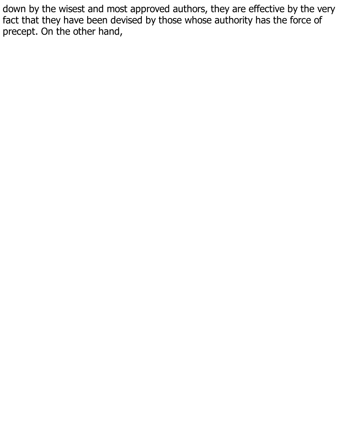down by the wisest and most approved authors, they are effective by the very fact that they have been devised by those whose authority has the force of precept. On the other hand,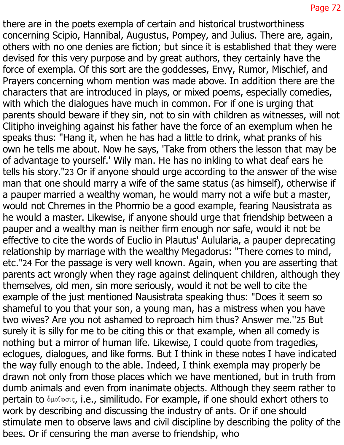there are in the poets exempla of certain and historical trustworthiness concerning Scipio, Hannibal, Augustus, Pompey, and Julius. There are, again, others with no one denies are fiction; but since it is established that they were devised for this very purpose and by great authors, they certainly have the force of exempla. Of this sort are the goddesses, Envy, Rumor, Mischief, and Prayers concerning whom mention was made above. In addition there are the characters that are introduced in plays, or mixed poems, especially comedies, with which the dialogues have much in common. For if one is urging that parents should beware if they sin, not to sin with children as witnesses, will not Clitipho inveighing against his father have the force of an exemplum when he speaks thus: "Hang it, when he has had a little to drink, what pranks of his own he tells me about. Now he says, 'Take from others the lesson that may be of advantage to yourself.' Wily man. He has no inkling to what deaf ears he tells his story."23 Or if anyone should urge according to the answer of the wise man that one should marry a wife of the same status (as himself), otherwise if a pauper married a wealthy woman, he would marry not a wife but a master, would not Chremes in the Phormio be a good example, fearing Nausistrata as he would a master. Likewise, if anyone should urge that friendship between a pauper and a wealthy man is neither firm enough nor safe, would it not be effective to cite the words of Euclio in Plautus' Aulularia, a pauper deprecating relationship by marriage with the wealthy Megadorus: "There comes to mind, etc."24 For the passage is very well known. Again, when you are asserting that parents act wrongly when they rage against delinquent children, although they themselves, old men, sin more seriously, would it not be well to cite the example of the just mentioned Nausistrata speaking thus: "Does it seem so shameful to you that your son, a young man, has a mistress when you have two wives? Are you not ashamed to reproach him thus? Answer me.''25 But surely it is silly for me to be citing this or that example, when all comedy is nothing but a mirror of human life. Likewise, I could quote from tragedies, eclogues, dialogues, and like forms. But I think in these notes I have indicated the way fully enough to the able. Indeed, I think exempla may properly be drawn not only from those places which we have mentioned, but in truth from dumb animals and even from inanimate objects. Although they seem rather to pertain to  $\delta \mu$ of  $\delta \alpha$ , i.e., similitudo. For example, if one should exhort others to work by describing and discussing the industry of ants. Or if one should stimulate men to observe laws and civil discipline by describing the polity of the bees. Or if censuring the man averse to friendship, who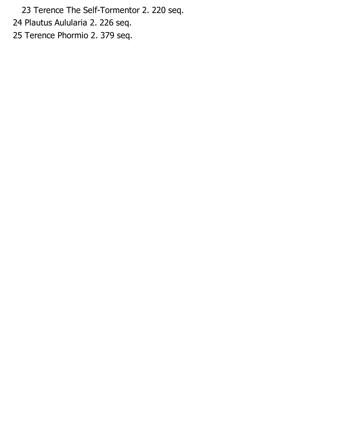Terence The Self-Tormentor 2. 220 seq. Plautus Aulularia 2. 226 seq. Terence Phormio 2. 379 seq.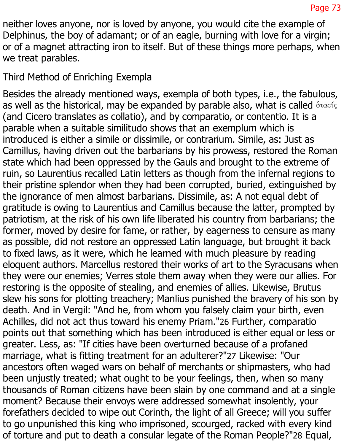neither loves anyone, nor is loved by anyone, you would cite the example of Delphinus, the boy of adamant; or of an eagle, burning with love for a virgin; or of a magnet attracting iron to itself. But of these things more perhaps, when we treat parables.

Third Method of Enriching Exempla

Besides the already mentioned ways, exempla of both types, i.e., the fabulous, as well as the historical, may be expanded by parable also, what is called  $\frac{6\pi}{60}$ (and Cicero translates as collatio), and by comparatio, or contentio. It is a parable when a suitable similitudo shows that an exemplum which is introduced is either a simile or dissimile, or contrarium. Simile, as: Just as Camillus, having driven out the barbarians by his prowess, restored the Roman state which had been oppressed by the Gauls and brought to the extreme of ruin, so Laurentius recalled Latin letters as though from the infernal regions to their pristine splendor when they had been corrupted, buried, extinguished by the ignorance of men almost barbarians. Dissimile, as: A not equal debt of gratitude is owing to Laurentius and Camillus because the latter, prompted by patriotism, at the risk of his own life liberated his country from barbarians; the former, moved by desire for fame, or rather, by eagerness to censure as many as possible, did not restore an oppressed Latin language, but brought it back to fixed laws, as it were, which he learned with much pleasure by reading eloquent authors. Marcellus restored their works of art to the Syracusans when they were our enemies; Verres stole them away when they were our allies. For restoring is the opposite of stealing, and enemies of allies. Likewise, Brutus slew his sons for plotting treachery; Manlius punished the bravery of his son by death. And in Vergil: "And he, from whom you falsely claim your birth, even Achilles, did not act thus toward his enemy Priam."26 Further, comparatio points out that something which has been introduced is either equal or less or greater. Less, as: "If cities have been overturned because of a profaned marriage, what is fitting treatment for an adulterer?"27 Likewise: "Our ancestors often waged wars on behalf of merchants or shipmasters, who had been unjustly treated; what ought to be your feelings, then, when so many thousands of Roman citizens have been slain by one command and at a single moment? Because their envoys were addressed somewhat insolently, your forefathers decided to wipe out Corinth, the light of all Greece; will you suffer to go unpunished this king who imprisoned, scourged, racked with every kind of torture and put to death a consular legate of the Roman People?"28 Equal,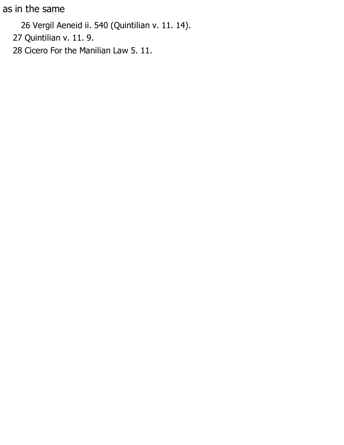as in the same

Vergil Aeneid ii. 540 (Quintilian v. 11. 14).

Quintilian v. 11. 9.

Cicero For the Manilian Law 5. 11.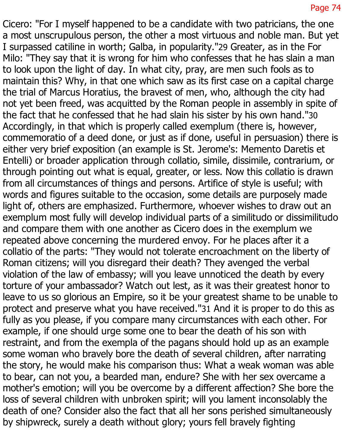### Page 74

Cicero: "For I myself happened to be a candidate with two patricians, the one a most unscrupulous person, the other a most virtuous and noble man. But yet I surpassed catiline in worth; Galba, in popularity."29 Greater, as in the For Milo: "They say that it is wrong for him who confesses that he has slain a man to look upon the light of day. In what city, pray, are men such fools as to maintain this? Why, in that one which saw as its first case on a capital charge the trial of Marcus Horatius, the bravest of men, who, although the city had not yet been freed, was acquitted by the Roman people in assembly in spite of the fact that he confessed that he had slain his sister by his own hand."30 Accordingly, in that which is properly called exemplum (there is, however, commemoratio of a deed done, or just as if done, useful in persuasion) there is either very brief exposition (an example is St. Jerome's: Memento Daretis et Entelli) or broader application through collatio, simile, dissimile, contrarium, or through pointing out what is equal, greater, or less. Now this collatio is drawn from all circumstances of things and persons. Artifice of style is useful; with words and figures suitable to the occasion, some details are purposely made light of, others are emphasized. Furthermore, whoever wishes to draw out an exemplum most fully will develop individual parts of a similitudo or dissimilitudo and compare them with one another as Cicero does in the exemplum we repeated above concerning the murdered envoy. For he places after it a collatio of the parts: "They would not tolerate encroachment on the liberty of Roman citizens; will you disregard their death? They avenged the verbal violation of the law of embassy; will you leave unnoticed the death by every torture of your ambassador? Watch out lest, as it was their greatest honor to leave to us so glorious an Empire, so it be your greatest shame to be unable to protect and preserve what you have received."31 And it is proper to do this as fully as you please, if you compare many circumstances with each other. For example, if one should urge some one to bear the death of his son with restraint, and from the exempla of the pagans should hold up as an example some woman who bravely bore the death of several children, after narrating the story, he would make his comparison thus: What a weak woman was able to bear, can not you, a bearded man, endure? She with her sex overcame a mother's emotion; will you be overcome by a different affection? She bore the loss of several children with unbroken spirit; will you lament inconsolably the death of one? Consider also the fact that all her sons perished simultaneously by shipwreck, surely a death without glory; yours fell bravely fighting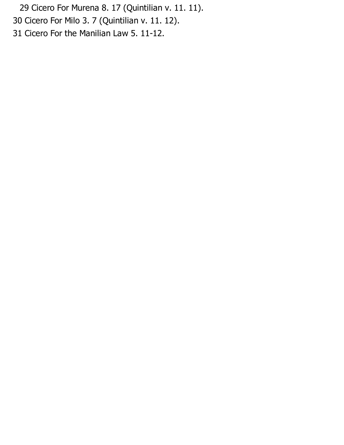Cicero For Murena 8. 17 (Quintilian v. 11. 11). Cicero For Milo 3. 7 (Quintilian v. 11. 12). Cicero For the Manilian Law 5. 11-12.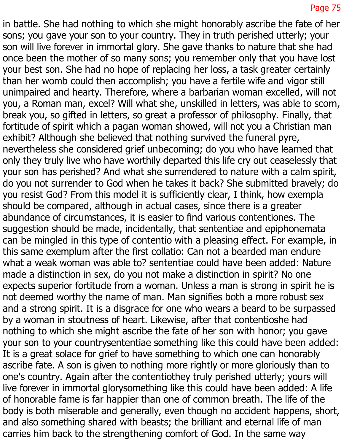### Page 75

in battle. She had nothing to which she might honorably ascribe the fate of her sons; you gave your son to your country. They in truth perished utterly; your son will live forever in immortal glory. She gave thanks to nature that she had once been the mother of so many sons; you remember only that you have lost your best son. She had no hope of replacing her loss, a task greater certainly than her womb could then accomplish; you have a fertile wife and vigor still unimpaired and hearty. Therefore, where a barbarian woman excelled, will not you, a Roman man, excel? Will what she, unskilled in letters, was able to scorn, break you, so gifted in letters, so great a professor of philosophy. Finally, that fortitude of spirit which a pagan woman showed, will not you a Christian man exhibit? Although she believed that nothing survived the funeral pyre, nevertheless she considered grief unbecoming; do you who have learned that only they truly live who have worthily departed this life cry out ceaselessly that your son has perished? And what she surrendered to nature with a calm spirit, do you not surrender to God when he takes it back? She submitted bravely; do you resist God? From this model it is sufficiently clear, I think, how exempla should be compared, although in actual cases, since there is a greater abundance of circumstances, it is easier to find various contentiones. The suggestion should be made, incidentally, that sententiae and epiphonemata can be mingled in this type of contentio with a pleasing effect. For example, in this same exemplum after the first collatio: Can not a bearded man endure what a weak woman was able to? sententiae could have been added: Nature made a distinction in sex, do you not make a distinction in spirit? No one expects superior fortitude from a woman. Unless a man is strong in spirit he is not deemed worthy the name of man. Man signifies both a more robust sex and a strong spirit. It is a disgrace for one who wears a beard to be surpassed by a woman in stoutness of heart. Likewise, after that contentioshe had nothing to which she might ascribe the fate of her son with honor; you gave your son to your countrysententiae something like this could have been added: It is a great solace for grief to have something to which one can honorably ascribe fate. A son is given to nothing more rightly or more gloriously than to one's country. Again after the contentiothey truly perished utterly; yours will live forever in immortal glorysomething like this could have been added: A life of honorable fame is far happier than one of common breath. The life of the body is both miserable and generally, even though no accident happens, short, and also something shared with beasts; the brilliant and eternal life of man carries him back to the strengthening comfort of God. In the same way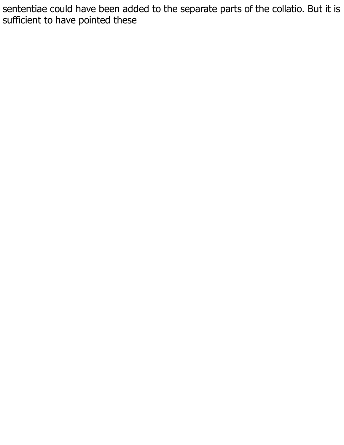sententiae could have been added to the separate parts of the collatio. But it is sufficient to have pointed these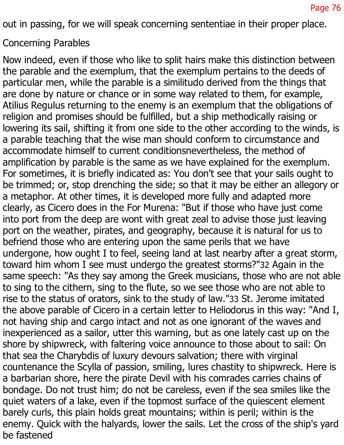out in passing, for we will speak concerning sententiae in their proper place.

# Concerning Parables

Now indeed, even if those who like to split hairs make this distinction between the parable and the exemplum, that the exemplum pertains to the deeds of particular men, while the parable is a similitudo derived from the things that are done by nature or chance or in some way related to them, for example, Atilius Regulus returning to the enemy is an exemplum that the obligations of religion and promises should be fulfilled, but a ship methodically raising or lowering its sail, shifting it from one side to the other according to the winds, is a parable teaching that the wise man should conform to circumstance and accommodate himself to current conditionsnevertheless, the method of amplification by parable is the same as we have explained for the exemplum. For sometimes, it is briefly indicated as: You don't see that your sails ought to be trimmed; or, stop drenching the side; so that it may be either an allegory or a metaphor. At other times, it is developed more fully and adapted more clearly, as Cicero does in the For Murena: "But if those who have just come into port from the deep are wont with great zeal to advise those just leaving port on the weather, pirates, and geography, because it is natural for us to befriend those who are entering upon the same perils that we have undergone, how ought I to feel, seeing land at last nearby after a great storm, toward him whom I see must undergo the greatest storms?"32 Again in the same speech: "As they say among the Greek musicians, those who are not able to sing to the cithern, sing to the flute, so we see those who are not able to rise to the status of orators, sink to the study of law."33 St. Jerome imitated the above parable of Cicero in a certain letter to Heliodorus in this way: "And I, not having ship and cargo intact and not as one ignorant of the waves and inexperienced as a sailor, utter this warning, but as one lately cast up on the shore by shipwreck, with faltering voice announce to those about to sail: On that sea the Charybdis of luxury devours salvation; there with virginal countenance the Scylla of passion, smiling, lures chastity to shipwreck. Here is a barbarian shore, here the pirate Devil with his comrades carries chains of bondage. Do not trust him; do not be careless, even if the sea smiles like the quiet waters of a lake, even if the topmost surface of the quiescent element barely curls, this plain holds great mountains; within is peril; within is the enemy. Quick with the halyards, lower the sails. Let the cross of the ship's yard be fastened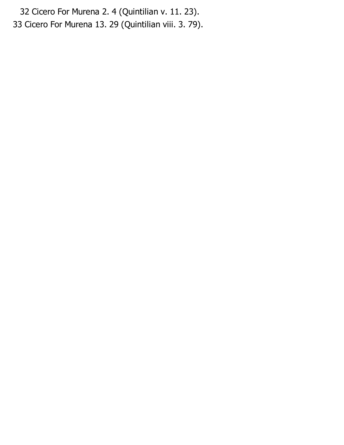Cicero For Murena 2. 4 (Quintilian v. 11. 23). Cicero For Murena 13. 29 (Quintilian viii. 3. 79).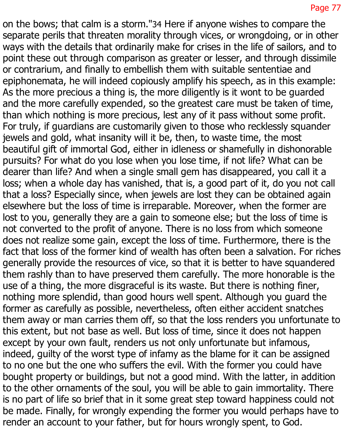### Page 77

on the bows; that calm is a storm."34 Here if anyone wishes to compare the separate perils that threaten morality through vices, or wrongdoing, or in other ways with the details that ordinarily make for crises in the life of sailors, and to point these out through comparison as greater or lesser, and through dissimile or contrarium, and finally to embellish them with suitable sententiae and epiphonemata, he will indeed copiously amplify his speech, as in this example: As the more precious a thing is, the more diligently is it wont to be guarded and the more carefully expended, so the greatest care must be taken of time, than which nothing is more precious, lest any of it pass without some profit. For truly, if guardians are customarily given to those who recklessly squander jewels and gold, what insanity will it be, then, to waste time, the most beautiful gift of immortal God, either in idleness or shamefully in dishonorable pursuits? For what do you lose when you lose time, if not life? What can be dearer than life? And when a single small gem has disappeared, you call it a loss; when a whole day has vanished, that is, a good part of it, do you not call that a loss? Especially since, when jewels are lost they can be obtained again elsewhere but the loss of time is irreparable. Moreover, when the former are lost to you, generally they are a gain to someone else; but the loss of time is not converted to the profit of anyone. There is no loss from which someone does not realize some gain, except the loss of time. Furthermore, there is the fact that loss of the former kind of wealth has often been a salvation. For riches generally provide the resources of vice, so that it is better to have squandered them rashly than to have preserved them carefully. The more honorable is the use of a thing, the more disgraceful is its waste. But there is nothing finer, nothing more splendid, than good hours well spent. Although you guard the former as carefully as possible, nevertheless, often either accident snatches them away or man carries them off, so that the loss renders you unfortunate to this extent, but not base as well. But loss of time, since it does not happen except by your own fault, renders us not only unfortunate but infamous, indeed, guilty of the worst type of infamy as the blame for it can be assigned to no one but the one who suffers the evil. With the former you could have bought property or buildings, but not a good mind. With the latter, in addition to the other ornaments of the soul, you will be able to gain immortality. There is no part of life so brief that in it some great step toward happiness could not be made. Finally, for wrongly expending the former you would perhaps have to render an account to your father, but for hours wrongly spent, to God.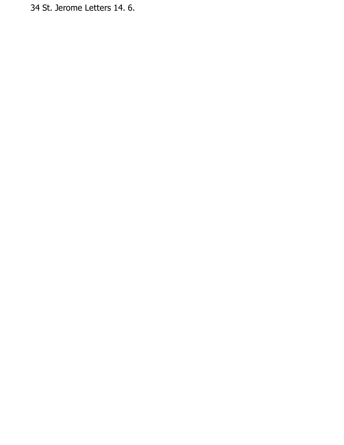St. Jerome Letters 14. 6.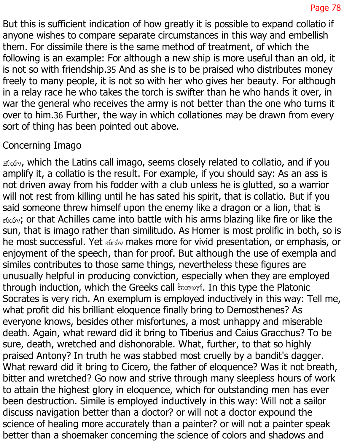But this is sufficient indication of how greatly it is possible to expand collatio if anyone wishes to compare separate circumstances in this way and embellish them. For dissimile there is the same method of treatment, of which the following is an example: For although a new ship is more useful than an old, it is not so with friendship.35 And as she is to be praised who distributes money freely to many people, it is not so with her who gives her beauty. For although in a relay race he who takes the torch is swifter than he who hands it over, in war the general who receives the army is not better than the one who turns it over to him.36 Further, the way in which collationes may be drawn from every sort of thing has been pointed out above.

# Concerning Imago

Bíkóv, which the Latins call imago, seems closely related to collatio, and if you amplify it, a collatio is the result. For example, if you should say: As an ass is not driven away from his fodder with a club unless he is glutted, so a warrior will not rest from killing until he has sated his spirit, that is collatio. But if you said someone threw himself upon the enemy like a dragon or a lion, that is etkév; or that Achilles came into battle with his arms blazing like fire or like the sun, that is imago rather than similitudo. As Homer is most prolific in both, so is he most successful. Yet  $\epsilon$ KKáv makes more for vivid presentation, or emphasis, or enjoyment of the speech, than for proof. But although the use of exempla and similes contributes to those same things, nevertheless these figures are unusually helpful in producing conviction, especially when they are employed through induction, which the Greeks call  $\frac{\partial \pi}{\partial x}$  in this type the Platonic Socrates is very rich. An exemplum is employed inductively in this way: Tell me, what profit did his brilliant eloquence finally bring to Demosthenes? As everyone knows, besides other misfortunes, a most unhappy and miserable death. Again, what reward did it bring to Tiberius and Caius Gracchus? To be sure, death, wretched and dishonorable. What, further, to that so highly praised Antony? In truth he was stabbed most cruelly by a bandit's dagger. What reward did it bring to Cicero, the father of eloquence? Was it not breath, bitter and wretched? Go now and strive through many sleepless hours of work to attain the highest glory in eloquence, which for outstanding men has ever been destruction. Simile is employed inductively in this way: Will not a sailor discuss navigation better than a doctor? or will not a doctor expound the science of healing more accurately than a painter? or will not a painter speak better than a shoemaker concerning the science of colors and shadows and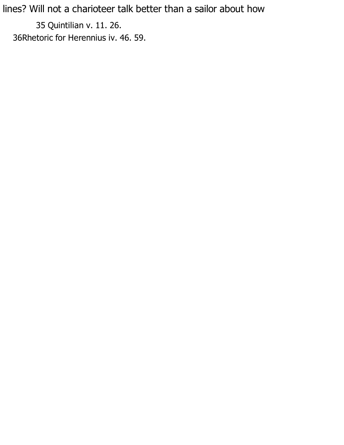lines? Will not a charioteer talk better than a sailor about how

35 Quintilian v. 11. 26. 36Rhetoric for Herennius iv. 46. 59.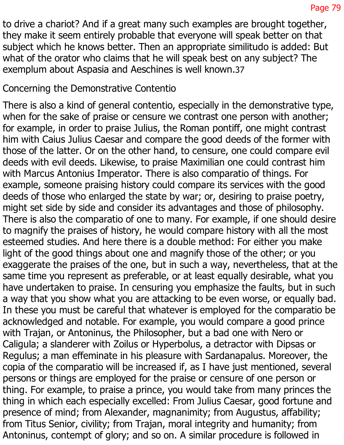to drive a chariot? And if a great many such examples are brought together, they make it seem entirely probable that everyone will speak better on that subject which he knows better. Then an appropriate similitudo is added: But what of the orator who claims that he will speak best on any subject? The exemplum about Aspasia and Aeschines is well known.37

### Concerning the Demonstrative Contentio

There is also a kind of general contentio, especially in the demonstrative type, when for the sake of praise or censure we contrast one person with another; for example, in order to praise Julius, the Roman pontiff, one might contrast him with Caius Julius Caesar and compare the good deeds of the former with those of the latter. Or on the other hand, to censure, one could compare evil deeds with evil deeds. Likewise, to praise Maximilian one could contrast him with Marcus Antonius Imperator. There is also comparatio of things. For example, someone praising history could compare its services with the good deeds of those who enlarged the state by war; or, desiring to praise poetry, might set side by side and consider its advantages and those of philosophy. There is also the comparatio of one to many. For example, if one should desire to magnify the praises of history, he would compare history with all the most esteemed studies. And here there is a double method: For either you make light of the good things about one and magnify those of the other; or you exaggerate the praises of the one, but in such a way, nevertheless, that at the same time you represent as preferable, or at least equally desirable, what you have undertaken to praise. In censuring you emphasize the faults, but in such a way that you show what you are attacking to be even worse, or equally bad. In these you must be careful that whatever is employed for the comparatio be acknowledged and notable. For example, you would compare a good prince with Trajan, or Antoninus, the Philosopher, but a bad one with Nero or Caligula; a slanderer with Zoilus or Hyperbolus, a detractor with Dipsas or Regulus; a man effeminate in his pleasure with Sardanapalus. Moreover, the copia of the comparatio will be increased if, as I have just mentioned, several persons or things are employed for the praise or censure of one person or thing. For example, to praise a prince, you would take from many princes the thing in which each especially excelled: From Julius Caesar, good fortune and presence of mind; from Alexander, magnanimity; from Augustus, affability; from Titus Senior, civility; from Trajan, moral integrity and humanity; from Antoninus, contempt of glory; and so on. A similar procedure is followed in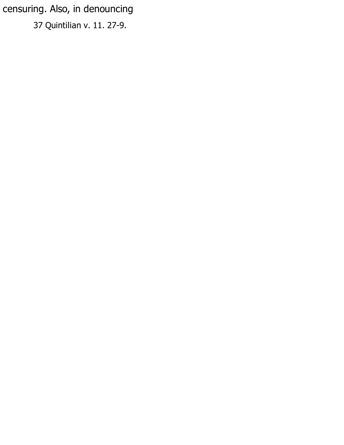censuring. Also, in denouncing

37 Quintilian v. 11. 27-9.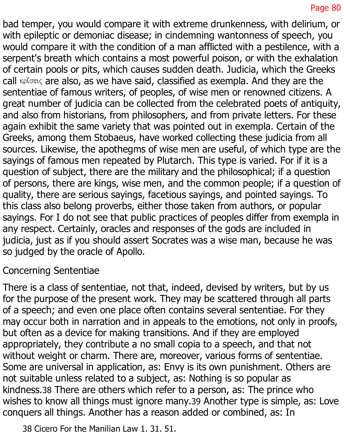### Page 80

bad temper, you would compare it with extreme drunkenness, with delirium, or with epileptic or demoniac disease; in cindemning wantonness of speech, you would compare it with the condition of a man afflicted with a pestilence, with a serpent's breath which contains a most powerful poison, or with the exhalation of certain pools or pits, which causes sudden death. Judicia, which the Greeks call xpíosus are also, as we have said, classified as exempla. And they are the sententiae of famous writers, of peoples, of wise men or renowned citizens. A great number of judicia can be collected from the celebrated poets of antiquity, and also from historians, from philosophers, and from private letters. For these again exhibit the same variety that was pointed out in exempla. Certain of the Greeks, among them Stobaeus, have worked collecting these judicia from all sources. Likewise, the apothegms of wise men are useful, of which type are the sayings of famous men repeated by Plutarch. This type is varied. For if it is a question of subject, there are the military and the philosophical; if a question of persons, there are kings, wise men, and the common people; if a question of quality, there are serious sayings, facetious sayings, and pointed sayings. To this class also belong proverbs, either those taken from authors, or popular sayings. For I do not see that public practices of peoples differ from exempla in any respect. Certainly, oracles and responses of the gods are included in judicia, just as if you should assert Socrates was a wise man, because he was so judged by the oracle of Apollo.

### Concerning Sententiae

There is a class of sententiae, not that, indeed, devised by writers, but by us for the purpose of the present work. They may be scattered through all parts of a speech; and even one place often contains several sententiae. For they may occur both in narration and in appeals to the emotions, not only in proofs, but often as a device for making transitions. And if they are employed appropriately, they contribute a no small copia to a speech, and that not without weight or charm. There are, moreover, various forms of sententiae. Some are universal in application, as: Envy is its own punishment. Others are not suitable unless related to a subject, as: Nothing is so popular as kindness.38 There are others which refer to a person, as: The prince who wishes to know all things must ignore many.39 Another type is simple, as: Love conquers all things. Another has a reason added or combined, as: In

38 Cicero For the Manilian Law 1. 31. 51.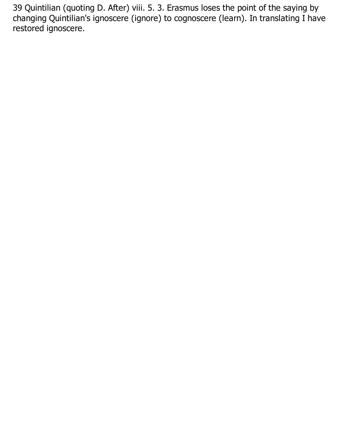39 Quintilian (quoting D. After) viii. 5. 3. Erasmus loses the point of the saying by changing Quintilian's ignoscere (ignore) to cognoscere (learn). In translating I have restored ignoscere.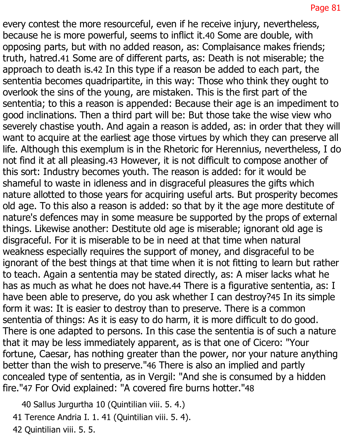every contest the more resourceful, even if he receive injury, nevertheless, because he is more powerful, seems to inflict it.40 Some are double, with opposing parts, but with no added reason, as: Complaisance makes friends; truth, hatred.41 Some are of different parts, as: Death is not miserable; the approach to death is.42 In this type if a reason be added to each part, the sententia becomes quadripartite, in this way: Those who think they ought to overlook the sins of the young, are mistaken. This is the first part of the sententia; to this a reason is appended: Because their age is an impediment to good inclinations. Then a third part will be: But those take the wise view who severely chastise youth. And again a reason is added, as: in order that they will want to acquire at the earliest age those virtues by which they can preserve all life. Although this exemplum is in the Rhetoric for Herennius, nevertheless, I do not find it at all pleasing.43 However, it is not difficult to compose another of this sort: Industry becomes youth. The reason is added: for it would be shameful to waste in idleness and in disgraceful pleasures the gifts which nature allotted to those years for acquiring useful arts. But prosperity becomes old age. To this also a reason is added: so that by it the age more destitute of nature's defences may in some measure be supported by the props of external things. Likewise another: Destitute old age is miserable; ignorant old age is disgraceful. For it is miserable to be in need at that time when natural weakness especially requires the support of money, and disgraceful to be ignorant of the best things at that time when it is not fitting to learn but rather to teach. Again a sententia may be stated directly, as: A miser lacks what he has as much as what he does not have.44 There is a figurative sententia, as: I have been able to preserve, do you ask whether I can destroy?45 In its simple form it was: It is easier to destroy than to preserve. There is a common sententia of things: As it is easy to do harm, it is more difficult to do good. There is one adapted to persons. In this case the sententia is of such a nature that it may be less immediately apparent, as is that one of Cicero: "Your fortune, Caesar, has nothing greater than the power, nor your nature anything better than the wish to preserve."46 There is also an implied and partly concealed type of sententia, as in Vergil: "And she is consumed by a hidden fire."47 For Ovid explained: "A covered fire burns hotter."48

40 Sallus Jurgurtha 10 (Quintilian viii. 5. 4.)

41 Terence Andria I. 1. 41 (Quintilian viii. 5. 4).

42 Quintilian viii. 5. 5.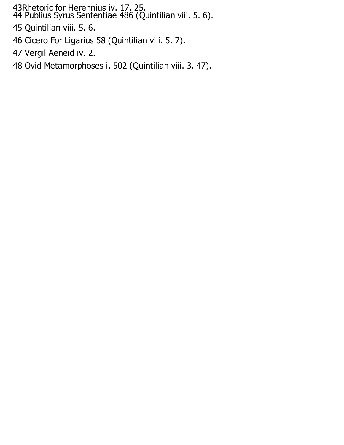43Rhetoric for Herennius iv. 17. 25. Publius Syrus Sententiae 486 (Quintilian viii. 5. 6).

Quintilian viii. 5. 6.

Cicero For Ligarius 58 (Quintilian viii. 5. 7).

Vergil Aeneid iv. 2.

Ovid Metamorphoses i. 502 (Quintilian viii. 3. 47).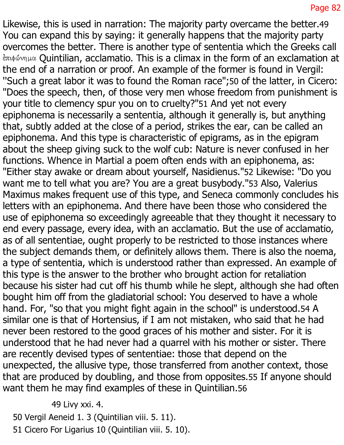Likewise, this is used in narration: The majority party overcame the better.49 You can expand this by saying: it generally happens that the majority party overcomes the better. There is another type of sententia which the Greeks call Quintilian, acclamatio. This is a climax in the form of an exclamation at the end of a narration or proof. An example of the former is found in Vergil: ''Such a great labor it was to found the Roman race";50 of the latter, in Cicero: "Does the speech, then, of those very men whose freedom from punishment is your title to clemency spur you on to cruelty?"51 And yet not every epiphonema is necessarily a sententia, although it generally is, but anything that, subtly added at the close of a period, strikes the ear, can be called an epiphonema. And this type is characteristic of epigrams, as in the epigram about the sheep giving suck to the wolf cub: Nature is never confused in her functions. Whence in Martial a poem often ends with an epiphonema, as: "Either stay awake or dream about yourself, Nasidienus."52 Likewise: "Do you want me to tell what you are? You are a great busybody."53 Also, Valerius Maximus makes frequent use of this type, and Seneca commonly concludes his letters with an epiphonema. And there have been those who considered the use of epiphonema so exceedingly agreeable that they thought it necessary to end every passage, every idea, with an acclamatio. But the use of acclamatio, as of all sententiae, ought properly to be restricted to those instances where the subject demands them, or definitely allows them. There is also the noema, a type of sententia, which is understood rather than expressed. An example of this type is the answer to the brother who brought action for retaliation because his sister had cut off his thumb while he slept, although she had often bought him off from the gladiatorial school: You deserved to have a whole hand. For, "so that you might fight again in the school" is understood.54 A similar one is that of Hortensius, if I am not mistaken, who said that he had never been restored to the good graces of his mother and sister. For it is understood that he had never had a quarrel with his mother or sister. There are recently devised types of sententiae: those that depend on the unexpected, the allusive type, those transferred from another context, those that are produced by doubling, and those from opposites.55 If anyone should want them he may find examples of these in Quintilian.56

49 Livy xxi. 4.

50 Vergil Aeneid 1. 3 (Quintilian viii. 5. 11).

51 Cicero For Ligarius 10 (Quintilian viii. 5. 10).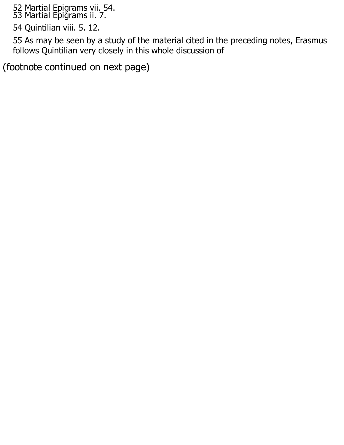Martial Epigrams vii. 54. Martial Epigrams ii. 7.

Quintilian viii. 5. 12.

 As may be seen by a study of the material cited in the preceding notes, Erasmus follows Quintilian very closely in this whole discussion of

(footnote continued on next page)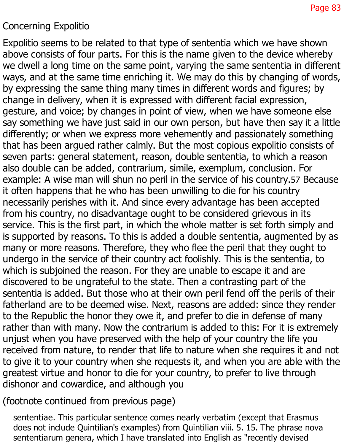# Concerning Expolitio

Expolitio seems to be related to that type of sententia which we have shown above consists of four parts. For this is the name given to the device whereby we dwell a long time on the same point, varying the same sententia in different ways, and at the same time enriching it. We may do this by changing of words, by expressing the same thing many times in different words and figures; by change in delivery, when it is expressed with different facial expression, gesture, and voice; by changes in point of view, when we have someone else say something we have just said in our own person, but have then say it a little differently; or when we express more vehemently and passionately something that has been argued rather calmly. But the most copious expolitio consists of seven parts: general statement, reason, double sententia, to which a reason also double can be added, contrarium, simile, exemplum, conclusion. For example: A wise man will shun no peril in the service of his country.57 Because it often happens that he who has been unwilling to die for his country necessarily perishes with it. And since every advantage has been accepted from his country, no disadvantage ought to be considered grievous in its service. This is the first part, in which the whole matter is set forth simply and is supported by reasons. To this is added a double sententia, augmented by as many or more reasons. Therefore, they who flee the peril that they ought to undergo in the service of their country act foolishly. This is the sententia, to which is subjoined the reason. For they are unable to escape it and are discovered to be ungrateful to the state. Then a contrasting part of the sententia is added. But those who at their own peril fend off the perils of their fatherland are to be deemed wise. Next, reasons are added: since they render to the Republic the honor they owe it, and prefer to die in defense of many rather than with many. Now the contrarium is added to this: For it is extremely unjust when you have preserved with the help of your country the life you received from nature, to render that life to nature when she requires it and not to give it to your country when she requests it, and when you are able with the greatest virtue and honor to die for your country, to prefer to live through dishonor and cowardice, and although you

(footnote continued from previous page)

sententiae. This particular sentence comes nearly verbatim (except that Erasmus does not include Quintilian's examples) from Quintilian viii. 5. 15. The phrase nova sententiarum genera, which I have translated into English as "recently devised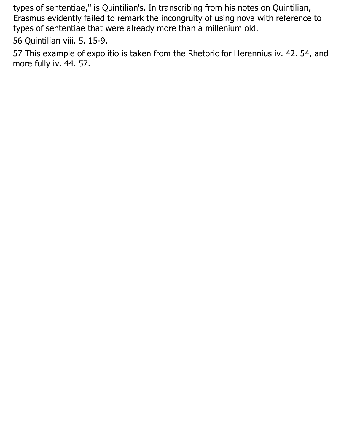types of sententiae," is Quintilian's. In transcribing from his notes on Quintilian, Erasmus evidently failed to remark the incongruity of using nova with reference to types of sententiae that were already more than a millenium old.

56 Quintilian viii. 5. 15-9.

57 This example of expolitio is taken from the Rhetoric for Herennius iv. 42. 54, and more fully iv. 44. 57.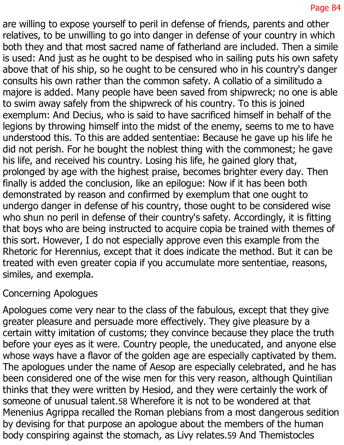### Page 84

are willing to expose yourself to peril in defense of friends, parents and other relatives, to be unwilling to go into danger in defense of your country in which both they and that most sacred name of fatherland are included. Then a simile is used: And just as he ought to be despised who in sailing puts his own safety above that of his ship, so he ought to be censured who in his country's danger consults his own rather than the common safety. A collatio of a similitudo a majore is added. Many people have been saved from shipwreck; no one is able to swim away safely from the shipwreck of his country. To this is joined exemplum: And Decius, who is said to have sacrificed himself in behalf of the legions by throwing himself into the midst of the enemy, seems to me to have understood this. To this are added sententiae: Because he gave up his life he did not perish. For he bought the noblest thing with the commonest; he gave his life, and received his country. Losing his life, he gained glory that, prolonged by age with the highest praise, becomes brighter every day. Then finally is added the conclusion, like an epilogue: Now if it has been both demonstrated by reason and confirmed by exemplum that one ought to undergo danger in defense of his country, those ought to be considered wise who shun no peril in defense of their country's safety. Accordingly, it is fitting that boys who are being instructed to acquire copia be trained with themes of this sort. However, I do not especially approve even this example from the Rhetoric for Herennius, except that it does indicate the method. But it can be treated with even greater copia if you accumulate more sententiae, reasons, similes, and exempla.

## Concerning Apologues

Apologues come very near to the class of the fabulous, except that they give greater pleasure and persuade more effectively. They give pleasure by a certain witty imitation of customs; they convince because they place the truth before your eyes as it were. Country people, the uneducated, and anyone else whose ways have a flavor of the golden age are especially captivated by them. The apologues under the name of Aesop are especially celebrated, and he has been considered one of the wise men for this very reason, although Quintilian thinks that they were written by Hesiod, and they were certainly the work of someone of unusual talent.58 Wherefore it is not to be wondered at that Menenius Agrippa recalled the Roman plebians from a most dangerous sedition by devising for that purpose an apologue about the members of the human body conspiring against the stomach, as Livy relates.59 And Themistocles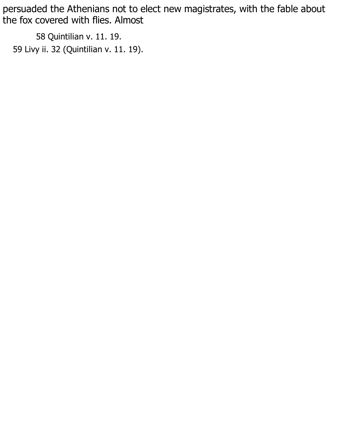persuaded the Athenians not to elect new magistrates, with the fable about the fox covered with flies. Almost

58 Quintilian v. 11. 19. 59 Livy ii. 32 (Quintilian v. 11. 19).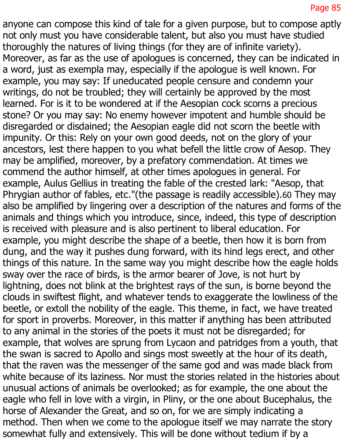#### Page 85

anyone can compose this kind of tale for a given purpose, but to compose aptly not only must you have considerable talent, but also you must have studied thoroughly the natures of living things (for they are of infinite variety). Moreover, as far as the use of apologues is concerned, they can be indicated in a word, just as exempla may, especially if the apologue is well known. For example, you may say: If uneducated people censure and condemn your writings, do not be troubled; they will certainly be approved by the most learned. For is it to be wondered at if the Aesopian cock scorns a precious stone? Or you may say: No enemy however impotent and humble should be disregarded or disdained; the Aesopian eagle did not scorn the beetle with impunity. Or this: Rely on your own good deeds, not on the glory of your ancestors, lest there happen to you what befell the little crow of Aesop. They may be amplified, moreover, by a prefatory commendation. At times we commend the author himself, at other times apologues in general. For example, Aulus Gellius in treating the fable of the crested lark: "Aesop, that Phrygian author of fables, etc."(the passage is readily accessible).60 They may also be amplified by lingering over a description of the natures and forms of the animals and things which you introduce, since, indeed, this type of description is received with pleasure and is also pertinent to liberal education. For example, you might describe the shape of a beetle, then how it is born from dung, and the way it pushes dung forward, with its hind legs erect, and other things of this nature. In the same way you might describe how the eagle holds sway over the race of birds, is the armor bearer of Jove, is not hurt by lightning, does not blink at the brightest rays of the sun, is borne beyond the clouds in swiftest flight, and whatever tends to exaggerate the lowliness of the beetle, or extoll the nobility of the eagle. This theme, in fact, we have treated for sport in proverbs. Moreover, in this matter if anything has been attributed to any animal in the stories of the poets it must not be disregarded; for example, that wolves are sprung from Lycaon and patridges from a youth, that the swan is sacred to Apollo and sings most sweetly at the hour of its death, that the raven was the messenger of the same god and was made black from white because of its laziness. Nor must the stories related in the histories about unusual actions of animals be overlooked; as for example, the one about the eagle who fell in love with a virgin, in Pliny, or the one about Bucephalus, the horse of Alexander the Great, and so on, for we are simply indicating a method. Then when we come to the apologue itself we may narrate the story somewhat fully and extensively. This will be done without tedium if by a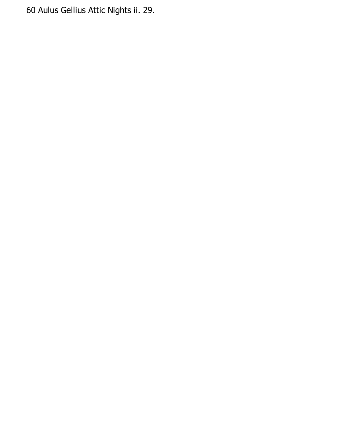Aulus Gellius Attic Nights ii. 29.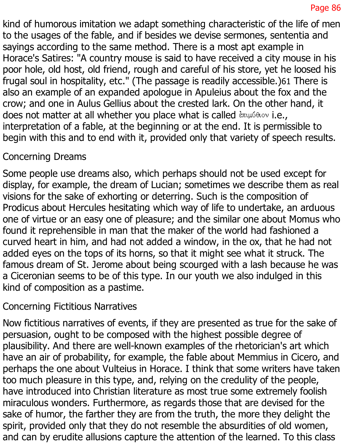kind of humorous imitation we adapt something characteristic of the life of men to the usages of the fable, and if besides we devise sermones, sententia and sayings according to the same method. There is a most apt example in Horace's Satires: "A country mouse is said to have received a city mouse in his poor hole, old host, old friend, rough and careful of his store, yet he loosed his frugal soul in hospitality, etc." (The passage is readily accessible.)61 There is also an example of an expanded apologue in Apuleius about the fox and the crow; and one in Aulus Gellius about the crested lark. On the other hand, it does not matter at all whether you place what is called  $\frac{1}{2}$ museov i.e., interpretation of a fable, at the beginning or at the end. It is permissible to begin with this and to end with it, provided only that variety of speech results.

# Concerning Dreams

Some people use dreams also, which perhaps should not be used except for display, for example, the dream of Lucian; sometimes we describe them as real visions for the sake of exhorting or deterring. Such is the composition of Prodicus about Hercules hesitating which way of life to undertake, an arduous one of virtue or an easy one of pleasure; and the similar one about Momus who found it reprehensible in man that the maker of the world had fashioned a curved heart in him, and had not added a window, in the ox, that he had not added eyes on the tops of its horns, so that it might see what it struck. The famous dream of St. Jerome about being scourged with a lash because he was a Ciceronian seems to be of this type. In our youth we also indulged in this kind of composition as a pastime.

# Concerning Fictitious Narratives

Now fictitious narratives of events, if they are presented as true for the sake of persuasion, ought to be composed with the highest possible degree of plausibility. And there are well-known examples of the rhetorician's art which have an air of probability, for example, the fable about Memmius in Cicero, and perhaps the one about Vulteius in Horace. I think that some writers have taken too much pleasure in this type, and, relying on the credulity of the people, have introduced into Christian literature as most true some extremely foolish miraculous wonders. Furthermore, as regards those that are devised for the sake of humor, the farther they are from the truth, the more they delight the spirit, provided only that they do not resemble the absurdities of old women, and can by erudite allusions capture the attention of the learned. To this class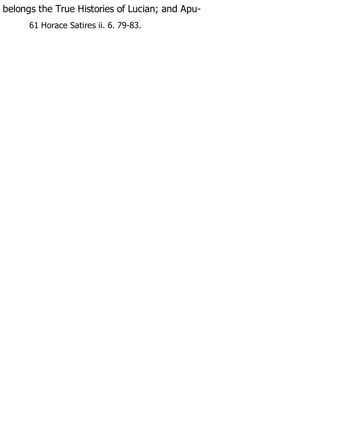belongs the True Histories of Lucian; and Apu-

61 Horace Satires ii. 6. 79-83.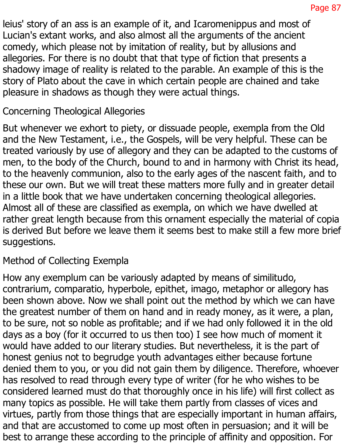leius' story of an ass is an example of it, and Icaromenippus and most of Lucian's extant works, and also almost all the arguments of the ancient comedy, which please not by imitation of reality, but by allusions and allegories. For there is no doubt that that type of fiction that presents a shadowy image of reality is related to the parable. An example of this is the story of Plato about the cave in which certain people are chained and take pleasure in shadows as though they were actual things.

# Concerning Theological Allegories

But whenever we exhort to piety, or dissuade people, exempla from the Old and the New Testament, i.e., the Gospels, will be very helpful. These can be treated variously by use of allegory and they can be adapted to the customs of men, to the body of the Church, bound to and in harmony with Christ its head, to the heavenly communion, also to the early ages of the nascent faith, and to these our own. But we will treat these matters more fully and in greater detail in a little book that we have undertaken concerning theological allegories. Almost all of these are classified as exempla, on which we have dwelled at rather great length because from this ornament especially the material of copia is derived But before we leave them it seems best to make still a few more brief suggestions.

# Method of Collecting Exempla

How any exemplum can be variously adapted by means of similitudo, contrarium, comparatio, hyperbole, epithet, imago, metaphor or allegory has been shown above. Now we shall point out the method by which we can have the greatest number of them on hand and in ready money, as it were, a plan, to be sure, not so noble as profitable; and if we had only followed it in the old days as a boy (for it occurred to us then too) I see how much of moment it would have added to our literary studies. But nevertheless, it is the part of honest genius not to begrudge youth advantages either because fortune denied them to you, or you did not gain them by diligence. Therefore, whoever has resolved to read through every type of writer (for he who wishes to be considered learned must do that thoroughly once in his life) will first collect as many topics as possible. He will take them partly from classes of vices and virtues, partly from those things that are especially important in human affairs, and that are accustomed to come up most often in persuasion; and it will be best to arrange these according to the principle of affinity and opposition. For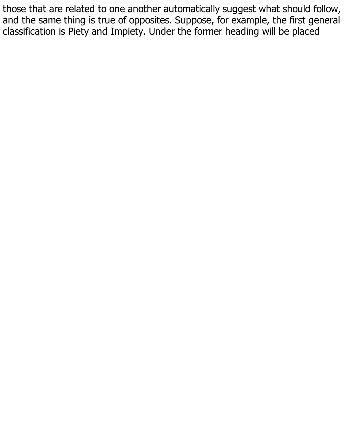those that are related to one another automatically suggest what should follow, and the same thing is true of opposites. Suppose, for example, the first general classification is Piety and Impiety. Under the former heading will be placed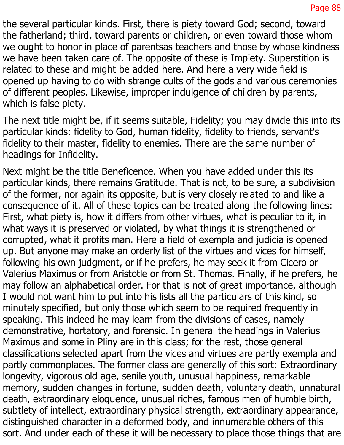the several particular kinds. First, there is piety toward God; second, toward the fatherland; third, toward parents or children, or even toward those whom we ought to honor in place of parentsas teachers and those by whose kindness we have been taken care of. The opposite of these is Impiety. Superstition is related to these and might be added here. And here a very wide field is opened up having to do with strange cults of the gods and various ceremonies of different peoples. Likewise, improper indulgence of children by parents, which is false piety.

The next title might be, if it seems suitable, Fidelity; you may divide this into its particular kinds: fidelity to God, human fidelity, fidelity to friends, servant's fidelity to their master, fidelity to enemies. There are the same number of headings for Infidelity.

Next might be the title Beneficence. When you have added under this its particular kinds, there remains Gratitude. That is not, to be sure, a subdivision of the former, nor again its opposite, but is very closely related to and like a consequence of it. All of these topics can be treated along the following lines: First, what piety is, how it differs from other virtues, what is peculiar to it, in what ways it is preserved or violated, by what things it is strengthened or corrupted, what it profits man. Here a field of exempla and judicia is opened up. But anyone may make an orderly list of the virtues and vices for himself, following his own judgment, or if he prefers, he may seek it from Cicero or Valerius Maximus or from Aristotle or from St. Thomas. Finally, if he prefers, he may follow an alphabetical order. For that is not of great importance, although I would not want him to put into his lists all the particulars of this kind, so minutely specified, but only those which seem to be required frequently in speaking. This indeed he may learn from the divisions of cases, namely demonstrative, hortatory, and forensic. In general the headings in Valerius Maximus and some in Pliny are in this class; for the rest, those general classifications selected apart from the vices and virtues are partly exempla and partly commonplaces. The former class are generally of this sort: Extraordinary longevity, vigorous old age, senile youth, unusual happiness, remarkable memory, sudden changes in fortune, sudden death, voluntary death, unnatural death, extraordinary eloquence, unusual riches, famous men of humble birth, subtlety of intellect, extraordinary physical strength, extraordinary appearance, distinguished character in a deformed body, and innumerable others of this sort. And under each of these it will be necessary to place those things that are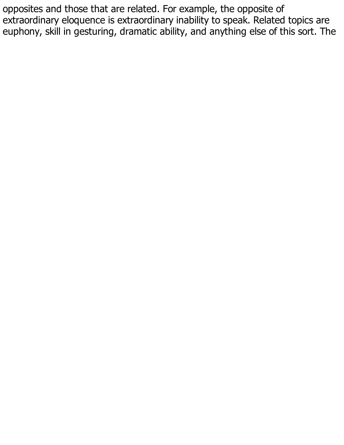opposites and those that are related. For example, the opposite of extraordinary eloquence is extraordinary inability to speak. Related topics are euphony, skill in gesturing, dramatic ability, and anything else of this sort. The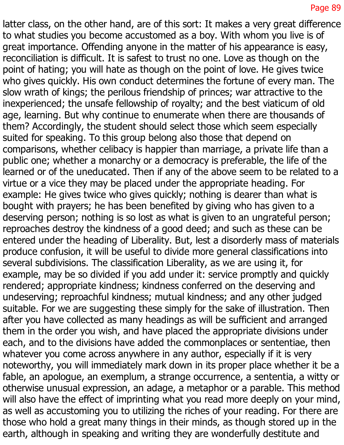#### Page 89

latter class, on the other hand, are of this sort: It makes a very great difference to what studies you become accustomed as a boy. With whom you live is of great importance. Offending anyone in the matter of his appearance is easy, reconciliation is difficult. It is safest to trust no one. Love as though on the point of hating; you will hate as though on the point of love. He gives twice who gives quickly. His own conduct determines the fortune of every man. The slow wrath of kings; the perilous friendship of princes; war attractive to the inexperienced; the unsafe fellowship of royalty; and the best viaticum of old age, learning. But why continue to enumerate when there are thousands of them? Accordingly, the student should select those which seem especially suited for speaking. To this group belong also those that depend on comparisons, whether celibacy is happier than marriage, a private life than a public one; whether a monarchy or a democracy is preferable, the life of the learned or of the uneducated. Then if any of the above seem to be related to a virtue or a vice they may be placed under the appropriate heading. For example: He gives twice who gives quickly; nothing is dearer than what is bought with prayers; he has been benefited by giving who has given to a deserving person; nothing is so lost as what is given to an ungrateful person; reproaches destroy the kindness of a good deed; and such as these can be entered under the heading of Liberality. But, lest a disorderly mass of materials produce confusion, it will be useful to divide more general classifications into several subdivisions. The classification Liberality, as we are using it, for example, may be so divided if you add under it: service promptly and quickly rendered; appropriate kindness; kindness conferred on the deserving and undeserving; reproachful kindness; mutual kindness; and any other judged suitable. For we are suggesting these simply for the sake of illustration. Then after you have collected as many headings as will be sufficient and arranged them in the order you wish, and have placed the appropriate divisions under each, and to the divisions have added the commonplaces or sententiae, then whatever you come across anywhere in any author, especially if it is very noteworthy, you will immediately mark down in its proper place whether it be a fable, an apologue, an exemplum, a strange occurrence, a sententia, a witty or otherwise unusual expression, an adage, a metaphor or a parable. This method will also have the effect of imprinting what you read more deeply on your mind, as well as accustoming you to utilizing the riches of your reading. For there are those who hold a great many things in their minds, as though stored up in the earth, although in speaking and writing they are wonderfully destitute and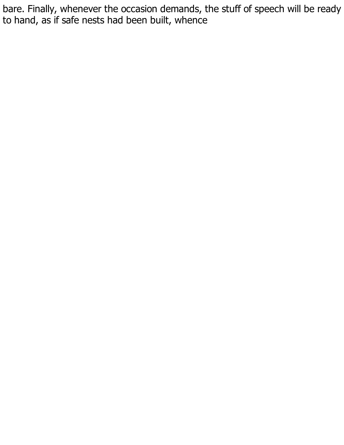bare. Finally, whenever the occasion demands, the stuff of speech will be ready to hand, as if safe nests had been built, whence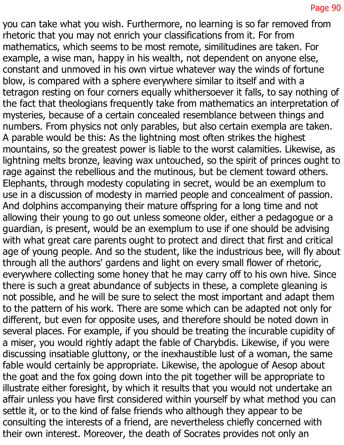you can take what you wish. Furthermore, no learning is so far removed from rhetoric that you may not enrich your classifications from it. For from mathematics, which seems to be most remote, similitudines are taken. For example, a wise man, happy in his wealth, not dependent on anyone else, constant and unmoved in his own virtue whatever way the winds of fortune blow, is compared with a sphere everywhere similar to itself and with a tetragon resting on four corners equally whithersoever it falls, to say nothing of the fact that theologians frequently take from mathematics an interpretation of mysteries, because of a certain concealed resemblance between things and numbers. From physics not only parables, but also certain exempla are taken. A parable would be this: As the lightning most often strikes the highest mountains, so the greatest power is liable to the worst calamities. Likewise, as lightning melts bronze, leaving wax untouched, so the spirit of princes ought to rage against the rebellious and the mutinous, but be clement toward others. Elephants, through modesty copulating in secret, would be an exemplum to use in a discussion of modesty in married people and concealment of passion. And dolphins accompanying their mature offspring for a long time and not allowing their young to go out unless someone older, either a pedagogue or a guardian, is present, would be an exemplum to use if one should be advising with what great care parents ought to protect and direct that first and critical age of young people. And so the student, like the industrious bee, will fly about through all the authors' gardens and light on every small flower of rhetoric, everywhere collecting some honey that he may carry off to his own hive. Since there is such a great abundance of subjects in these, a complete gleaning is not possible, and he will be sure to select the most important and adapt them to the pattern of his work. There are some which can be adapted not only for different, but even for opposite uses, and therefore should be noted down in several places. For example, if you should be treating the incurable cupidity of a miser, you would rightly adapt the fable of Charybdis. Likewise, if you were discussing insatiable gluttony, or the inexhaustible lust of a woman, the same fable would certainly be appropriate. Likewise, the apologue of Aesop about the goat and the fox going down into the pit together will be appropriate to illustrate either foresight, by which it results that you would not undertake an affair unless you have first considered within yourself by what method you can settle it, or to the kind of false friends who although they appear to be consulting the interests of a friend, are nevertheless chiefly concerned with their own interest. Moreover, the death of Socrates provides not only an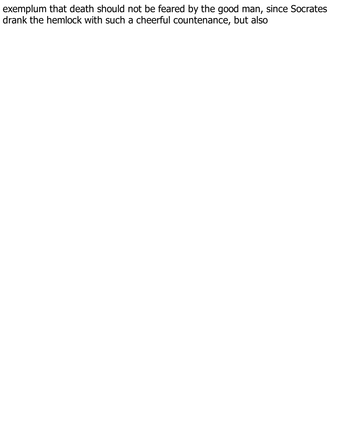exemplum that death should not be feared by the good man, since Socrates drank the hemlock with such a cheerful countenance, but also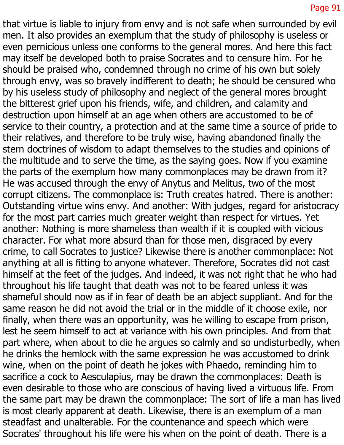#### Page 91

that virtue is liable to injury from envy and is not safe when surrounded by evil men. It also provides an exemplum that the study of philosophy is useless or even pernicious unless one conforms to the general mores. And here this fact may itself be developed both to praise Socrates and to censure him. For he should be praised who, condemned through no crime of his own but solely through envy, was so bravely indifferent to death; he should be censured who by his useless study of philosophy and neglect of the general mores brought the bitterest grief upon his friends, wife, and children, and calamity and destruction upon himself at an age when others are accustomed to be of service to their country, a protection and at the same time a source of pride to their relatives, and therefore to be truly wise, having abandoned finally the stern doctrines of wisdom to adapt themselves to the studies and opinions of the multitude and to serve the time, as the saying goes. Now if you examine the parts of the exemplum how many commonplaces may be drawn from it? He was accused through the envy of Anytus and Melitus, two of the most corrupt citizens. The commonplace is: Truth creates hatred. There is another: Outstanding virtue wins envy. And another: With judges, regard for aristocracy for the most part carries much greater weight than respect for virtues. Yet another: Nothing is more shameless than wealth if it is coupled with vicious character. For what more absurd than for those men, disgraced by every crime, to call Socrates to justice? Likewise there is another commonplace: Not anything at all is fitting to anyone whatever. Therefore, Socrates did not cast himself at the feet of the judges. And indeed, it was not right that he who had throughout his life taught that death was not to be feared unless it was shameful should now as if in fear of death be an abject suppliant. And for the same reason he did not avoid the trial or in the middle of it choose exile, nor finally, when there was an opportunity, was he willing to escape from prison, lest he seem himself to act at variance with his own principles. And from that part where, when about to die he argues so calmly and so undisturbedly, when he drinks the hemlock with the same expression he was accustomed to drink wine, when on the point of death he jokes with Phaedo, reminding him to sacrifice a cock to Aesculapius, may be drawn the commonplaces: Death is even desirable to those who are conscious of having lived a virtuous life. From the same part may be drawn the commonplace: The sort of life a man has lived is most clearly apparent at death. Likewise, there is an exemplum of a man steadfast and unalterable. For the countenance and speech which were Socrates' throughout his life were his when on the point of death. There is a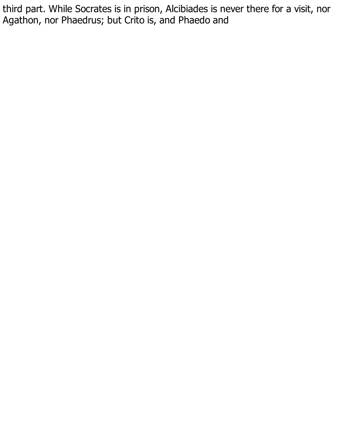third part. While Socrates is in prison, Alcibiades is never there for a visit, nor Agathon, nor Phaedrus; but Crito is, and Phaedo and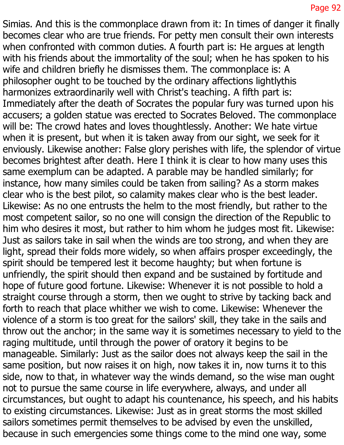#### Page 92

Simias. And this is the commonplace drawn from it: In times of danger it finally becomes clear who are true friends. For petty men consult their own interests when confronted with common duties. A fourth part is: He argues at length with his friends about the immortality of the soul; when he has spoken to his wife and children briefly he dismisses them. The commonplace is: A philosopher ought to be touched by the ordinary affections lightlythis harmonizes extraordinarily well with Christ's teaching. A fifth part is: Immediately after the death of Socrates the popular fury was turned upon his accusers; a golden statue was erected to Socrates Beloved. The commonplace will be: The crowd hates and loves thoughtlessly. Another: We hate virtue when it is present, but when it is taken away from our sight, we seek for it enviously. Likewise another: False glory perishes with life, the splendor of virtue becomes brightest after death. Here I think it is clear to how many uses this same exemplum can be adapted. A parable may be handled similarly; for instance, how many similes could be taken from sailing? As a storm makes clear who is the best pilot, so calamity makes clear who is the best leader. Likewise: As no one entrusts the helm to the most friendly, but rather to the most competent sailor, so no one will consign the direction of the Republic to him who desires it most, but rather to him whom he judges most fit. Likewise: Just as sailors take in sail when the winds are too strong, and when they are light, spread their folds more widely, so when affairs prosper exceedingly, the spirit should be tempered lest it become haughty; but when fortune is unfriendly, the spirit should then expand and be sustained by fortitude and hope of future good fortune. Likewise: Whenever it is not possible to hold a straight course through a storm, then we ought to strive by tacking back and forth to reach that place whither we wish to come. Likewise: Whenever the violence of a storm is too great for the sailors' skill, they take in the sails and throw out the anchor; in the same way it is sometimes necessary to yield to the raging multitude, until through the power of oratory it begins to be manageable. Similarly: Just as the sailor does not always keep the sail in the same position, but now raises it on high, now takes it in, now turns it to this side, now to that, in whatever way the winds demand, so the wise man ought not to pursue the same course in life everywhere, always, and under all circumstances, but ought to adapt his countenance, his speech, and his habits to existing circumstances. Likewise: Just as in great storms the most skilled sailors sometimes permit themselves to be advised by even the unskilled, because in such emergencies some things come to the mind one way, some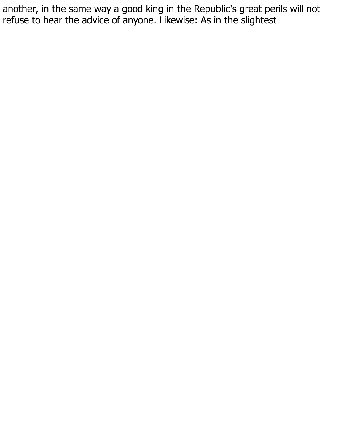another, in the same way a good king in the Republic's great perils will not refuse to hear the advice of anyone. Likewise: As in the slightest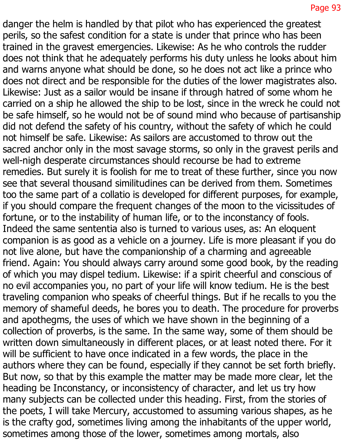danger the helm is handled by that pilot who has experienced the greatest perils, so the safest condition for a state is under that prince who has been trained in the gravest emergencies. Likewise: As he who controls the rudder does not think that he adequately performs his duty unless he looks about him and warns anyone what should be done, so he does not act like a prince who does not direct and be responsible for the duties of the lower magistrates also. Likewise: Just as a sailor would be insane if through hatred of some whom he carried on a ship he allowed the ship to be lost, since in the wreck he could not be safe himself, so he would not be of sound mind who because of partisanship did not defend the safety of his country, without the safety of which he could not himself be safe. Likewise: As sailors are accustomed to throw out the sacred anchor only in the most savage storms, so only in the gravest perils and well-nigh desperate circumstances should recourse be had to extreme remedies. But surely it is foolish for me to treat of these further, since you now see that several thousand similitudines can be derived from them. Sometimes too the same part of a collatio is developed for different purposes, for example, if you should compare the frequent changes of the moon to the vicissitudes of fortune, or to the instability of human life, or to the inconstancy of fools. Indeed the same sententia also is turned to various uses, as: An eloquent companion is as good as a vehicle on a journey. Life is more pleasant if you do not live alone, but have the companionship of a charming and agreeable friend. Again: You should always carry around some good book, by the reading of which you may dispel tedium. Likewise: if a spirit cheerful and conscious of no evil accompanies you, no part of your life will know tedium. He is the best traveling companion who speaks of cheerful things. But if he recalls to you the memory of shameful deeds, he bores you to death. The procedure for proverbs and apothegms, the uses of which we have shown in the beginning of a collection of proverbs, is the same. In the same way, some of them should be written down simultaneously in different places, or at least noted there. For it will be sufficient to have once indicated in a few words, the place in the authors where they can be found, especially if they cannot be set forth briefly. But now, so that by this example the matter may be made more clear, let the heading be Inconstancy, or inconsistency of character, and let us try how many subjects can be collected under this heading. First, from the stories of the poets, I will take Mercury, accustomed to assuming various shapes, as he is the crafty god, sometimes living among the inhabitants of the upper world, sometimes among those of the lower, sometimes among mortals, also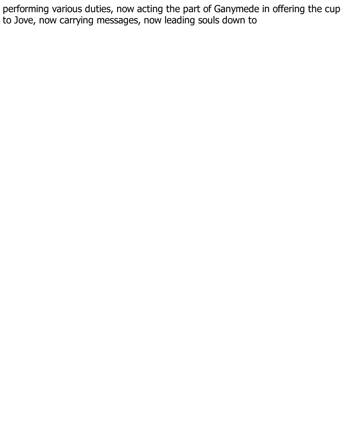performing various duties, now acting the part of Ganymede in offering the cup to Jove, now carrying messages, now leading souls down to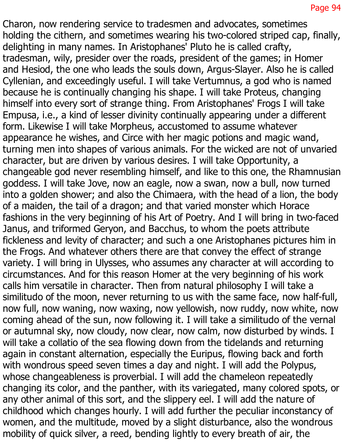Charon, now rendering service to tradesmen and advocates, sometimes holding the cithern, and sometimes wearing his two-colored striped cap, finally, delighting in many names. In Aristophanes' Pluto he is called crafty, tradesman, wily, presider over the roads, president of the games; in Homer and Hesiod, the one who leads the souls down, Argus-Slayer. Also he is called Cyllenian, and exceedingly useful. I will take Vertumnus, a god who is named because he is continually changing his shape. I will take Proteus, changing himself into every sort of strange thing. From Aristophanes' Frogs I will take Empusa, i.e., a kind of lesser divinity continually appearing under a different form. Likewise I will take Morpheus, accustomed to assume whatever appearance he wishes, and Circe with her magic potions and magic wand, turning men into shapes of various animals. For the wicked are not of unvaried character, but are driven by various desires. I will take Opportunity, a changeable god never resembling himself, and like to this one, the Rhamnusian goddess. I will take Jove, now an eagle, now a swan, now a bull, now turned into a golden shower; and also the Chimaera, with the head of a lion, the body of a maiden, the tail of a dragon; and that varied monster which Horace fashions in the very beginning of his Art of Poetry. And I will bring in two-faced Janus, and triformed Geryon, and Bacchus, to whom the poets attribute fickleness and levity of character; and such a one Aristophanes pictures him in the Frogs. And whatever others there are that convey the effect of strange variety. I will bring in Ulysses, who assumes any character at will according to circumstances. And for this reason Homer at the very beginning of his work calls him versatile in character. Then from natural philosophy I will take a similitudo of the moon, never returning to us with the same face, now half-full, now full, now waning, now waxing, now yellowish, now ruddy, now white, now coming ahead of the sun, now following it. I will take a similitudo of the vernal or autumnal sky, now cloudy, now clear, now calm, now disturbed by winds. I will take a collatio of the sea flowing down from the tidelands and returning again in constant alternation, especially the Euripus, flowing back and forth with wondrous speed seven times a day and night. I will add the Polypus, whose changeableness is proverbial. I will add the chameleon repeatedly changing its color, and the panther, with its variegated, many colored spots, or any other animal of this sort, and the slippery eel. I will add the nature of childhood which changes hourly. I will add further the peculiar inconstancy of women, and the multitude, moved by a slight disturbance, also the wondrous mobility of quick silver, a reed, bending lightly to every breath of air, the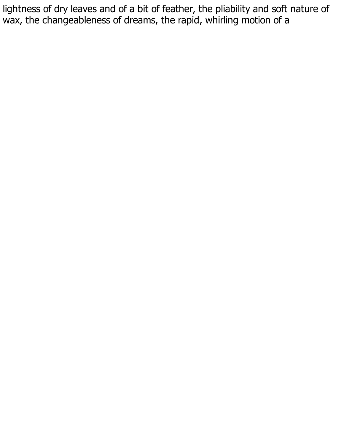lightness of dry leaves and of a bit of feather, the pliability and soft nature of wax, the changeableness of dreams, the rapid, whirling motion of a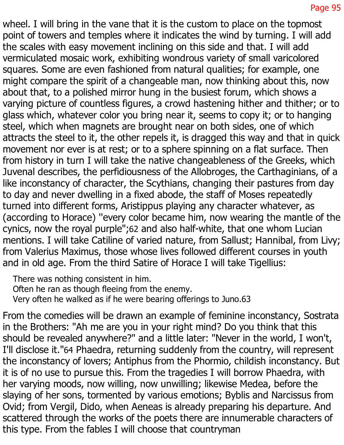wheel. I will bring in the vane that it is the custom to place on the topmost point of towers and temples where it indicates the wind by turning. I will add the scales with easy movement inclining on this side and that. I will add vermiculated mosaic work, exhibiting wondrous variety of small varicolored squares. Some are even fashioned from natural qualities; for example, one might compare the spirit of a changeable man, now thinking about this, now about that, to a polished mirror hung in the busiest forum, which shows a varying picture of countless figures, a crowd hastening hither and thither; or to glass which, whatever color you bring near it, seems to copy it; or to hanging steel, which when magnets are brought near on both sides, one of which attracts the steel to it, the other repels it, is dragged this way and that in quick movement nor ever is at rest; or to a sphere spinning on a flat surface. Then from history in turn I will take the native changeableness of the Greeks, which Juvenal describes, the perfidiousness of the Allobroges, the Carthaginians, of a like inconstancy of character, the Scythians, changing their pastures from day to day and never dwelling in a fixed abode, the staff of Moses repeatedly turned into different forms, Aristippus playing any character whatever, as (according to Horace) ''every color became him, now wearing the mantle of the cynics, now the royal purple";62 and also half-white, that one whom Lucian mentions. I will take Catiline of varied nature, from Sallust; Hannibal, from Livy; from Valerius Maximus, those whose lives followed different courses in youth and in old age. From the third Satire of Horace I will take Tigellius:

There was nothing consistent in him. Often he ran as though fleeing from the enemy. Very often he walked as if he were bearing offerings to Juno.63

From the comedies will be drawn an example of feminine inconstancy, Sostrata in the Brothers: "Ah me are you in your right mind? Do you think that this should be revealed anywhere?" and a little later: "Never in the world, I won't, I'll disclose it."64 Phaedra, returning suddenly from the country, will represent the inconstancy of lovers; Antiphus from the Phormio, childish inconstancy. But it is of no use to pursue this. From the tragedies I will borrow Phaedra, with her varying moods, now willing, now unwilling; likewise Medea, before the slaying of her sons, tormented by various emotions; Byblis and Narcissus from Ovid; from Vergil, Dido, when Aeneas is already preparing his departure. And scattered through the works of the poets there are innumerable characters of this type. From the fables I will choose that countryman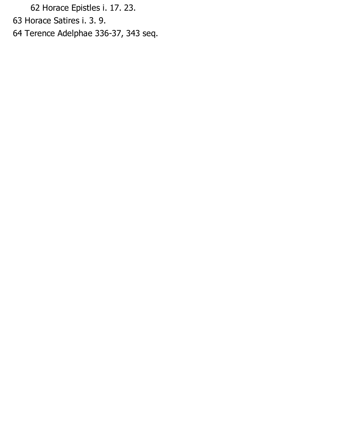Horace Epistles i. 17. 23. Horace Satires i. 3. 9. Terence Adelphae 336-37, 343 seq.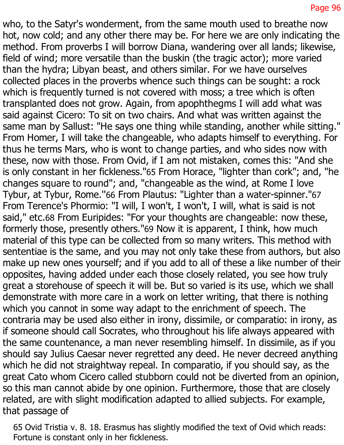who, to the Satyr's wonderment, from the same mouth used to breathe now hot, now cold; and any other there may be. For here we are only indicating the method. From proverbs I will borrow Diana, wandering over all lands; likewise, field of wind; more versatile than the buskin (the tragic actor); more varied than the hydra; Libyan beast, and others similar. For we have ourselves collected places in the proverbs whence such things can be sought: a rock which is frequently turned is not covered with moss; a tree which is often transplanted does not grow. Again, from apophthegms I will add what was said against Cicero: To sit on two chairs. And what was written against the same man by Sallust: "He says one thing while standing, another while sitting." From Homer, I will take the changeable, who adapts himself to everything. For thus he terms Mars, who is wont to change parties, and who sides now with these, now with those. From Ovid, if I am not mistaken, comes this: "And she is only constant in her fickleness."65 From Horace, "lighter than cork"; and, "he changes square to round"; and, "changeable as the wind, at Rome I love Tybur, at Tybur, Rome.''66 From Plautus: "Lighter than a water-spinner."67 From Terence's Phormio: "I will, I won't, I won't, I will, what is said is not said, " etc.68 From Euripides: "For your thoughts are changeable: now these, formerly those, presently others."69 Now it is apparent, I think, how much material of this type can be collected from so many writers. This method with sententiae is the same, and you may not only take these from authors, but also make up new ones yourself; and if you add to all of these a like number of their opposites, having added under each those closely related, you see how truly great a storehouse of speech it will be. But so varied is its use, which we shall demonstrate with more care in a work on letter writing, that there is nothing which you cannot in some way adapt to the enrichment of speech. The contraria may be used also either in irony, dissimile, or comparatio: in irony, as if someone should call Socrates, who throughout his life always appeared with the same countenance, a man never resembling himself. In dissimile, as if you should say Julius Caesar never regretted any deed. He never decreed anything which he did not straightway repeal. In comparatio, if you should say, as the great Cato whom Cicero called stubborn could not be diverted from an opinion, so this man cannot abide by one opinion. Furthermore, those that are closely related, are with slight modification adapted to allied subjects. For example, that passage of

65 Ovid Tristia v. 8. 18. Erasmus has slightly modified the text of Ovid which reads: Fortune is constant only in her fickleness.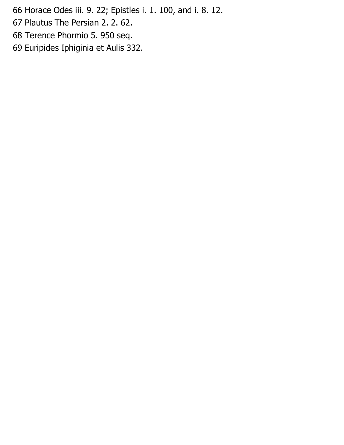Horace Odes iii. 9. 22; Epistles i. 1. 100, and i. 8. 12.

- Plautus The Persian 2. 2. 62.
- Terence Phormio 5. 950 seq.
- Euripides Iphiginia et Aulis 332.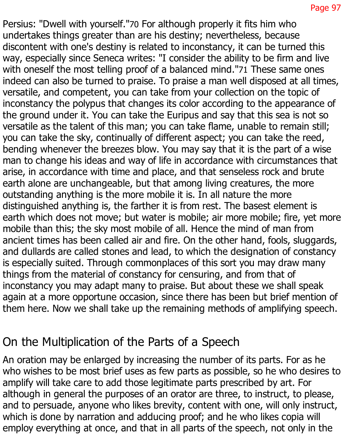Persius: "Dwell with yourself."70 For although properly it fits him who undertakes things greater than are his destiny; nevertheless, because discontent with one's destiny is related to inconstancy, it can be turned this way, especially since Seneca writes: "I consider the ability to be firm and live with oneself the most telling proof of a balanced mind."71 These same ones indeed can also be turned to praise. To praise a man well disposed at all times, versatile, and competent, you can take from your collection on the topic of inconstancy the polypus that changes its color according to the appearance of the ground under it. You can take the Euripus and say that this sea is not so versatile as the talent of this man; you can take flame, unable to remain still; you can take the sky, continually of different aspect; you can take the reed, bending whenever the breezes blow. You may say that it is the part of a wise man to change his ideas and way of life in accordance with circumstances that arise, in accordance with time and place, and that senseless rock and brute earth alone are unchangeable, but that among living creatures, the more outstanding anything is the more mobile it is. In all nature the more distinguished anything is, the farther it is from rest. The basest element is earth which does not move; but water is mobile; air more mobile; fire, yet more mobile than this; the sky most mobile of all. Hence the mind of man from ancient times has been called air and fire. On the other hand, fools, sluggards, and dullards are called stones and lead, to which the designation of constancy is especially suited. Through commonplaces of this sort you may draw many things from the material of constancy for censuring, and from that of inconstancy you may adapt many to praise. But about these we shall speak again at a more opportune occasion, since there has been but brief mention of them here. Now we shall take up the remaining methods of amplifying speech.

### On the Multiplication of the Parts of a Speech

An oration may be enlarged by increasing the number of its parts. For as he who wishes to be most brief uses as few parts as possible, so he who desires to amplify will take care to add those legitimate parts prescribed by art. For although in general the purposes of an orator are three, to instruct, to please, and to persuade, anyone who likes brevity, content with one, will only instruct, which is done by narration and adducing proof; and he who likes copia will employ everything at once, and that in all parts of the speech, not only in the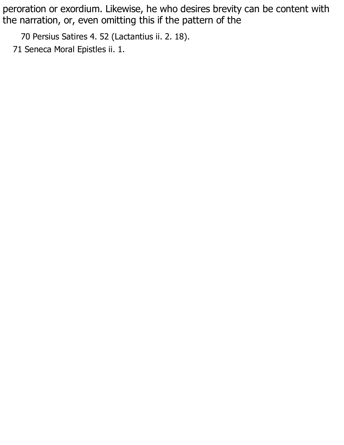peroration or exordium. Likewise, he who desires brevity can be content with the narration, or, even omitting this if the pattern of the

70 Persius Satires 4. 52 (Lactantius ii. 2. 18).

71 Seneca Moral Epistles ii. 1.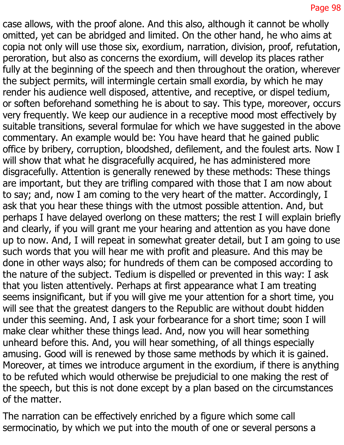case allows, with the proof alone. And this also, although it cannot be wholly omitted, yet can be abridged and limited. On the other hand, he who aims at copia not only will use those six, exordium, narration, division, proof, refutation, peroration, but also as concerns the exordium, will develop its places rather fully at the beginning of the speech and then throughout the oration, wherever the subject permits, will intermingle certain small exordia, by which he may render his audience well disposed, attentive, and receptive, or dispel tedium, or soften beforehand something he is about to say. This type, moreover, occurs very frequently. We keep our audience in a receptive mood most effectively by suitable transitions, several formulae for which we have suggested in the above commentary. An example would be: You have heard that he gained public office by bribery, corruption, bloodshed, defilement, and the foulest arts. Now I will show that what he disgracefully acquired, he has administered more disgracefully. Attention is generally renewed by these methods: These things are important, but they are trifling compared with those that I am now about to say; and, now I am coming to the very heart of the matter. Accordingly, I ask that you hear these things with the utmost possible attention. And, but perhaps I have delayed overlong on these matters; the rest I will explain briefly and clearly, if you will grant me your hearing and attention as you have done up to now. And, I will repeat in somewhat greater detail, but I am going to use such words that you will hear me with profit and pleasure. And this may be done in other ways also; for hundreds of them can be composed according to the nature of the subject. Tedium is dispelled or prevented in this way: I ask that you listen attentively. Perhaps at first appearance what I am treating seems insignificant, but if you will give me your attention for a short time, you will see that the greatest dangers to the Republic are without doubt hidden under this seeming. And, I ask your forbearance for a short time; soon I will make clear whither these things lead. And, now you will hear something unheard before this. And, you will hear something, of all things especially amusing. Good will is renewed by those same methods by which it is gained. Moreover, at times we introduce argument in the exordium, if there is anything to be refuted which would otherwise be prejudicial to one making the rest of the speech, but this is not done except by a plan based on the circumstances of the matter.

The narration can be effectively enriched by a figure which some call sermocinatio, by which we put into the mouth of one or several persons a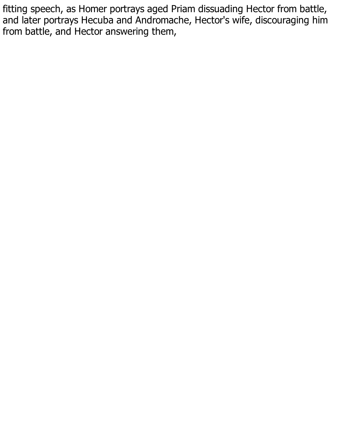fitting speech, as Homer portrays aged Priam dissuading Hector from battle, and later portrays Hecuba and Andromache, Hector's wife, discouraging him from battle, and Hector answering them,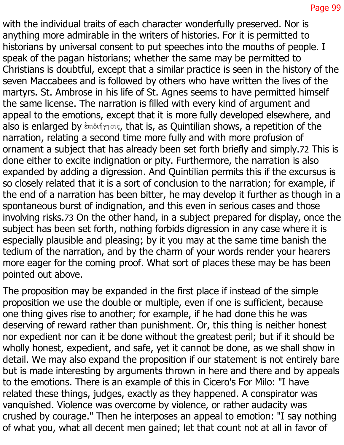with the individual traits of each character wonderfully preserved. Nor is anything more admirable in the writers of histories. For it is permitted to historians by universal consent to put speeches into the mouths of people. I speak of the pagan historians; whether the same may be permitted to Christians is doubtful, except that a similar practice is seen in the history of the seven Maccabees and is followed by others who have written the lives of the martyrs. St. Ambrose in his life of St. Agnes seems to have permitted himself the same license. The narration is filled with every kind of argument and appeal to the emotions, except that it is more fully developed elsewhere, and also is enlarged by  $\frac{\text{and } }{\text{and } }$  and  $\varsigma$ , that is, as Quintilian shows, a repetition of the narration, relating a second time more fully and with more profusion of ornament a subject that has already been set forth briefly and simply.72 This is done either to excite indignation or pity. Furthermore, the narration is also expanded by adding a digression. And Quintilian permits this if the excursus is so closely related that it is a sort of conclusion to the narration; for example, if the end of a narration has been bitter, he may develop it further as though in a spontaneous burst of indignation, and this even in serious cases and those involving risks.73 On the other hand, in a subject prepared for display, once the subject has been set forth, nothing forbids digression in any case where it is especially plausible and pleasing; by it you may at the same time banish the tedium of the narration, and by the charm of your words render your hearers more eager for the coming proof. What sort of places these may be has been pointed out above.

The proposition may be expanded in the first place if instead of the simple proposition we use the double or multiple, even if one is sufficient, because one thing gives rise to another; for example, if he had done this he was deserving of reward rather than punishment. Or, this thing is neither honest nor expedient nor can it be done without the greatest peril; but if it should be wholly honest, expedient, and safe, yet it cannot be done, as we shall show in detail. We may also expand the proposition if our statement is not entirely bare but is made interesting by arguments thrown in here and there and by appeals to the emotions. There is an example of this in Cicero's For Milo: "I have related these things, judges, exactly as they happened. A conspirator was vanquished. Violence was overcome by violence, or rather audacity was crushed by courage." Then he interposes an appeal to emotion: "I say nothing of what you, what all decent men gained; let that count not at all in favor of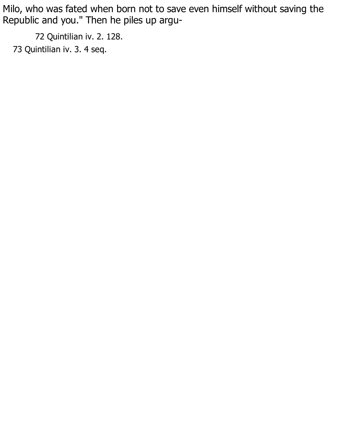Milo, who was fated when born not to save even himself without saving the Republic and you." Then he piles up argu-

72 Quintilian iv. 2. 128. 73 Quintilian iv. 3. 4 seq.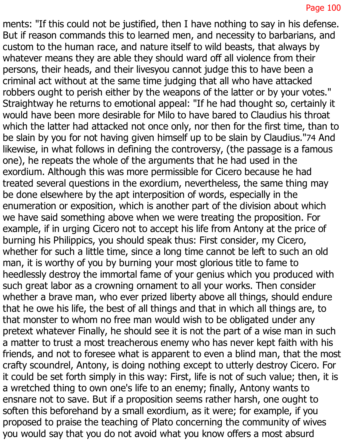#### Page 100

ments: "If this could not be justified, then I have nothing to say in his defense. But if reason commands this to learned men, and necessity to barbarians, and custom to the human race, and nature itself to wild beasts, that always by whatever means they are able they should ward off all violence from their persons, their heads, and their livesyou cannot judge this to have been a criminal act without at the same time judging that all who have attacked robbers ought to perish either by the weapons of the latter or by your votes." Straightway he returns to emotional appeal: "If he had thought so, certainly it would have been more desirable for Milo to have bared to Claudius his throat which the latter had attacked not once only, nor then for the first time, than to be slain by you for not having given himself up to be slain by Claudius."74 And likewise, in what follows in defining the controversy, (the passage is a famous one), he repeats the whole of the arguments that he had used in the exordium. Although this was more permissible for Cicero because he had treated several questions in the exordium, nevertheless, the same thing may be done elsewhere by the apt interposition of words, especially in the enumeration or exposition, which is another part of the division about which we have said something above when we were treating the proposition. For example, if in urging Cicero not to accept his life from Antony at the price of burning his Philippics, you should speak thus: First consider, my Cicero, whether for such a little time, since a long time cannot be left to such an old man, it is worthy of you by burning your most glorious title to fame to heedlessly destroy the immortal fame of your genius which you produced with such great labor as a crowning ornament to all your works. Then consider whether a brave man, who ever prized liberty above all things, should endure that he owe his life, the best of all things and that in which all things are, to that monster to whom no free man would wish to be obligated under any pretext whatever Finally, he should see it is not the part of a wise man in such a matter to trust a most treacherous enemy who has never kept faith with his friends, and not to foresee what is apparent to even a blind man, that the most crafty scoundrel, Antony, is doing nothing except to utterly destroy Cicero. For it could be set forth simply in this way: First, life is not of such value; then, it is a wretched thing to own one's life to an enemy; finally, Antony wants to ensnare not to save. But if a proposition seems rather harsh, one ought to soften this beforehand by a small exordium, as it were; for example, if you proposed to praise the teaching of Plato concerning the community of wives you would say that you do not avoid what you know offers a most absurd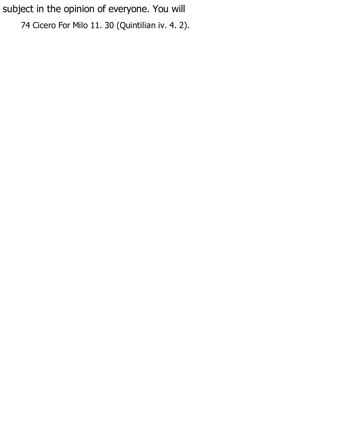subject in the opinion of everyone. You will

74 Cicero For Milo 11. 30 (Quintilian iv. 4. 2).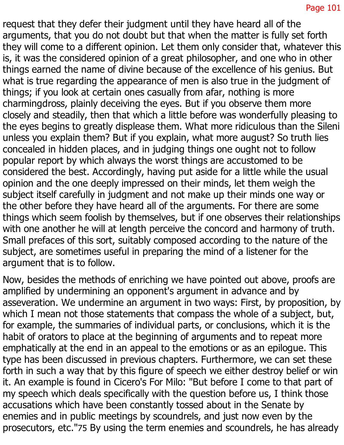request that they defer their judgment until they have heard all of the arguments, that you do not doubt but that when the matter is fully set forth they will come to a different opinion. Let them only consider that, whatever this is, it was the considered opinion of a great philosopher, and one who in other things earned the name of divine because of the excellence of his genius. But what is true regarding the appearance of men is also true in the judgment of things; if you look at certain ones casually from afar, nothing is more charmingdross, plainly deceiving the eyes. But if you observe them more closely and steadily, then that which a little before was wonderfully pleasing to the eyes begins to greatly displease them. What more ridiculous than the Sileni unless you explain them? But if you explain, what more august? So truth lies concealed in hidden places, and in judging things one ought not to follow popular report by which always the worst things are accustomed to be considered the best. Accordingly, having put aside for a little while the usual opinion and the one deeply impressed on their minds, let them weigh the subject itself carefully in judgment and not make up their minds one way or the other before they have heard all of the arguments. For there are some things which seem foolish by themselves, but if one observes their relationships with one another he will at length perceive the concord and harmony of truth. Small prefaces of this sort, suitably composed according to the nature of the subject, are sometimes useful in preparing the mind of a listener for the argument that is to follow.

Now, besides the methods of enriching we have pointed out above, proofs are amplified by undermining an opponent's argument in advance and by asseveration. We undermine an argument in two ways: First, by proposition, by which I mean not those statements that compass the whole of a subject, but, for example, the summaries of individual parts, or conclusions, which it is the habit of orators to place at the beginning of arguments and to repeat more emphatically at the end in an appeal to the emotions or as an epilogue. This type has been discussed in previous chapters. Furthermore, we can set these forth in such a way that by this figure of speech we either destroy belief or win it. An example is found in Cicero's For Milo: "But before I come to that part of my speech which deals specifically with the question before us, I think those accusations which have been constantly tossed about in the Senate by enemies and in public meetings by scoundrels, and just now even by the prosecutors, etc."75 By using the term enemies and scoundrels, he has already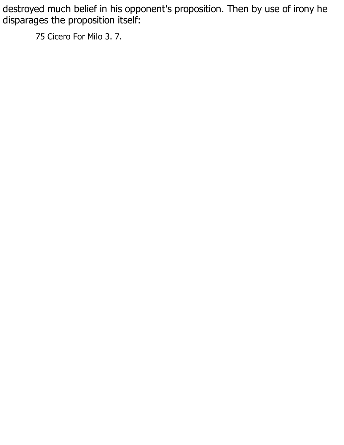destroyed much belief in his opponent's proposition. Then by use of irony he disparages the proposition itself:

75 Cicero For Milo 3. 7.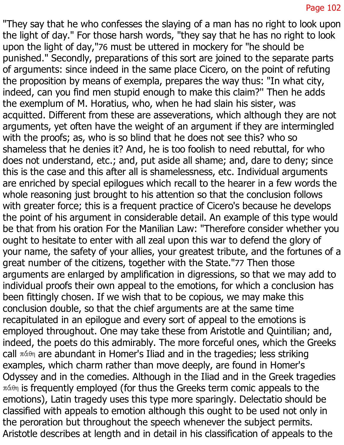#### Page 102

"They say that he who confesses the slaying of a man has no right to look upon the light of day." For those harsh words, "they say that he has no right to look upon the light of day, "76 must be uttered in mockery for "he should be punished." Secondly, preparations of this sort are joined to the separate parts of arguments: since indeed in the same place Cicero, on the point of refuting the proposition by means of exempla, prepares the way thus: "In what city, indeed, can you find men stupid enough to make this claim?'' Then he adds the exemplum of M. Horatius, who, when he had slain his sister, was acquitted. Different from these are asseverations, which although they are not arguments, yet often have the weight of an argument if they are intermingled with the proofs; as, who is so blind that he does not see this? who so shameless that he denies it? And, he is too foolish to need rebuttal, for who does not understand, etc.; and, put aside all shame; and, dare to deny; since this is the case and this after all is shamelessness, etc. Individual arguments are enriched by special epilogues which recall to the hearer in a few words the whole reasoning just brought to his attention so that the conclusion follows with greater force; this is a frequent practice of Cicero's because he develops the point of his argument in considerable detail. An example of this type would be that from his oration For the Manilian Law: "Therefore consider whether you ought to hesitate to enter with all zeal upon this war to defend the glory of your name, the safety of your allies, your greatest tribute, and the fortunes of a great number of the citizens, together with the State."77 Then those arguments are enlarged by amplification in digressions, so that we may add to individual proofs their own appeal to the emotions, for which a conclusion has been fittingly chosen. If we wish that to be copious, we may make this conclusion double, so that the chief arguments are at the same time recapitulated in an epilogue and every sort of appeal to the emotions is employed throughout. One may take these from Aristotle and Quintilian; and, indeed, the poets do this admirably. The more forceful ones, which the Greeks call  $\pi \& \theta \eta$  are abundant in Homer's Iliad and in the tragedies; less striking examples, which charm rather than move deeply, are found in Homer's Odyssey and in the comedies. Although in the Iliad and in the Greek tragedies  $\pi \& \theta$  is frequently employed (for thus the Greeks term comic appeals to the emotions), Latin tragedy uses this type more sparingly. Delectatio should be classified with appeals to emotion although this ought to be used not only in the peroration but throughout the speech whenever the subject permits. Aristotle describes at length and in detail in his classification of appeals to the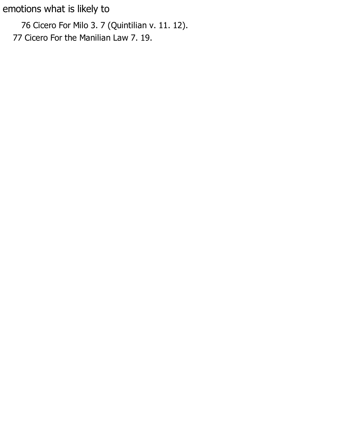emotions what is likely to

 Cicero For Milo 3. 7 (Quintilian v. 11. 12). Cicero For the Manilian Law 7. 19.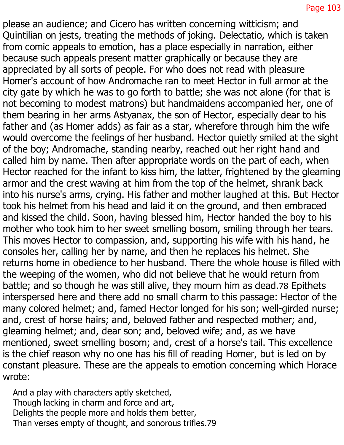please an audience; and Cicero has written concerning witticism; and Quintilian on jests, treating the methods of joking. Delectatio, which is taken from comic appeals to emotion, has a place especially in narration, either because such appeals present matter graphically or because they are appreciated by all sorts of people. For who does not read with pleasure Homer's account of how Andromache ran to meet Hector in full armor at the city gate by which he was to go forth to battle; she was not alone (for that is not becoming to modest matrons) but handmaidens accompanied her, one of them bearing in her arms Astyanax, the son of Hector, especially dear to his father and (as Homer adds) as fair as a star, wherefore through him the wife would overcome the feelings of her husband. Hector quietly smiled at the sight of the boy; Andromache, standing nearby, reached out her right hand and called him by name. Then after appropriate words on the part of each, when Hector reached for the infant to kiss him, the latter, frightened by the gleaming armor and the crest waving at him from the top of the helmet, shrank back into his nurse's arms, crying. His father and mother laughed at this. But Hector took his helmet from his head and laid it on the ground, and then embraced and kissed the child. Soon, having blessed him, Hector handed the boy to his mother who took him to her sweet smelling bosom, smiling through her tears. This moves Hector to compassion, and, supporting his wife with his hand, he consoles her, calling her by name, and then he replaces his helmet. She returns home in obedience to her husband. There the whole house is filled with the weeping of the women, who did not believe that he would return from battle; and so though he was still alive, they mourn him as dead.78 Epithets interspersed here and there add no small charm to this passage: Hector of the many colored helmet; and, famed Hector longed for his son; well-girded nurse; and, crest of horse hairs; and, beloved father and respected mother; and, gleaming helmet; and, dear son; and, beloved wife; and, as we have mentioned, sweet smelling bosom; and, crest of a horse's tail. This excellence is the chief reason why no one has his fill of reading Homer, but is led on by constant pleasure. These are the appeals to emotion concerning which Horace wrote:

And a play with characters aptly sketched, Though lacking in charm and force and art, Delights the people more and holds them better, Than verses empty of thought, and sonorous trifles.79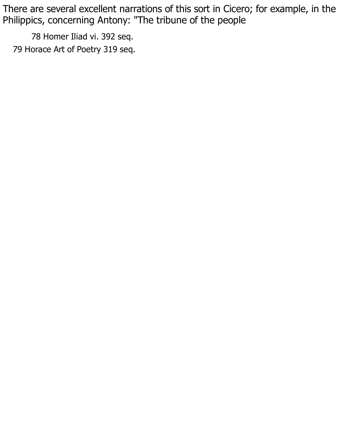There are several excellent narrations of this sort in Cicero; for example, in the Philippics, concerning Antony: "The tribune of the people

78 Homer Iliad vi. 392 seq. 79 Horace Art of Poetry 319 seq.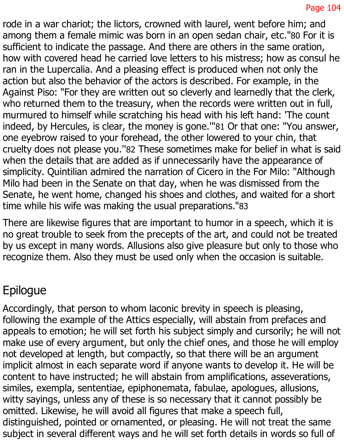rode in a war chariot; the lictors, crowned with laurel, went before him; and among them a female mimic was born in an open sedan chair, etc."80 For it is sufficient to indicate the passage. And there are others in the same oration, how with covered head he carried love letters to his mistress; how as consul he ran in the Lupercalia. And a pleasing effect is produced when not only the action but also the behavior of the actors is described. For example, in the Against Piso: "For they are written out so cleverly and learnedly that the clerk, who returned them to the treasury, when the records were written out in full, murmured to himself while scratching his head with his left hand: 'The count indeed, by Hercules, is clear, the money is gone."'81 Or that one: "You answer, one eyebrow raised to your forehead, the other lowered to your chin, that cruelty does not please you.''82 These sometimes make for belief in what is said when the details that are added as if unnecessarily have the appearance of simplicity. Quintilian admired the narration of Cicero in the For Milo: "Although Milo had been in the Senate on that day, when he was dismissed from the Senate, he went home, changed his shoes and clothes, and waited for a short time while his wife was making the usual preparations."83

There are likewise figures that are important to humor in a speech, which it is no great trouble to seek from the precepts of the art, and could not be treated by us except in many words. Allusions also give pleasure but only to those who recognize them. Also they must be used only when the occasion is suitable.

## Epilogue

Accordingly, that person to whom laconic brevity in speech is pleasing, following the example of the Attics especially, will abstain from prefaces and appeals to emotion; he will set forth his subject simply and cursorily; he will not make use of every argument, but only the chief ones, and those he will employ not developed at length, but compactly, so that there will be an argument implicit almost in each separate word if anyone wants to develop it. He will be content to have instructed; he will abstain from amplifications, asseverations, similes, exempla, sententiae, epiphonemata, fabulae, apologues, allusions, witty sayings, unless any of these is so necessary that it cannot possibly be omitted. Likewise, he will avoid all figures that make a speech full, distinguished, pointed or ornamented, or pleasing. He will not treat the same subject in several different ways and he will set forth details in words so full of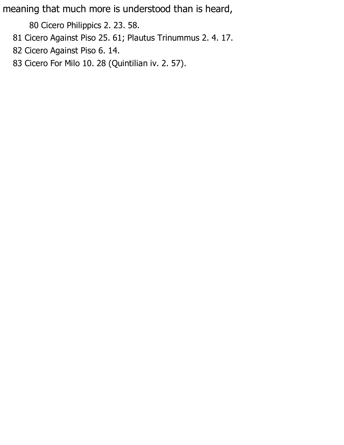meaning that much more is understood than is heard,

Cicero Philippics 2. 23. 58.

Cicero Against Piso 25. 61; Plautus Trinummus 2. 4. 17.

Cicero Against Piso 6. 14.

Cicero For Milo 10. 28 (Quintilian iv. 2. 57).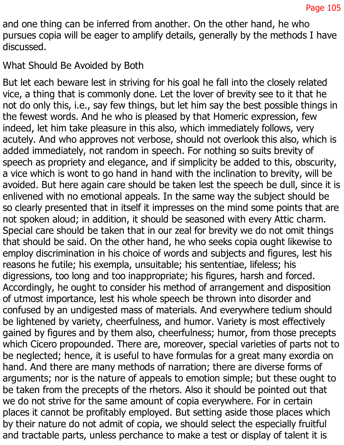and one thing can be inferred from another. On the other hand, he who pursues copia will be eager to amplify details, generally by the methods I have discussed.

What Should Be Avoided by Both

But let each beware lest in striving for his goal he fall into the closely related vice, a thing that is commonly done. Let the lover of brevity see to it that he not do only this, i.e., say few things, but let him say the best possible things in the fewest words. And he who is pleased by that Homeric expression, few indeed, let him take pleasure in this also, which immediately follows, very acutely. And who approves not verbose, should not overlook this also, which is added immediately, not random in speech. For nothing so suits brevity of speech as propriety and elegance, and if simplicity be added to this, obscurity, a vice which is wont to go hand in hand with the inclination to brevity, will be avoided. But here again care should be taken lest the speech be dull, since it is enlivened with no emotional appeals. In the same way the subject should be so clearly presented that in itself it impresses on the mind some points that are not spoken aloud; in addition, it should be seasoned with every Attic charm. Special care should be taken that in our zeal for brevity we do not omit things that should be said. On the other hand, he who seeks copia ought likewise to employ discrimination in his choice of words and subjects and figures, lest his reasons he futile; his exempla, unsuitable; his sententiae, lifeless; his digressions, too long and too inappropriate; his figures, harsh and forced. Accordingly, he ought to consider his method of arrangement and disposition of utmost importance, lest his whole speech be thrown into disorder and confused by an undigested mass of materials. And everywhere tedium should be lightened by variety, cheerfulness, and humor. Variety is most effectively gained by figures and by them also, cheerfulness; humor, from those precepts which Cicero propounded. There are, moreover, special varieties of parts not to be neglected; hence, it is useful to have formulas for a great many exordia on hand. And there are many methods of narration; there are diverse forms of arguments; nor is the nature of appeals to emotion simple; but these ought to be taken from the precepts of the rhetors. Also it should be pointed out that we do not strive for the same amount of copia everywhere. For in certain places it cannot be profitably employed. But setting aside those places which by their nature do not admit of copia, we should select the especially fruitful and tractable parts, unless perchance to make a test or display of talent it is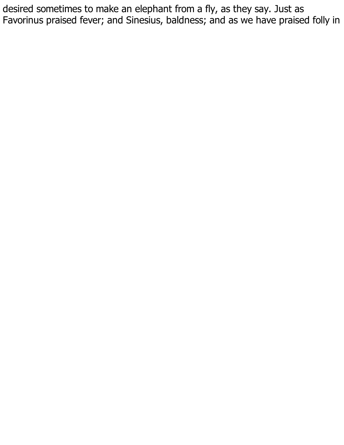desired sometimes to make an elephant from a fly, as they say. Just as Favorinus praised fever; and Sinesius, baldness; and as we have praised folly in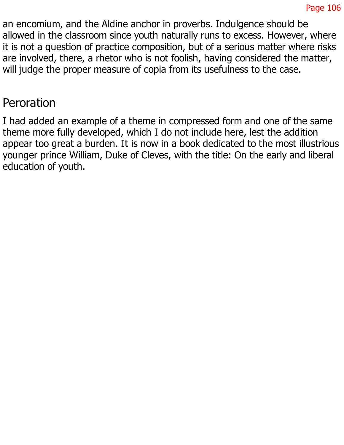an encomium, and the Aldine anchor in proverbs. Indulgence should be allowed in the classroom since youth naturally runs to excess. However, where it is not a question of practice composition, but of a serious matter where risks are involved, there, a rhetor who is not foolish, having considered the matter, will judge the proper measure of copia from its usefulness to the case.

### Peroration

I had added an example of a theme in compressed form and one of the same theme more fully developed, which I do not include here, lest the addition appear too great a burden. It is now in a book dedicated to the most illustrious younger prince William, Duke of Cleves, with the title: On the early and liberal education of youth.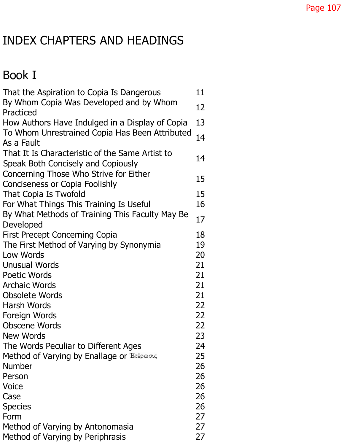# INDEX CHAPTERS AND HEADINGS

# Book I

| That the Aspiration to Copia Is Dangerous            | 11 |
|------------------------------------------------------|----|
| By Whom Copia Was Developed and by Whom<br>Practiced | 12 |
| How Authors Have Indulged in a Display of Copia      | 13 |
| To Whom Unrestrained Copia Has Been Attributed       | 14 |
| As a Fault                                           |    |
| That It Is Characteristic of the Same Artist to      | 14 |
| Speak Both Concisely and Copiously                   |    |
| Concerning Those Who Strive for Either               | 15 |
| <b>Conciseness or Copia Foolishly</b>                |    |
| That Copia Is Twofold                                | 15 |
| For What Things This Training Is Useful              | 16 |
| By What Methods of Training This Faculty May Be      | 17 |
| Developed                                            |    |
| <b>First Precept Concerning Copia</b>                | 18 |
| The First Method of Varying by Synonymia             | 19 |
| Low Words                                            | 20 |
| <b>Unusual Words</b>                                 | 21 |
| <b>Poetic Words</b>                                  | 21 |
| <b>Archaic Words</b>                                 | 21 |
| <b>Obsolete Words</b>                                | 21 |
| Harsh Words                                          | 22 |
| Foreign Words                                        | 22 |
| <b>Obscene Words</b>                                 | 22 |
| New Words                                            | 23 |
| The Words Peculiar to Different Ages                 | 24 |
| Method of Varying by Enallage or Exepagns            | 25 |
| <b>Number</b>                                        | 26 |
| Person                                               | 26 |
| Voice                                                | 26 |
| Case                                                 | 26 |
| <b>Species</b>                                       | 26 |
| Form                                                 | 27 |
| Method of Varying by Antonomasia                     | 27 |
| Method of Varying by Periphrasis                     | 27 |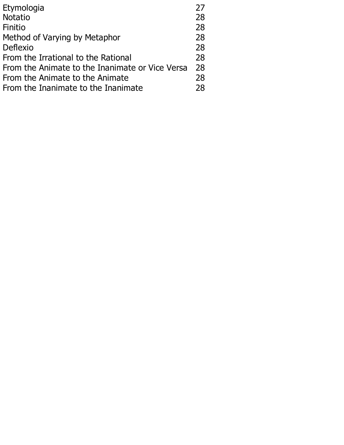| Etymologia                                      | 27 |
|-------------------------------------------------|----|
| <b>Notatio</b>                                  | 28 |
| Finitio                                         | 28 |
| Method of Varying by Metaphor                   | 28 |
| Deflexio                                        | 28 |
| From the Irrational to the Rational             | 28 |
| From the Animate to the Inanimate or Vice Versa | 28 |
| From the Animate to the Animate                 | 28 |
| From the Inanimate to the Inanimate             | 28 |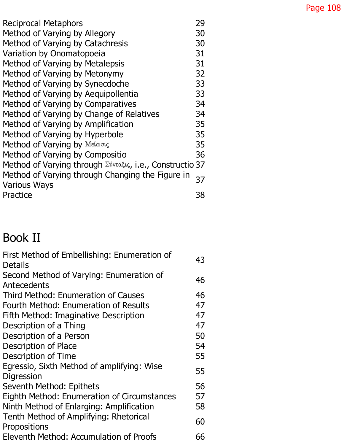| <b>Reciprocal Metaphors</b>                                                    | 29 |
|--------------------------------------------------------------------------------|----|
| Method of Varying by Allegory                                                  | 30 |
| Method of Varying by Catachresis                                               | 30 |
| Variation by Onomatopoeia                                                      | 31 |
| Method of Varying by Metalepsis                                                | 31 |
| Method of Varying by Metonymy                                                  | 32 |
| Method of Varying by Synecdoche                                                | 33 |
| Method of Varying by Aequipollentia                                            | 33 |
| Method of Varying by Comparatives                                              | 34 |
| Method of Varying by Change of Relatives                                       | 34 |
| Method of Varying by Amplification                                             | 35 |
| Method of Varying by Hyperbole                                                 | 35 |
| Method of Varying by MELOOLS                                                   | 35 |
| Method of Varying by Compositio                                                | 36 |
| Method of Varying through <i>Edivtal</i> <sub>145</sub> , i.e., Constructio 37 |    |
| Method of Varying through Changing the Figure in                               | 37 |
| <b>Various Ways</b>                                                            |    |
| Practice                                                                       | 38 |

## Book II

| First Method of Embellishing: Enumeration of<br><b>Details</b> | 43 |
|----------------------------------------------------------------|----|
| Second Method of Varying: Enumeration of<br>Antecedents        | 46 |
| <b>Third Method: Enumeration of Causes</b>                     | 46 |
| <b>Fourth Method: Enumeration of Results</b>                   | 47 |
| Fifth Method: Imaginative Description                          | 47 |
| Description of a Thing                                         | 47 |
| Description of a Person                                        | 50 |
| <b>Description of Place</b>                                    | 54 |
| <b>Description of Time</b>                                     | 55 |
| Egressio, Sixth Method of amplifying: Wise                     | 55 |
| Digression                                                     |    |
| Seventh Method: Epithets                                       | 56 |
| Eighth Method: Enumeration of Circumstances                    | 57 |
| Ninth Method of Enlarging: Amplification                       | 58 |
| Tenth Method of Amplifying: Rhetorical<br>Propositions         | 60 |
| Eleventh Method: Accumulation of Proofs                        | 66 |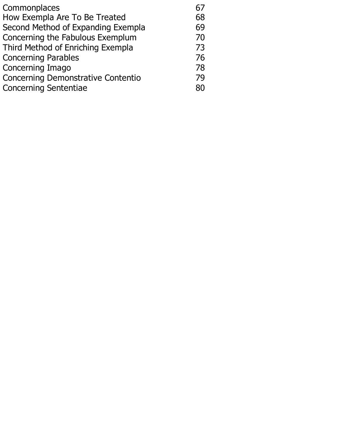| Commonplaces                       |    |
|------------------------------------|----|
| How Exempla Are To Be Treated      | 68 |
| Second Method of Expanding Exempla | 69 |
| Concerning the Fabulous Exemplum   | 70 |
| Third Method of Enriching Exempla  | 73 |
| <b>Concerning Parables</b>         | 76 |
| Concerning Imago                   | 78 |
| Concerning Demonstrative Contentio | 79 |
| <b>Concerning Sententiae</b>       | 80 |
|                                    |    |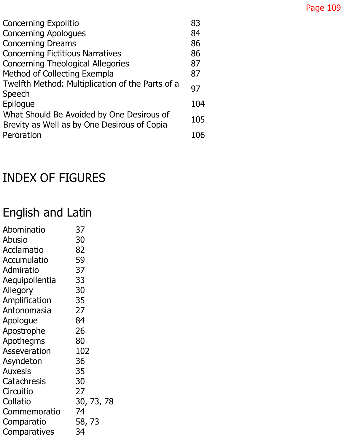| <b>Concerning Expolitio</b>                                                              | 83  |
|------------------------------------------------------------------------------------------|-----|
| <b>Concerning Apologues</b>                                                              | 84  |
| <b>Concerning Dreams</b>                                                                 | 86  |
| <b>Concerning Fictitious Narratives</b>                                                  | 86  |
| <b>Concerning Theological Allegories</b>                                                 | 87  |
| Method of Collecting Exempla                                                             | 87  |
| Twelfth Method: Multiplication of the Parts of a<br>Speech                               | 97  |
| Epiloque                                                                                 | 104 |
| What Should Be Avoided by One Desirous of<br>Brevity as Well as by One Desirous of Copia | 105 |
| Peroration                                                                               |     |
|                                                                                          |     |

## **INDEX OF FIGURES**

## English and Latin

| Abominatio     | 37         |
|----------------|------------|
| Abusio         | 30         |
| Acclamatio     | 82         |
| Accumulatio    | 59         |
| Admiratio      | 37         |
| Aequipollentia | 33         |
| Allegory       | 30         |
| Amplification  | 35         |
| Antonomasia    | 27         |
| Apologue       | 84         |
| Apostrophe     | 26         |
| Apothegms      | 80         |
| Asseveration   | 102        |
| Asyndeton      | 36         |
| <b>Auxesis</b> | 35         |
| Catachresis    | 30         |
| Circuitio      | 27         |
| Collatio       | 30, 73, 78 |
| Commemoratio   | 74         |
| Comparatio     | 58, 73     |
| Comparatives   | 34         |
|                |            |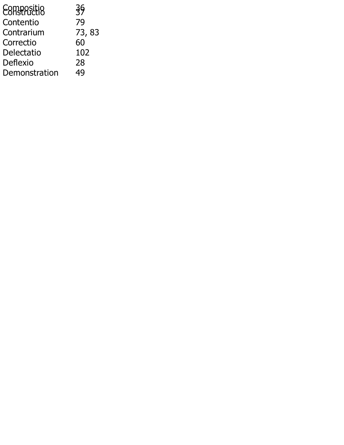| <b>E</b> 8mpositio | 36    |
|--------------------|-------|
| Contentio          | 79    |
| Contrarium         | 73,83 |
| Correctio          | 60    |
| Delectatio         | 102   |
| Deflexio           | 28    |
| Demonstration      | 49    |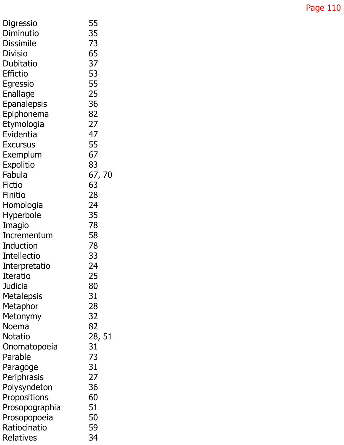| Digressio          | 55     |
|--------------------|--------|
| Diminutio          | 35     |
| Dissimile          | 73     |
| <b>Divisio</b>     | 65     |
| Dubitatio          | 37     |
| Effictio           | 53     |
| Egressio           | 55     |
| Enallage           | 25     |
| <b>Epanalepsis</b> | 36     |
| Epiphonema         | 82     |
| Etymologia         | 27     |
| Evidentia          | 47     |
| <b>Excursus</b>    | 55     |
| Exemplum           | 67     |
| <b>Expolitio</b>   | 83     |
| Fabula             | 67, 70 |
| Fictio             | 63     |
| Finitio            | 28     |
| Homologia          | 24     |
|                    | 35     |
| Hyperbole          | 78     |
| Imagio             |        |
| Incrementum        | 58     |
| Induction          | 78     |
| <b>Intellectio</b> | 33     |
| Interpretatio      | 24     |
| Iteratio           | 25     |
| Judicia            | 80     |
| <b>Metalepsis</b>  | 31     |
| Metaphor           | 28     |
| Metonymy           | 32     |
| Noema              | 82     |
| Notatio            | 28, 51 |
| Onomatopoeia       | 31     |
| Parable            | 73     |
| Paragoge           | 31     |
| Periphrasis        | 27     |
| Polysyndeton       | 36     |
| Propositions       | 60     |
| Prosopographia     | 51     |
| Prosopopoeia       | 50     |
| Ratiocinatio       | 59     |
| Relatives          | 34     |